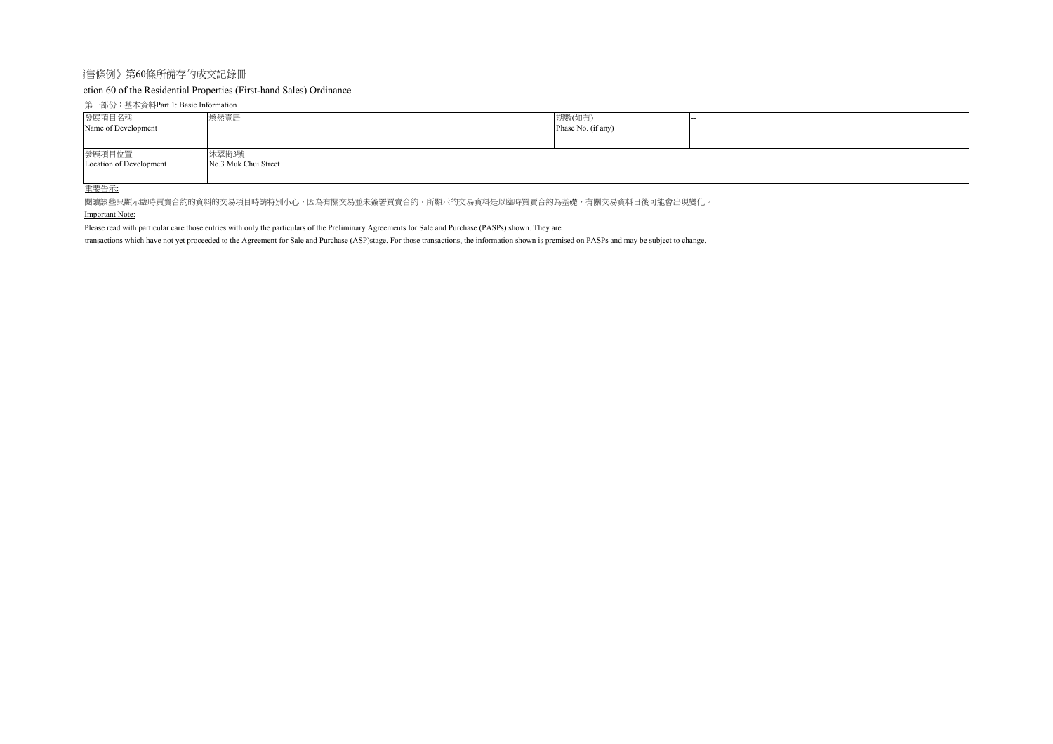## 銷售條例》第60條所備存的成交記錄冊

# ction 60 of the Residential Properties (First-hand Sales) Ordinance

## 第一部份:基本資料Part 1: Basic Information

| 發展項目名稱<br>Name of Development     | 煥然壹居                          | 期數(如有)<br>Phase No. (if any) |  |
|-----------------------------------|-------------------------------|------------------------------|--|
| 發展項目位置<br>Location of Development | 沐翠街3號<br>No.3 Muk Chui Street |                              |  |

#### 重要告示:

関讀該些只顯示臨時買賣合約的資料的交易項目時請特別小心,因為有關交易並未簽署買賣合約,所顯示的交易資料是以臨時買賣合約為基礎,有關交易資料日後可能會出現變化。

## Important Note:

Please read with particular care those entries with only the particulars of the Preliminary Agreements for Sale and Purchase (PASPs) shown. They are

transactions which have not yet proceeded to the Agreement for Sale and Purchase (ASP)stage. For those transactions, the information shown is premised on PASPs and may be subject to change.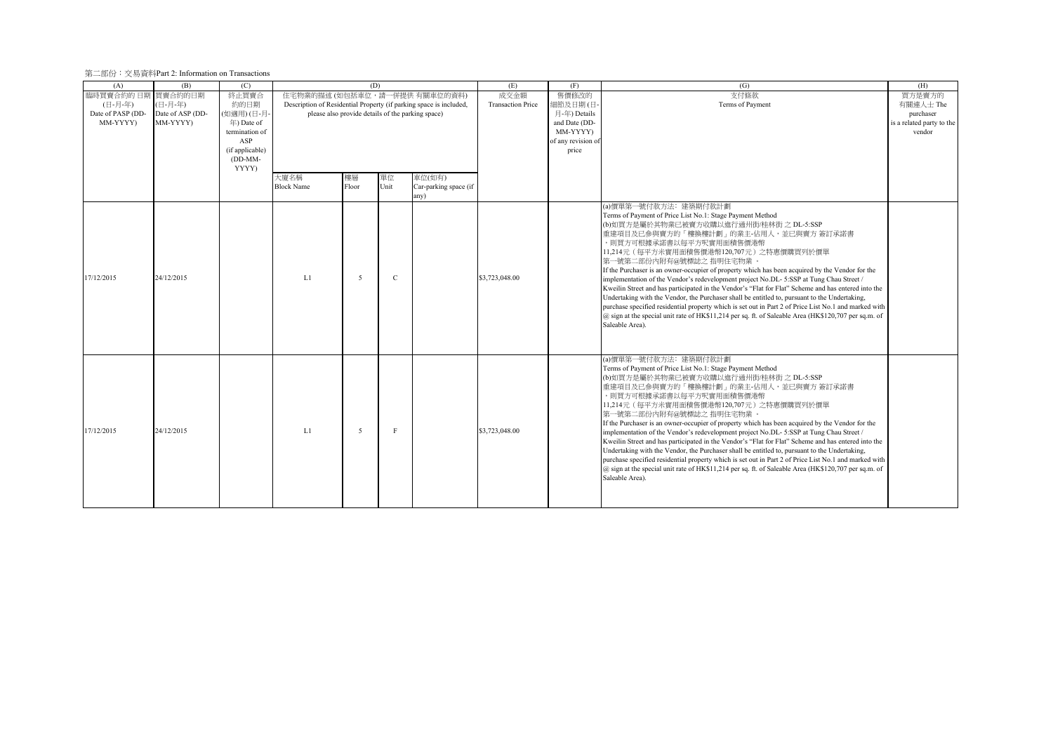## 第二部份:交易資料Part 2: Information on Transactions

| (A)               | (B)              | (C)             |                                                                    |       | (D)                                               |                       | (E)                      | (F)                | (G)                                                                                                      | (H)                       |
|-------------------|------------------|-----------------|--------------------------------------------------------------------|-------|---------------------------------------------------|-----------------------|--------------------------|--------------------|----------------------------------------------------------------------------------------------------------|---------------------------|
| 臨時買賣合約的日期         | 買賣合約的日期          | 終止買賣合           | 住宅物業的描述 (如包括車位,請一併提供 有關車位的資料)                                      |       |                                                   |                       | 成交金額                     | 售價修改的              | 支付條款                                                                                                     | 買方是賣方的                    |
| (日-月-年)           | (日-月-年)          | 約的日期            | Description of Residential Property (if parking space is included, |       |                                                   |                       | <b>Transaction Price</b> | 細節及日期(日-           | Terms of Payment                                                                                         | 有關連人士 The                 |
| Date of PASP (DD- | Date of ASP (DD- | (如適用)(日-月-      |                                                                    |       | please also provide details of the parking space) |                       |                          | 月-年) Details       |                                                                                                          | purchaser                 |
| MM-YYYY)          | MM-YYYY)         | 年) Date of      |                                                                    |       |                                                   |                       |                          | and Date (DD-      |                                                                                                          | is a related party to the |
|                   |                  | termination of  |                                                                    |       |                                                   |                       |                          | MM-YYYYY)          |                                                                                                          | vendor                    |
|                   |                  | ASP             |                                                                    |       |                                                   |                       |                          | of any revision of |                                                                                                          |                           |
|                   |                  | (if applicable) |                                                                    |       |                                                   |                       |                          | price              |                                                                                                          |                           |
|                   |                  | (DD-MM-         |                                                                    |       |                                                   |                       |                          |                    |                                                                                                          |                           |
|                   |                  | YYYY)           |                                                                    |       |                                                   |                       |                          |                    |                                                                                                          |                           |
|                   |                  |                 | 大廈名稱                                                               | 樓層    | 單位                                                | 車位(如有)                |                          |                    |                                                                                                          |                           |
|                   |                  |                 | <b>Block Name</b>                                                  | Floor | Unit                                              | Car-parking space (if |                          |                    |                                                                                                          |                           |
|                   |                  |                 |                                                                    |       |                                                   | any)                  |                          |                    |                                                                                                          |                           |
|                   |                  |                 |                                                                    |       |                                                   |                       |                          |                    | (a)價單第一號付款方法: 建築期付款計劃                                                                                    |                           |
|                   |                  |                 |                                                                    |       |                                                   |                       |                          |                    | Terms of Payment of Price List No.1: Stage Payment Method                                                |                           |
|                   |                  |                 |                                                                    |       |                                                   |                       |                          |                    | (b)如買方是屬於其物業已被賣方收購以進行通州街/桂林街 之 DL-5:SSP                                                                  |                           |
|                   |                  |                 |                                                                    |       |                                                   |                       |                          |                    | 重建項目及已參與賣方的「樓換樓計劃」的業主-佔用人,並已與賣方 簽訂承諾書                                                                    |                           |
|                   |                  |                 |                                                                    |       |                                                   |                       |                          |                    | ,則買方可根據承諾書以每平方呎實用面積售價港幣                                                                                  |                           |
|                   |                  |                 |                                                                    |       |                                                   |                       |                          |                    | 11,214元 (每平方米實用面積售價港幣120,707元) 之特惠價購買列於價單                                                                |                           |
|                   |                  |                 |                                                                    |       |                                                   |                       |                          |                    | 第一號第二部份內附有@號標誌之 指明住宅物業 。                                                                                 |                           |
|                   |                  |                 |                                                                    |       |                                                   |                       |                          |                    | If the Purchaser is an owner-occupier of property which has been acquired by the Vendor for the          |                           |
| 17/12/2015        | 24/12/2015       |                 | L1                                                                 | 5     | $\mathcal{C}$                                     |                       | \$3,723,048.00           |                    | implementation of the Vendor's redevelopment project No.DL-5:SSP at Tung Chau Street /                   |                           |
|                   |                  |                 |                                                                    |       |                                                   |                       |                          |                    | Kweilin Street and has participated in the Vendor's "Flat for Flat" Scheme and has entered into the      |                           |
|                   |                  |                 |                                                                    |       |                                                   |                       |                          |                    | Undertaking with the Vendor, the Purchaser shall be entitled to, pursuant to the Undertaking,            |                           |
|                   |                  |                 |                                                                    |       |                                                   |                       |                          |                    | purchase specified residential property which is set out in Part 2 of Price List No.1 and marked with    |                           |
|                   |                  |                 |                                                                    |       |                                                   |                       |                          |                    | @ sign at the special unit rate of HK\$11,214 per sq. ft. of Saleable Area (HK\$120,707 per sq.m. of     |                           |
|                   |                  |                 |                                                                    |       |                                                   |                       |                          |                    | Saleable Area).                                                                                          |                           |
|                   |                  |                 |                                                                    |       |                                                   |                       |                          |                    |                                                                                                          |                           |
|                   |                  |                 |                                                                    |       |                                                   |                       |                          |                    |                                                                                                          |                           |
|                   |                  |                 |                                                                    |       |                                                   |                       |                          |                    |                                                                                                          |                           |
|                   |                  |                 |                                                                    |       |                                                   |                       |                          |                    | (a)價單第一號付款方法: 建築期付款計劃                                                                                    |                           |
|                   |                  |                 |                                                                    |       |                                                   |                       |                          |                    | Terms of Payment of Price List No.1: Stage Payment Method                                                |                           |
|                   |                  |                 |                                                                    |       |                                                   |                       |                          |                    | (b)如買方是屬於其物業已被賣方收購以進行通州街/桂林街 之 DL-5:SSP                                                                  |                           |
|                   |                  |                 |                                                                    |       |                                                   |                       |                          |                    | 重建項目及已參與賣方的「樓換樓計劃」的業主-佔用人,並已與賣方 簽訂承諾書                                                                    |                           |
|                   |                  |                 |                                                                    |       |                                                   |                       |                          |                    | ,則買方可根據承諾書以每平方呎實用面積售價港幣                                                                                  |                           |
|                   |                  |                 |                                                                    |       |                                                   |                       |                          |                    | 11,214元 (每平方米實用面積售價港幣120,707元) 之特惠價購買列於價單                                                                |                           |
|                   |                  |                 |                                                                    |       |                                                   |                       |                          |                    | 第一號第二部份內附有@號標誌之指明住宅物業                                                                                    |                           |
|                   |                  |                 |                                                                    |       |                                                   |                       |                          |                    | If the Purchaser is an owner-occupier of property which has been acquired by the Vendor for the          |                           |
| 17/12/2015        | 24/12/2015       |                 | L1                                                                 | -5    | F                                                 |                       | \$3,723,048.00           |                    | implementation of the Vendor's redevelopment project No.DL-5:SSP at Tung Chau Street /                   |                           |
|                   |                  |                 |                                                                    |       |                                                   |                       |                          |                    | Kweilin Street and has participated in the Vendor's "Flat for Flat" Scheme and has entered into the      |                           |
|                   |                  |                 |                                                                    |       |                                                   |                       |                          |                    | Undertaking with the Vendor, the Purchaser shall be entitled to, pursuant to the Undertaking,            |                           |
|                   |                  |                 |                                                                    |       |                                                   |                       |                          |                    | purchase specified residential property which is set out in Part 2 of Price List No.1 and marked with    |                           |
|                   |                  |                 |                                                                    |       |                                                   |                       |                          |                    | $(a)$ sign at the special unit rate of HK\$11,214 per sq. ft. of Saleable Area (HK\$120,707 per sq.m. of |                           |
|                   |                  |                 |                                                                    |       |                                                   |                       |                          |                    | Saleable Area).                                                                                          |                           |
|                   |                  |                 |                                                                    |       |                                                   |                       |                          |                    |                                                                                                          |                           |
|                   |                  |                 |                                                                    |       |                                                   |                       |                          |                    |                                                                                                          |                           |
|                   |                  |                 |                                                                    |       |                                                   |                       |                          |                    |                                                                                                          |                           |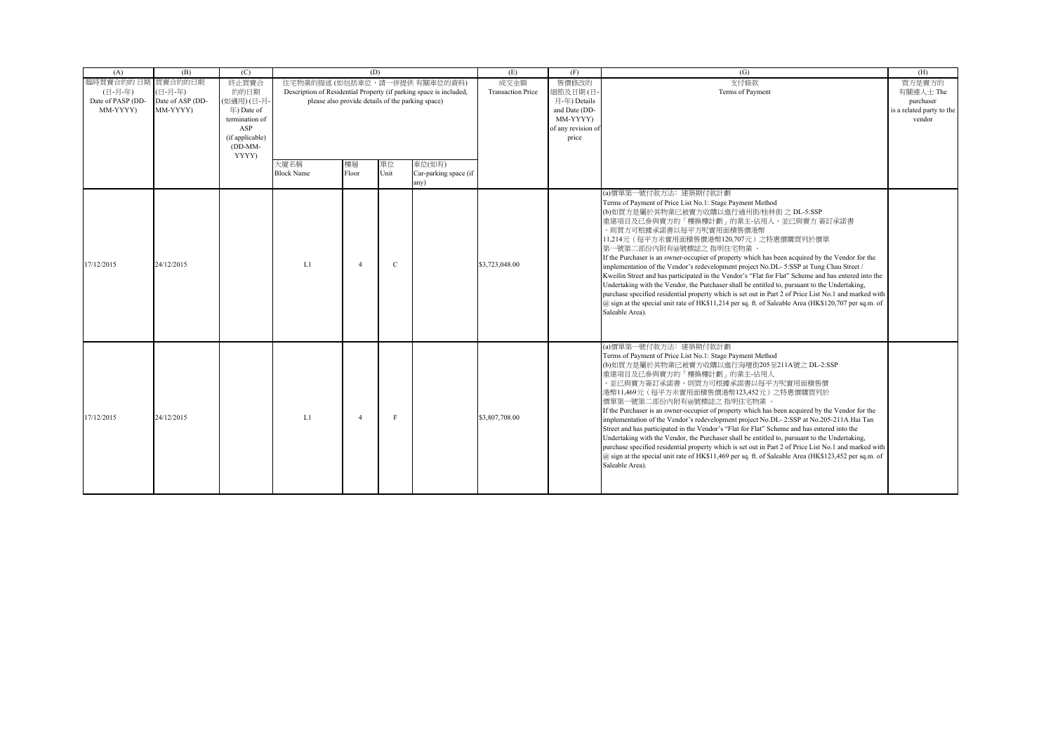| (A)               | (B)              | (C)                   |                                                                    | (D)            |      |                       | (E)                      | (F)                            | (G)                                                                                                                                                                                                    | (H)                       |
|-------------------|------------------|-----------------------|--------------------------------------------------------------------|----------------|------|-----------------------|--------------------------|--------------------------------|--------------------------------------------------------------------------------------------------------------------------------------------------------------------------------------------------------|---------------------------|
| 臨時買賣合約的日期         | 買賣合約的日期          | 終止買賣合                 | 住宅物業的描述 (如包括車位,請一併提供 有關車位的資料)                                      |                |      |                       | 成交金額                     | 售價修改的                          | 支付條款                                                                                                                                                                                                   | 買方是賣方的                    |
| (日-月-年)           | (日-月-年)          | 約的日期                  | Description of Residential Property (if parking space is included, |                |      |                       | <b>Transaction Price</b> | 細節及日期(日                        | Terms of Payment                                                                                                                                                                                       | 有關連人士 The                 |
| Date of PASP (DD- | Date of ASP (DD- | (如適用)(日-月-            | please also provide details of the parking space)                  |                |      |                       |                          | 月-年) Details                   |                                                                                                                                                                                                        | purchaser                 |
| MM-YYYY)          | MM-YYYY)         | 年) Date of            |                                                                    |                |      |                       |                          | and Date (DD-                  |                                                                                                                                                                                                        | is a related party to the |
|                   |                  | termination of<br>ASP |                                                                    |                |      |                       |                          | MM-YYYY)<br>of any revision of |                                                                                                                                                                                                        | vendor                    |
|                   |                  | (if applicable)       |                                                                    |                |      |                       |                          | price                          |                                                                                                                                                                                                        |                           |
|                   |                  | $(DD-MM-$             |                                                                    |                |      |                       |                          |                                |                                                                                                                                                                                                        |                           |
|                   |                  | YYYY)                 |                                                                    |                |      |                       |                          |                                |                                                                                                                                                                                                        |                           |
|                   |                  |                       | 大廈名稱                                                               | 樓層             | 單位   | 車位(如有)                |                          |                                |                                                                                                                                                                                                        |                           |
|                   |                  |                       | <b>Block Name</b>                                                  | Floor          | Unit | Car-parking space (if |                          |                                |                                                                                                                                                                                                        |                           |
|                   |                  |                       |                                                                    |                |      | any)                  |                          |                                |                                                                                                                                                                                                        |                           |
|                   |                  |                       |                                                                    |                |      |                       |                          |                                | (a)價單第一號付款方法: 建築期付款計劃                                                                                                                                                                                  |                           |
|                   |                  |                       |                                                                    |                |      |                       |                          |                                | Terms of Payment of Price List No.1: Stage Payment Method                                                                                                                                              |                           |
|                   |                  |                       |                                                                    |                |      |                       |                          |                                | (b)如買方是屬於其物業已被賣方收購以進行通州街/桂林街 之 DL-5:SSP                                                                                                                                                                |                           |
|                   |                  |                       |                                                                    |                |      |                       |                          |                                | 重建項目及已參與賣方的「樓換樓計劃」的業主-佔用人,並已與賣方 簽訂承諾書                                                                                                                                                                  |                           |
|                   |                  |                       |                                                                    |                |      |                       |                          |                                | ,則買方可根據承諾書以每平方呎實用面積售價港幣                                                                                                                                                                                |                           |
|                   |                  |                       |                                                                    |                |      |                       |                          |                                | 11,214元 (每平方米實用面積售價港幣120,707元) 之特惠價購買列於價單                                                                                                                                                              |                           |
|                   |                  |                       |                                                                    |                |      |                       |                          |                                | 第一號第二部份內附有@號標誌之 指明住宅物業<br>If the Purchaser is an owner-occupier of property which has been acquired by the Vendor for the                                                                              |                           |
| 17/12/2015        | 24/12/2015       |                       | L1                                                                 | $\overline{4}$ | C    |                       | \$3,723,048.00           |                                | implementation of the Vendor's redevelopment project No.DL-5:SSP at Tung Chau Street /                                                                                                                 |                           |
|                   |                  |                       |                                                                    |                |      |                       |                          |                                | Kweilin Street and has participated in the Vendor's "Flat for Flat" Scheme and has entered into the                                                                                                    |                           |
|                   |                  |                       |                                                                    |                |      |                       |                          |                                | Undertaking with the Vendor, the Purchaser shall be entitled to, pursuant to the Undertaking,                                                                                                          |                           |
|                   |                  |                       |                                                                    |                |      |                       |                          |                                | purchase specified residential property which is set out in Part 2 of Price List No.1 and marked with                                                                                                  |                           |
|                   |                  |                       |                                                                    |                |      |                       |                          |                                | $(a)$ sign at the special unit rate of HK\$11,214 per sq. ft. of Saleable Area (HK\$120,707 per sq.m. of                                                                                               |                           |
|                   |                  |                       |                                                                    |                |      |                       |                          |                                | Saleable Area).                                                                                                                                                                                        |                           |
|                   |                  |                       |                                                                    |                |      |                       |                          |                                |                                                                                                                                                                                                        |                           |
|                   |                  |                       |                                                                    |                |      |                       |                          |                                |                                                                                                                                                                                                        |                           |
|                   |                  |                       |                                                                    |                |      |                       |                          |                                | (a)價單第一號付款方法: 建築期付款計劃                                                                                                                                                                                  |                           |
|                   |                  |                       |                                                                    |                |      |                       |                          |                                | Terms of Payment of Price List No.1: Stage Payment Method                                                                                                                                              |                           |
|                   |                  |                       |                                                                    |                |      |                       |                          |                                | (b)如買方是屬於其物業已被賣方收購以進行海壇街205至211A號之 DL-2:SSP                                                                                                                                                            |                           |
|                   |                  |                       |                                                                    |                |      |                       |                          |                                | 重建項目及已參與賣方的「樓換樓計劃」的業主-佔用人                                                                                                                                                                              |                           |
|                   |                  |                       |                                                                    |                |      |                       |                          |                                | ,並已與賣方簽訂承諾書,則買方可根據承諾書以每平方呎實用面積售價                                                                                                                                                                       |                           |
|                   |                  |                       |                                                                    |                |      |                       |                          |                                | 港幣11,469元(每平方米實用面積售價港幣123,452元)之特惠價購買列於                                                                                                                                                                |                           |
|                   |                  |                       |                                                                    |                |      |                       |                          |                                | 價單第一號第二部份內附有@號標誌之 指明住宅物業 。                                                                                                                                                                             |                           |
| 17/12/2015        | 24/12/2015       |                       | L1                                                                 | $\overline{4}$ | F    |                       | \$3,807,708.00           |                                | If the Purchaser is an owner-occupier of property which has been acquired by the Vendor for the                                                                                                        |                           |
|                   |                  |                       |                                                                    |                |      |                       |                          |                                | implementation of the Vendor's redevelopment project No.DL-2:SSP at No.205-211A Hai Tan                                                                                                                |                           |
|                   |                  |                       |                                                                    |                |      |                       |                          |                                | Street and has participated in the Vendor's "Flat for Flat" Scheme and has entered into the                                                                                                            |                           |
|                   |                  |                       |                                                                    |                |      |                       |                          |                                | Undertaking with the Vendor, the Purchaser shall be entitled to, pursuant to the Undertaking,<br>purchase specified residential property which is set out in Part 2 of Price List No.1 and marked with |                           |
|                   |                  |                       |                                                                    |                |      |                       |                          |                                | @ sign at the special unit rate of HK\$11,469 per sq. ft. of Saleable Area (HK\$123,452 per sq.m. of                                                                                                   |                           |
|                   |                  |                       |                                                                    |                |      |                       |                          |                                | Saleable Area).                                                                                                                                                                                        |                           |
|                   |                  |                       |                                                                    |                |      |                       |                          |                                |                                                                                                                                                                                                        |                           |
|                   |                  |                       |                                                                    |                |      |                       |                          |                                |                                                                                                                                                                                                        |                           |
|                   |                  |                       |                                                                    |                |      |                       |                          |                                |                                                                                                                                                                                                        |                           |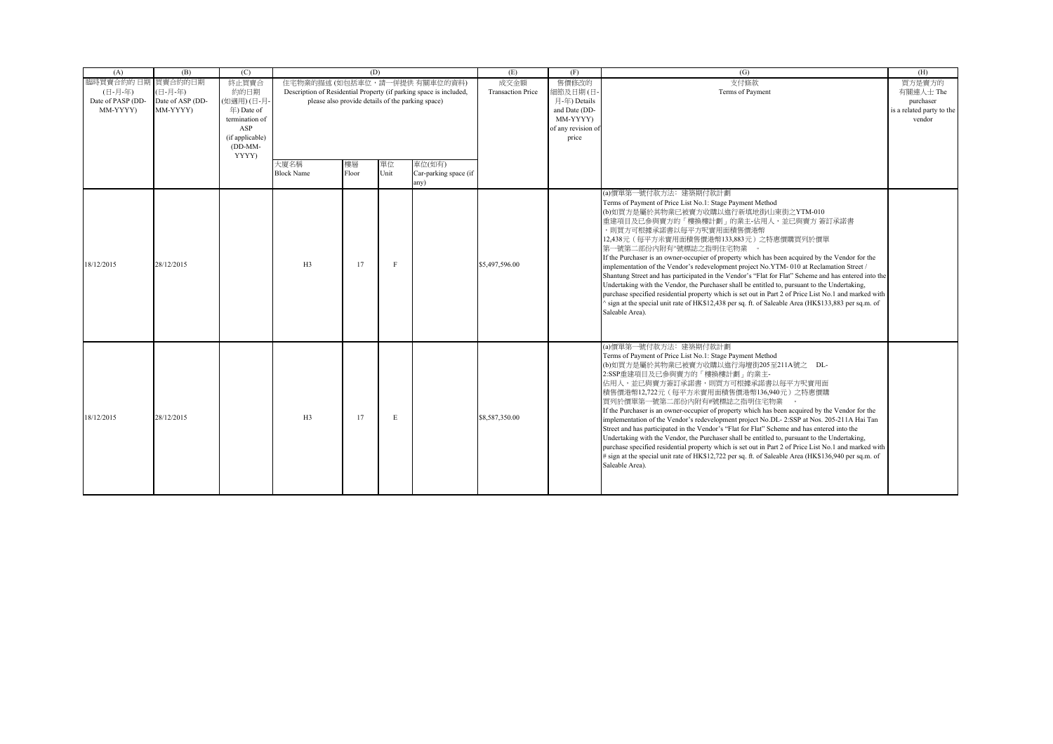| (A)               | (B)              | (C)                               |                                                                    | (D)                                               |      |                       | (E)                      | (F)                       | (G)                                                                                                                                                                                                    | (H)                       |
|-------------------|------------------|-----------------------------------|--------------------------------------------------------------------|---------------------------------------------------|------|-----------------------|--------------------------|---------------------------|--------------------------------------------------------------------------------------------------------------------------------------------------------------------------------------------------------|---------------------------|
| 臨時買賣合約的 日期        | 買賣合約的日期          | 終止買賣合                             | 住宅物業的描述 (如包括車位,請一併提供有關車位的資料)                                       |                                                   |      |                       | 成交金額                     | 售價修改的                     | 支付條款                                                                                                                                                                                                   | 買方是賣方的                    |
| (日-月-年)           | (日-月-年)          | 約的日期                              | Description of Residential Property (if parking space is included, |                                                   |      |                       | <b>Transaction Price</b> | 細節及日期(日-                  | Terms of Payment                                                                                                                                                                                       | 有關連人士 The                 |
| Date of PASP (DD- | Date of ASP (DD- | (如適用)(日-月-                        |                                                                    | please also provide details of the parking space) |      |                       |                          | 月-年) Details              |                                                                                                                                                                                                        | purchaser                 |
| MM-YYYY)          | MM-YYYY)         | $\pm$ ) Date of<br>termination of |                                                                    |                                                   |      |                       |                          | and Date (DD-<br>MM-YYYY) |                                                                                                                                                                                                        | is a related party to the |
|                   |                  | ASP                               |                                                                    |                                                   |      |                       |                          | of any revision of        |                                                                                                                                                                                                        | vendor                    |
|                   |                  | (if applicable)                   |                                                                    |                                                   |      |                       |                          | price                     |                                                                                                                                                                                                        |                           |
|                   |                  | $(DD-MM-$                         |                                                                    |                                                   |      |                       |                          |                           |                                                                                                                                                                                                        |                           |
|                   |                  | YYYY)                             |                                                                    |                                                   |      |                       |                          |                           |                                                                                                                                                                                                        |                           |
|                   |                  |                                   | 大廈名稱                                                               | 樓層                                                | 單位   | 車位(如有)                |                          |                           |                                                                                                                                                                                                        |                           |
|                   |                  |                                   | <b>Block Name</b>                                                  | Floor                                             | Unit | Car-parking space (if |                          |                           |                                                                                                                                                                                                        |                           |
|                   |                  |                                   |                                                                    |                                                   |      | any)                  |                          |                           |                                                                                                                                                                                                        |                           |
|                   |                  |                                   |                                                                    |                                                   |      |                       |                          |                           | (a)價單第一號付款方法: 建築期付款計劃                                                                                                                                                                                  |                           |
|                   |                  |                                   |                                                                    |                                                   |      |                       |                          |                           | Terms of Payment of Price List No.1: Stage Payment Method                                                                                                                                              |                           |
|                   |                  |                                   |                                                                    |                                                   |      |                       |                          |                           | (b)如買方是屬於其物業已被賣方收購以進行新填地街/山東街之YTM-010<br>重建項目及已參與賣方的「樓換樓計劃」的業主-佔用人,並已與賣方 簽訂承諾書                                                                                                                         |                           |
|                   |                  |                                   |                                                                    |                                                   |      |                       |                          |                           | ,則買方可根據承諾書以每平方呎實用面積售價港幣                                                                                                                                                                                |                           |
|                   |                  |                                   |                                                                    |                                                   |      |                       |                          |                           | 12,438元 (每平方米實用面積售價港幣133,883元) 之特惠價購買列於價單                                                                                                                                                              |                           |
|                   |                  |                                   |                                                                    |                                                   |      |                       |                          |                           | 第一號第二部份內附有^號標誌之指明住宅物業                                                                                                                                                                                  |                           |
|                   |                  |                                   |                                                                    |                                                   |      |                       |                          |                           | If the Purchaser is an owner-occupier of property which has been acquired by the Vendor for the                                                                                                        |                           |
| 18/12/2015        | 28/12/2015       |                                   | H3                                                                 | 17                                                |      |                       | \$5,497,596.00           |                           | implementation of the Vendor's redevelopment project No.YTM-010 at Reclamation Street /                                                                                                                |                           |
|                   |                  |                                   |                                                                    |                                                   |      |                       |                          |                           | Shantung Street and has participated in the Vendor's "Flat for Flat" Scheme and has entered into the                                                                                                   |                           |
|                   |                  |                                   |                                                                    |                                                   |      |                       |                          |                           | Undertaking with the Vendor, the Purchaser shall be entitled to, pursuant to the Undertaking,<br>purchase specified residential property which is set out in Part 2 of Price List No.1 and marked with |                           |
|                   |                  |                                   |                                                                    |                                                   |      |                       |                          |                           | sign at the special unit rate of HK\$12,438 per sq. ft. of Saleable Area (HK\$133,883 per sq.m. of                                                                                                     |                           |
|                   |                  |                                   |                                                                    |                                                   |      |                       |                          |                           | Saleable Area).                                                                                                                                                                                        |                           |
|                   |                  |                                   |                                                                    |                                                   |      |                       |                          |                           |                                                                                                                                                                                                        |                           |
|                   |                  |                                   |                                                                    |                                                   |      |                       |                          |                           |                                                                                                                                                                                                        |                           |
|                   |                  |                                   |                                                                    |                                                   |      |                       |                          |                           | (a)價單第一號付款方法: 建築期付款計劃                                                                                                                                                                                  |                           |
|                   |                  |                                   |                                                                    |                                                   |      |                       |                          |                           | Terms of Payment of Price List No.1: Stage Payment Method                                                                                                                                              |                           |
|                   |                  |                                   |                                                                    |                                                   |      |                       |                          |                           | (b)如買方是屬於其物業已被賣方收購以進行海壇街205至211A號之 DL-                                                                                                                                                                 |                           |
|                   |                  |                                   |                                                                    |                                                   |      |                       |                          |                           | 2:SSP重建項目及已參與賣方的「樓換樓計劃」的業主-                                                                                                                                                                            |                           |
|                   |                  |                                   |                                                                    |                                                   |      |                       |                          |                           | 佔用人,並已與賣方簽訂承諾書,則買方可根據承諾書以每平方呎實用面                                                                                                                                                                       |                           |
|                   |                  |                                   |                                                                    |                                                   |      |                       |                          |                           | 積售價港幣12,722元(每平方米實用面積售價港幣136,940元)之特惠價購                                                                                                                                                                |                           |
|                   |                  |                                   |                                                                    |                                                   |      |                       |                          |                           | 買列於價單第一號第二部份內附有#號標誌之指明住宅物業                                                                                                                                                                             |                           |
| 18/12/2015        | 28/12/2015       |                                   | H3                                                                 | 17                                                | E    |                       | \$8,587,350.00           |                           | If the Purchaser is an owner-occupier of property which has been acquired by the Vendor for the                                                                                                        |                           |
|                   |                  |                                   |                                                                    |                                                   |      |                       |                          |                           | implementation of the Vendor's redevelopment project No.DL-2:SSP at Nos. 205-211A Hai Tan                                                                                                              |                           |
|                   |                  |                                   |                                                                    |                                                   |      |                       |                          |                           | Street and has participated in the Vendor's "Flat for Flat" Scheme and has entered into the<br>Undertaking with the Vendor, the Purchaser shall be entitled to, pursuant to the Undertaking,           |                           |
|                   |                  |                                   |                                                                    |                                                   |      |                       |                          |                           | purchase specified residential property which is set out in Part 2 of Price List No.1 and marked with                                                                                                  |                           |
|                   |                  |                                   |                                                                    |                                                   |      |                       |                          |                           | # sign at the special unit rate of HK\$12,722 per sq. ft. of Saleable Area (HK\$136,940 per sq.m. of                                                                                                   |                           |
|                   |                  |                                   |                                                                    |                                                   |      |                       |                          |                           | Saleable Area).                                                                                                                                                                                        |                           |
|                   |                  |                                   |                                                                    |                                                   |      |                       |                          |                           |                                                                                                                                                                                                        |                           |
|                   |                  |                                   |                                                                    |                                                   |      |                       |                          |                           |                                                                                                                                                                                                        |                           |
|                   |                  |                                   |                                                                    |                                                   |      |                       |                          |                           |                                                                                                                                                                                                        |                           |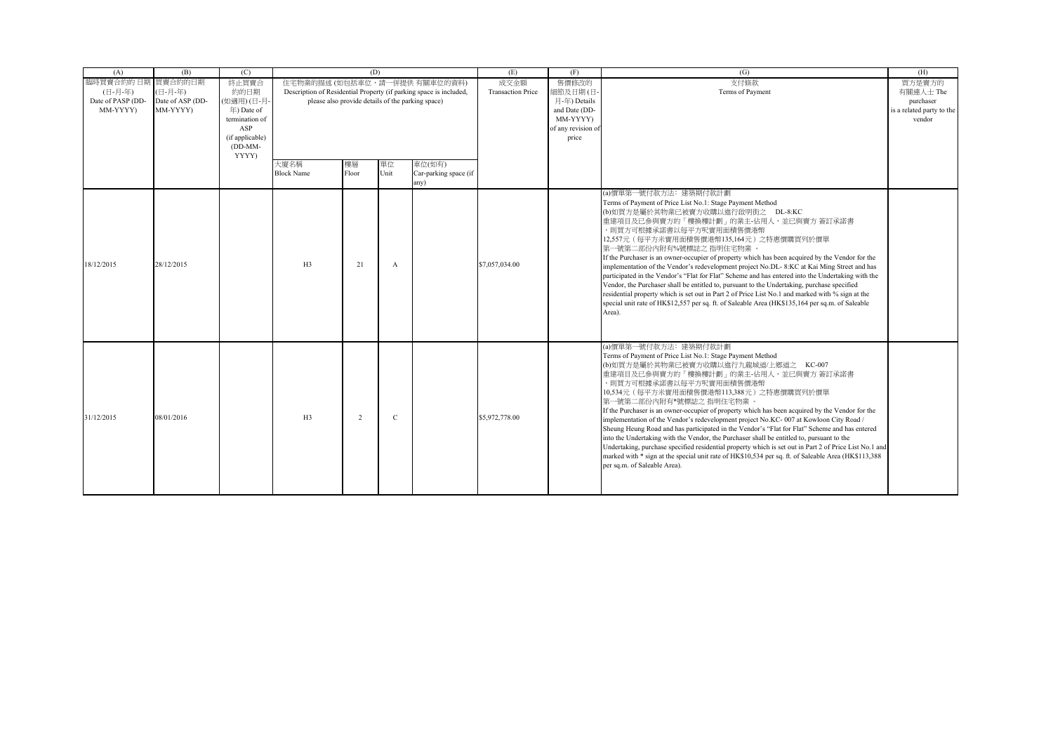| (A)               | (B)              | (C)             |                               | (D)                                               |              |                                                                    | (E)                      | (F)                | (G)                                                                                                    | (H)                       |
|-------------------|------------------|-----------------|-------------------------------|---------------------------------------------------|--------------|--------------------------------------------------------------------|--------------------------|--------------------|--------------------------------------------------------------------------------------------------------|---------------------------|
| 臨時買賣合約的 日期        | 買賣合約的日期          | 終止買賣合           | 住宅物業的描述 (如包括車位,請一併提供 有關車位的資料) |                                                   |              |                                                                    | 成交金額                     | 售價修改的              | 支付條款                                                                                                   | 買方是賣方的                    |
| (日-月-年)           | (日-月-年)          | 約的日期            |                               |                                                   |              | Description of Residential Property (if parking space is included, | <b>Transaction Price</b> | 細節及日期(日            | Terms of Payment                                                                                       | 有關連人士 The                 |
| Date of PASP (DD- | Date of ASP (DD- | (如適用)(日-月-      |                               | please also provide details of the parking space) |              |                                                                    |                          | 月-年) Details       |                                                                                                        | purchaser                 |
| MM-YYYY)          | MM-YYYY)         | $\pm$ ) Date of |                               |                                                   |              |                                                                    |                          | and Date (DD-      |                                                                                                        | is a related party to the |
|                   |                  | termination of  |                               |                                                   |              |                                                                    |                          | MM-YYYY)           |                                                                                                        | vendor                    |
|                   |                  | ASP             |                               |                                                   |              |                                                                    |                          | of any revision of |                                                                                                        |                           |
|                   |                  | (if applicable) |                               |                                                   |              |                                                                    |                          | price              |                                                                                                        |                           |
|                   |                  | $(DD-MM-$       |                               |                                                   |              |                                                                    |                          |                    |                                                                                                        |                           |
|                   |                  | YYYY)           | 大廈名稱                          | 樓層                                                | 單位           | 車位(如有)                                                             |                          |                    |                                                                                                        |                           |
|                   |                  |                 | <b>Block Name</b>             | Floor                                             | Unit         | Car-parking space (if                                              |                          |                    |                                                                                                        |                           |
|                   |                  |                 |                               |                                                   |              | any)                                                               |                          |                    |                                                                                                        |                           |
|                   |                  |                 |                               |                                                   |              |                                                                    |                          |                    | (a) 價單第一號付款方法: 建築期付款計劃                                                                                 |                           |
|                   |                  |                 |                               |                                                   |              |                                                                    |                          |                    | Terms of Payment of Price List No.1: Stage Payment Method                                              |                           |
|                   |                  |                 |                               |                                                   |              |                                                                    |                          |                    | (b)如買方是屬於其物業已被賣方收購以進行啟明街之 DL-8:KC                                                                      |                           |
|                   |                  |                 |                               |                                                   |              |                                                                    |                          |                    | 重建項目及已參與賣方的「樓換樓計劃」的業主-佔用人,並已與賣方 簽訂承諾書                                                                  |                           |
|                   |                  |                 |                               |                                                   |              |                                                                    |                          |                    | ,則買方可根據承諾書以每平方呎實用面積售價港幣                                                                                |                           |
|                   |                  |                 |                               |                                                   |              |                                                                    |                          |                    | 12,557元 (每平方米實用面積售價港幣135,164元) 之特惠價購買列於價單                                                              |                           |
|                   |                  |                 |                               |                                                   |              |                                                                    |                          |                    | 第一號第二部份內附有%號標誌之 指明住宅物業 。                                                                               |                           |
|                   |                  |                 |                               |                                                   |              |                                                                    |                          |                    | If the Purchaser is an owner-occupier of property which has been acquired by the Vendor for the        |                           |
| 18/12/2015        | 28/12/2015       |                 | H3                            | 21                                                | $\mathsf{A}$ |                                                                    | \$7,057,034.00           |                    | implementation of the Vendor's redevelopment project No.DL-8:KC at Kai Ming Street and has             |                           |
|                   |                  |                 |                               |                                                   |              |                                                                    |                          |                    | participated in the Vendor's "Flat for Flat" Scheme and has entered into the Undertaking with the      |                           |
|                   |                  |                 |                               |                                                   |              |                                                                    |                          |                    | Vendor, the Purchaser shall be entitled to, pursuant to the Undertaking, purchase specified            |                           |
|                   |                  |                 |                               |                                                   |              |                                                                    |                          |                    | residential property which is set out in Part 2 of Price List No.1 and marked with % sign at the       |                           |
|                   |                  |                 |                               |                                                   |              |                                                                    |                          |                    | special unit rate of HK\$12,557 per sq. ft. of Saleable Area (HK\$135,164 per sq.m. of Saleable        |                           |
|                   |                  |                 |                               |                                                   |              |                                                                    |                          |                    | Area).                                                                                                 |                           |
|                   |                  |                 |                               |                                                   |              |                                                                    |                          |                    |                                                                                                        |                           |
|                   |                  |                 |                               |                                                   |              |                                                                    |                          |                    |                                                                                                        |                           |
|                   |                  |                 |                               |                                                   |              |                                                                    |                          |                    | (a)價單第一號付款方法: 建築期付款計劃                                                                                  |                           |
|                   |                  |                 |                               |                                                   |              |                                                                    |                          |                    | Terms of Payment of Price List No.1: Stage Payment Method                                              |                           |
|                   |                  |                 |                               |                                                   |              |                                                                    |                          |                    | (b)如買方是屬於其物業已被賣方收購以進行九龍城道/上鄉道之 KC-007                                                                  |                           |
|                   |                  |                 |                               |                                                   |              |                                                                    |                          |                    | 重建項目及已參與賣方的「樓換樓計劃」的業主-佔用人,並已與賣方 簽訂承諾書                                                                  |                           |
|                   |                  |                 |                               |                                                   |              |                                                                    |                          |                    | ,則買方可根據承諾書以每平方呎實用面積售價港幣                                                                                |                           |
|                   |                  |                 |                               |                                                   |              |                                                                    |                          |                    | 10,534元 (每平方米實用面積售價港幣113,388元) 之特惠價購買列於價單                                                              |                           |
|                   |                  |                 |                               |                                                   |              |                                                                    |                          |                    | 第一號第二部份內附有*號標誌之 指明住宅物業                                                                                 |                           |
|                   |                  |                 |                               |                                                   |              |                                                                    |                          |                    | If the Purchaser is an owner-occupier of property which has been acquired by the Vendor for the        |                           |
| 31/12/2015        | 08/01/2016       |                 | H3                            | $\mathcal{D}$                                     | $\mathbb{C}$ |                                                                    | \$5,972,778.00           |                    | implementation of the Vendor's redevelopment project No.KC- 007 at Kowloon City Road /                 |                           |
|                   |                  |                 |                               |                                                   |              |                                                                    |                          |                    | Sheung Heung Road and has participated in the Vendor's "Flat for Flat" Scheme and has entered          |                           |
|                   |                  |                 |                               |                                                   |              |                                                                    |                          |                    | into the Undertaking with the Vendor, the Purchaser shall be entitled to, pursuant to the              |                           |
|                   |                  |                 |                               |                                                   |              |                                                                    |                          |                    | Undertaking, purchase specified residential property which is set out in Part 2 of Price List No.1 and |                           |
|                   |                  |                 |                               |                                                   |              |                                                                    |                          |                    | marked with * sign at the special unit rate of HK\$10,534 per sq. ft. of Saleable Area (HK\$113,388)   |                           |
|                   |                  |                 |                               |                                                   |              |                                                                    |                          |                    | per sq.m. of Saleable Area).                                                                           |                           |
|                   |                  |                 |                               |                                                   |              |                                                                    |                          |                    |                                                                                                        |                           |
|                   |                  |                 |                               |                                                   |              |                                                                    |                          |                    |                                                                                                        |                           |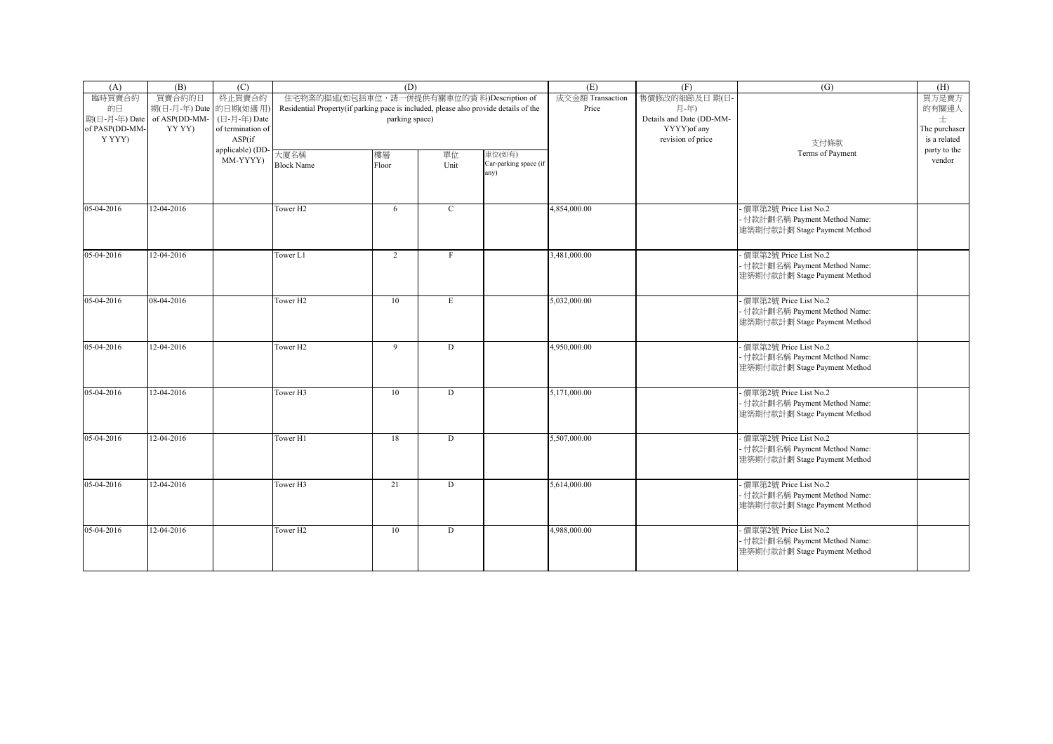| (A)            | (B)                    | (C)               |                                                                                      | (D)            |              |                       | (E)              | (F)                      | (G)                                                           | (H)           |
|----------------|------------------------|-------------------|--------------------------------------------------------------------------------------|----------------|--------------|-----------------------|------------------|--------------------------|---------------------------------------------------------------|---------------|
| 臨時買賣合約         | 買賣合約的日                 | 終止買賣合約            | 住宅物業的描述(如包括車位, 請一併提供有關車位的資料)Description of                                           |                |              |                       | 成交金額 Transaction | 售價修改的細節及日期(日·            |                                                               | 買方是賣方         |
| 的日             | 期(日-月-年) Date 的日期(如適用) |                   | Residential Property(if parking pace is included, please also provide details of the |                |              |                       | Price            | 月-年)                     |                                                               | 的有關連人         |
| 期(日-月-年) Date  | of ASP(DD-MM-          | (日-月-年) Date      |                                                                                      | parking space) |              |                       |                  | Details and Date (DD-MM- |                                                               | 士             |
| of PASP(DD-MM- | YY YY)                 | of termination of |                                                                                      |                |              |                       |                  | YYYY) of any             |                                                               | The purchaser |
| Y YYY)         |                        | ASP(if            |                                                                                      |                |              |                       |                  | revision of price        | 支付條款                                                          | is a related  |
|                |                        | applicable) (DD-  | 大廈名稱                                                                                 | 樓層             | 單位           | 車位(如有)                |                  |                          | Terms of Payment                                              | party to the  |
|                |                        | MM-YYYY)          | <b>Block Name</b>                                                                    | Floor          | Unit         | Car-parking space (if |                  |                          |                                                               | vendor        |
|                |                        |                   |                                                                                      |                |              | any)                  |                  |                          |                                                               |               |
|                |                        |                   |                                                                                      |                |              |                       |                  |                          |                                                               |               |
|                |                        |                   |                                                                                      |                |              |                       |                  |                          |                                                               |               |
| 05-04-2016     | $12 - 04 - 2016$       |                   | Tower <sub>H2</sub>                                                                  | 6              | $\mathbf{C}$ |                       | 4,854,000.00     |                          | 便單第2號 Price List No.2                                         |               |
|                |                        |                   |                                                                                      |                |              |                       |                  |                          | - 付款計劃名稱 Payment Method Name:                                 |               |
|                |                        |                   |                                                                                      |                |              |                       |                  |                          | 建築期付款計劃 Stage Payment Method                                  |               |
|                |                        |                   |                                                                                      |                |              |                       |                  |                          |                                                               |               |
| 05-04-2016     | 12-04-2016             |                   | Tower L1                                                                             | 2              | F            |                       | 3,481,000.00     |                          | 便單第2號 Price List No.2                                         |               |
|                |                        |                   |                                                                                      |                |              |                       |                  |                          | - 付款計劃名稱 Payment Method Name:<br>建築期付款計劃 Stage Payment Method |               |
|                |                        |                   |                                                                                      |                |              |                       |                  |                          |                                                               |               |
| 05-04-2016     | 08-04-2016             |                   | Tower <sub>H2</sub>                                                                  |                |              |                       | 5,032,000.00     |                          | - 價單第2號 Price List No.2                                       |               |
|                |                        |                   |                                                                                      | 10             | E            |                       |                  |                          | - 付款計劃名稱 Payment Method Name:                                 |               |
|                |                        |                   |                                                                                      |                |              |                       |                  |                          | 建築期付款計劃 Stage Payment Method                                  |               |
|                |                        |                   |                                                                                      |                |              |                       |                  |                          |                                                               |               |
| 05-04-2016     | 12-04-2016             |                   | Tower <sub>H2</sub>                                                                  | 9              | D            |                       | 4,950,000.00     |                          | 便單第2號 Price List No.2                                         |               |
|                |                        |                   |                                                                                      |                |              |                       |                  |                          | - 付款計劃名稱 Payment Method Name:                                 |               |
|                |                        |                   |                                                                                      |                |              |                       |                  |                          | 建築期付款計劃 Stage Payment Method                                  |               |
|                |                        |                   |                                                                                      |                |              |                       |                  |                          |                                                               |               |
| 05-04-2016     | $12 - 04 - 2016$       |                   | Tower <sub>H3</sub>                                                                  | 10             | D            |                       | 5,171,000.00     |                          | - 價單第2號 Price List No.2                                       |               |
|                |                        |                   |                                                                                      |                |              |                       |                  |                          | · 付款計劃名稱 Payment Method Name:                                 |               |
|                |                        |                   |                                                                                      |                |              |                       |                  |                          | 建築期付款計劃 Stage Payment Method                                  |               |
|                |                        |                   |                                                                                      |                |              |                       |                  |                          |                                                               |               |
| 05-04-2016     | $12 - 04 - 2016$       |                   | Tower <sub>H1</sub>                                                                  | 18             | D            |                       | 5.507.000.00     |                          | - 價單第2號 Price List No.2                                       |               |
|                |                        |                   |                                                                                      |                |              |                       |                  |                          | · 付款計劃名稱 Payment Method Name:                                 |               |
|                |                        |                   |                                                                                      |                |              |                       |                  |                          | 建築期付款計劃 Stage Payment Method                                  |               |
|                |                        |                   |                                                                                      |                |              |                       |                  |                          |                                                               |               |
| 05-04-2016     | 12-04-2016             |                   | Tower <sub>H3</sub>                                                                  | 21             | D            |                       | 5,614,000.00     |                          | - 價單第2號 Price List No.2                                       |               |
|                |                        |                   |                                                                                      |                |              |                       |                  |                          | · 付款計劃名稱 Payment Method Name:                                 |               |
|                |                        |                   |                                                                                      |                |              |                       |                  |                          | 建築期付款計劃 Stage Payment Method                                  |               |
|                |                        |                   |                                                                                      |                |              |                       |                  |                          |                                                               |               |
| 05-04-2016     | 12-04-2016             |                   | Tower <sub>H2</sub>                                                                  | 10             | D            |                       | 4,988,000.00     |                          | - 價單第2號 Price List No.2                                       |               |
|                |                        |                   |                                                                                      |                |              |                       |                  |                          | · 付款計劃名稱 Payment Method Name:                                 |               |
|                |                        |                   |                                                                                      |                |              |                       |                  |                          | 建築期付款計劃 Stage Payment Method                                  |               |
|                |                        |                   |                                                                                      |                |              |                       |                  |                          |                                                               |               |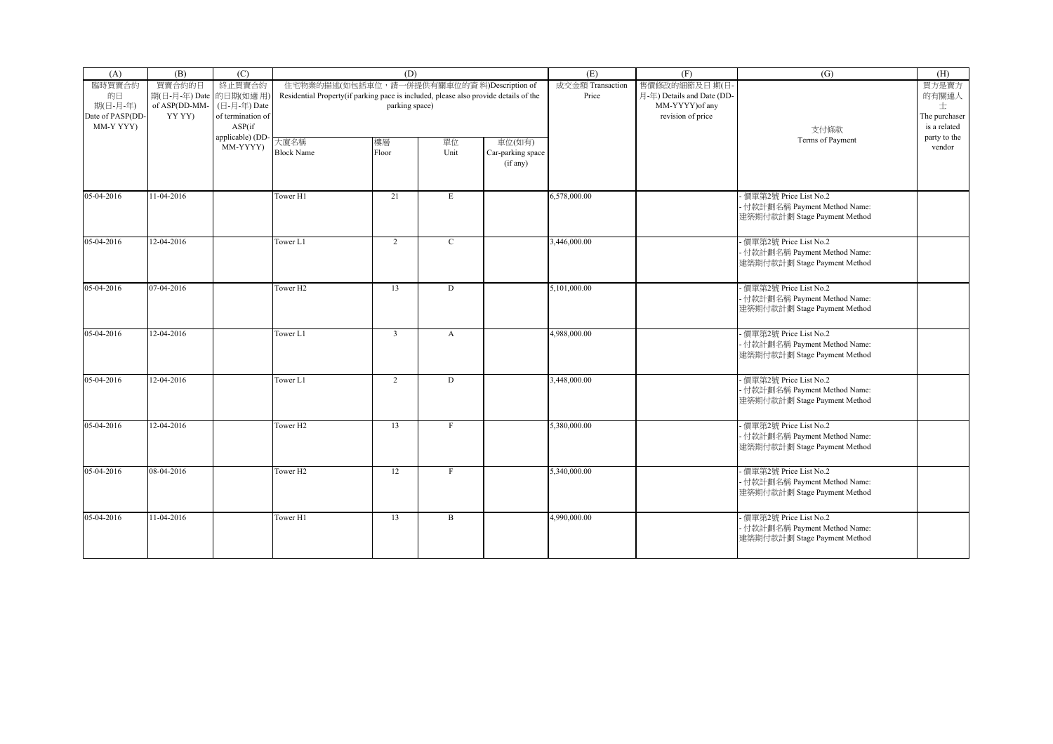| (A)                                       | (B)                              | (C)                                         |                                                                                      | (D)                                        |              |                                         | (E)                       | (F)                                        | (G)                                                                                      | (H)                                |
|-------------------------------------------|----------------------------------|---------------------------------------------|--------------------------------------------------------------------------------------|--------------------------------------------|--------------|-----------------------------------------|---------------------------|--------------------------------------------|------------------------------------------------------------------------------------------|------------------------------------|
| 臨時買賣合約<br>的日                              | 買賣合約的日<br>期(日-月-年) Date 的日期(如適用) | 終止買賣合約                                      | Residential Property(if parking pace is included, please also provide details of the | 住宅物業的描述(如包括車位, 請一併提供有關車位的資料)Description of |              |                                         | 成交金額 Transaction<br>Price | 售價修改的細節及日期(日<br>月-年) Details and Date (DD- |                                                                                          | 買方是賣方<br>的有關連人                     |
| 期(日-月-年)<br>Date of PASP(DD-<br>MM-Y YYY) | of ASP(DD-MM-<br>YY YY)          | (日-月-年) Date<br>of termination of<br>ASP(if |                                                                                      | parking space)                             |              |                                         |                           | MM-YYYY) of any<br>revision of price       | 支付條款                                                                                     | 士<br>The purchaser<br>is a related |
|                                           |                                  | applicable) (DD<br>MM-YYYY)                 | 大廈名稱<br><b>Block Name</b>                                                            | 樓層<br>Floor                                | 單位<br>Unit   | 車位(如有)<br>Car-parking space<br>(if any) |                           |                                            | Terms of Payment                                                                         | party to the<br>vendor             |
| 05-04-2016                                | 11-04-2016                       |                                             | Tower H1                                                                             | 21                                         | E            |                                         | 6,578,000.00              |                                            | - 價單第2號 Price List No.2<br>- 付款計劃名稱 Payment Method Name:<br>建築期付款計劃 Stage Payment Method |                                    |
| 05-04-2016                                | 12-04-2016                       |                                             | Tower L1                                                                             | 2                                          | $\mathbf{C}$ |                                         | 3,446,000.00              |                                            | - 價單第2號 Price List No.2<br>- 付款計劃名稱 Payment Method Name:<br>建築期付款計劃 Stage Payment Method |                                    |
| 05-04-2016                                | 07-04-2016                       |                                             | Tower H <sub>2</sub>                                                                 | 13                                         | D            |                                         | 5,101,000.00              |                                            | 價單第2號 Price List No.2<br>- 付款計劃名稱 Payment Method Name:<br>建築期付款計劃 Stage Payment Method   |                                    |
| 05-04-2016                                | 12-04-2016                       |                                             | Tower L1                                                                             | $\overline{3}$                             | $\mathbf{A}$ |                                         | 4,988,000.00              |                                            | 價單第2號 Price List No.2<br>- 付款計劃名稱 Payment Method Name:<br>建築期付款計劃 Stage Payment Method   |                                    |
| 05-04-2016                                | 12-04-2016                       |                                             | Tower L1                                                                             | $\overline{2}$                             | D            |                                         | 3,448,000.00              |                                            | - 價單第2號 Price List No.2<br>- 付款計劃名稱 Payment Method Name:<br>建築期付款計劃 Stage Payment Method |                                    |
| 05-04-2016                                | 12-04-2016                       |                                             | Tower H <sub>2</sub>                                                                 | 13                                         | $_{\rm F}$   |                                         | 5,380,000.00              |                                            | - 價單第2號 Price List No.2<br>- 付款計劃名稱 Payment Method Name:<br>建築期付款計劃 Stage Payment Method |                                    |
| 05-04-2016                                | 08-04-2016                       |                                             | Tower H <sub>2</sub>                                                                 | 12                                         | $\mathbf{F}$ |                                         | 5,340,000.00              |                                            | 價單第2號 Price List No.2<br>- 付款計劃名稱 Payment Method Name:<br>建築期付款計劃 Stage Payment Method   |                                    |
| 05-04-2016                                | 11-04-2016                       |                                             | Tower H1                                                                             | 13                                         | B            |                                         | 4,990,000.00              |                                            | - 價單第2號 Price List No.2<br>- 付款計劃名稱 Payment Method Name:<br>建築期付款計劃 Stage Payment Method |                                    |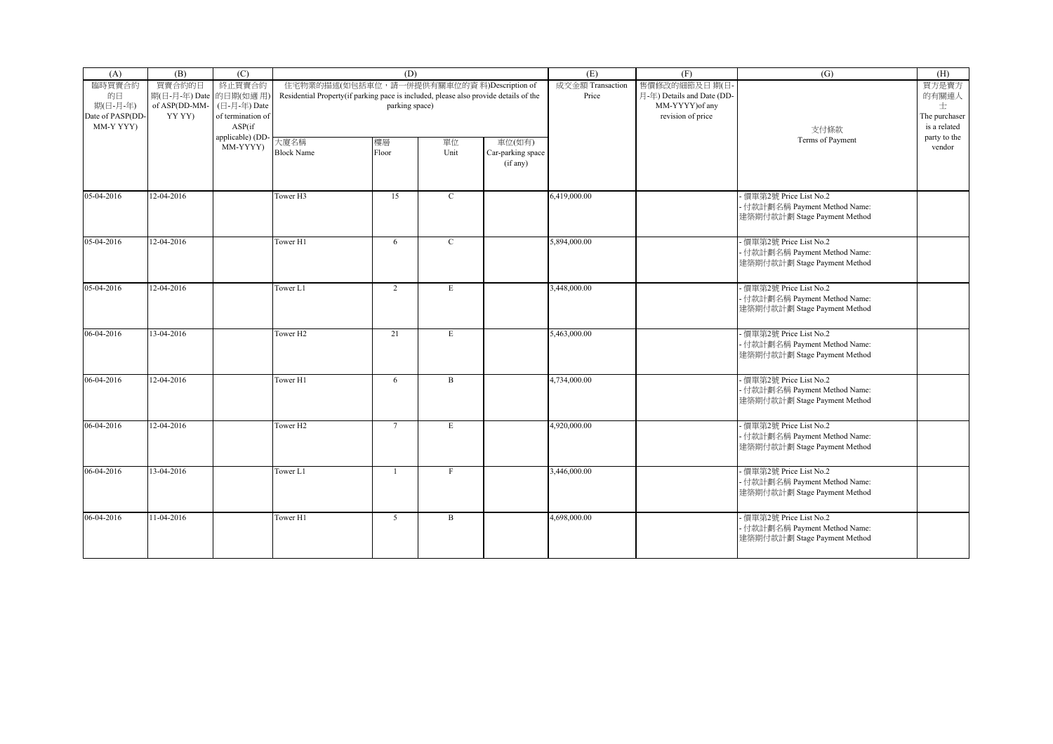| (A)                                       | (B)                              | (C)                                         |                                                                                      | (D)                                        |              |                                         | (E)                       | (F)                                        | (G)                                                                                      | (H)                                |
|-------------------------------------------|----------------------------------|---------------------------------------------|--------------------------------------------------------------------------------------|--------------------------------------------|--------------|-----------------------------------------|---------------------------|--------------------------------------------|------------------------------------------------------------------------------------------|------------------------------------|
| 臨時買賣合約<br>的日                              | 買賣合約的日<br>期(日-月-年) Date 的日期(如適用) | 終止買賣合約                                      | Residential Property(if parking pace is included, please also provide details of the | 住宅物業的描述(如包括車位, 請一併提供有關車位的資料)Description of |              |                                         | 成交金額 Transaction<br>Price | 售價修改的細節及日期(日<br>月-年) Details and Date (DD- |                                                                                          | 買方是賣方<br>的有關連人                     |
| 期(日-月-年)<br>Date of PASP(DD-<br>MM-Y YYY) | of ASP(DD-MM-<br>YY YY)          | (日-月-年) Date<br>of termination of<br>ASP(if |                                                                                      | parking space)                             |              |                                         |                           | MM-YYYY) of any<br>revision of price       | 支付條款                                                                                     | 士<br>The purchaser<br>is a related |
|                                           |                                  | applicable) (DD<br>MM-YYYY)                 | 大廈名稱<br><b>Block Name</b>                                                            | 樓層<br>Floor                                | 單位<br>Unit   | 車位(如有)<br>Car-parking space<br>(if any) |                           |                                            | Terms of Payment                                                                         | party to the<br>vendor             |
| 05-04-2016                                | 12-04-2016                       |                                             | Tower H3                                                                             | 15                                         | $\mathbf C$  |                                         | 6,419,000.00              |                                            | - 價單第2號 Price List No.2<br>- 付款計劃名稱 Payment Method Name:<br>建築期付款計劃 Stage Payment Method |                                    |
| 05-04-2016                                | 12-04-2016                       |                                             | Tower H1                                                                             | 6                                          | $\mathbf{C}$ |                                         | 5,894,000.00              |                                            | - 價單第2號 Price List No.2<br>- 付款計劃名稱 Payment Method Name:<br>建築期付款計劃 Stage Payment Method |                                    |
| 05-04-2016                                | 12-04-2016                       |                                             | Tower L1                                                                             | $\overline{c}$                             | E            |                                         | 3,448,000.00              |                                            | 價單第2號 Price List No.2<br>- 付款計劃名稱 Payment Method Name:<br>建築期付款計劃 Stage Payment Method   |                                    |
| 06-04-2016                                | 13-04-2016                       |                                             | Tower H <sub>2</sub>                                                                 | 21                                         | E            |                                         | 5,463,000.00              |                                            | 價單第2號 Price List No.2<br>- 付款計劃名稱 Payment Method Name:<br>建築期付款計劃 Stage Payment Method   |                                    |
| 06-04-2016                                | 12-04-2016                       |                                             | Tower H1                                                                             | 6                                          | $\, {\bf B}$ |                                         | 4,734,000.00              |                                            | - 價單第2號 Price List No.2<br>- 付款計劃名稱 Payment Method Name:<br>建築期付款計劃 Stage Payment Method |                                    |
| 06-04-2016                                | 12-04-2016                       |                                             | Tower H <sub>2</sub>                                                                 | $7\overline{ }$                            | E            |                                         | 4,920,000.00              |                                            | - 價單第2號 Price List No.2<br>- 付款計劃名稱 Payment Method Name:<br>建築期付款計劃 Stage Payment Method |                                    |
| 06-04-2016                                | 13-04-2016                       |                                             | Tower L1                                                                             | $\overline{1}$                             | $\mathbf{F}$ |                                         | 3,446,000.00              |                                            | 價單第2號 Price List No.2<br>- 付款計劃名稱 Payment Method Name:<br>建築期付款計劃 Stage Payment Method   |                                    |
| 06-04-2016                                | 11-04-2016                       |                                             | Tower H1                                                                             | 5 <sup>5</sup>                             | B            |                                         | 4,698,000.00              |                                            | - 價單第2號 Price List No.2<br>- 付款計劃名稱 Payment Method Name:<br>建築期付款計劃 Stage Payment Method |                                    |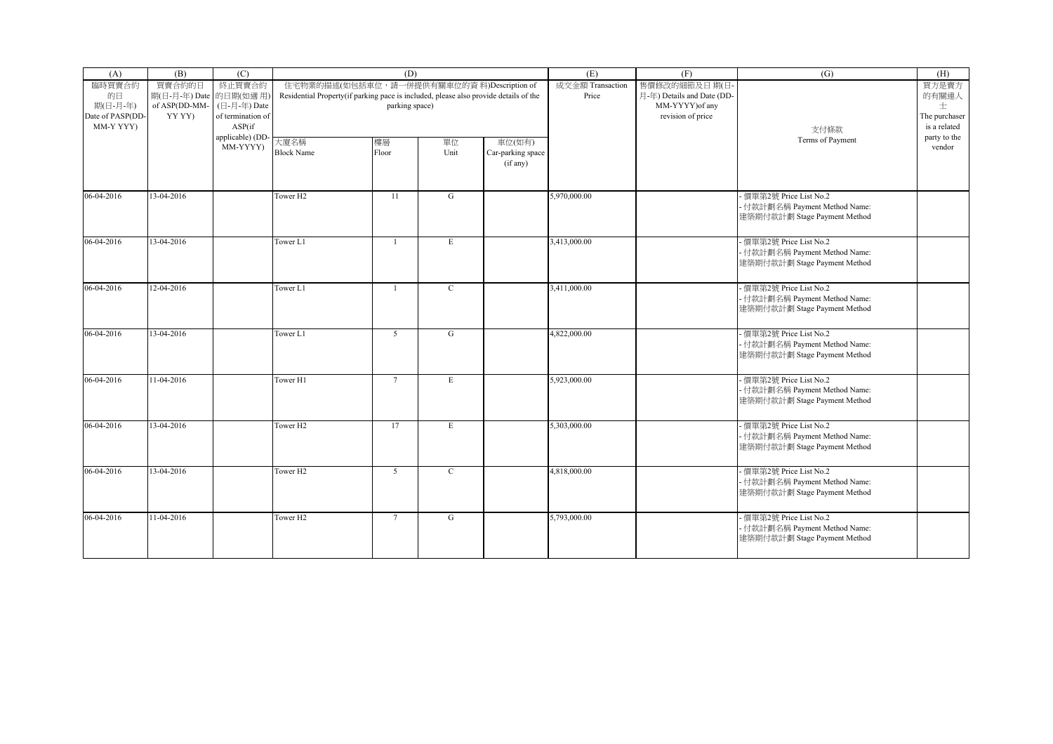| (A)                           | (B)                              | (C)                         |                                                                                      | (D)                                        |              |                                         | (E)                       | (F)                                                           | (G)                                                                                      | (H)                                |
|-------------------------------|----------------------------------|-----------------------------|--------------------------------------------------------------------------------------|--------------------------------------------|--------------|-----------------------------------------|---------------------------|---------------------------------------------------------------|------------------------------------------------------------------------------------------|------------------------------------|
| 臨時買賣合約<br>的日<br>期(日-月-年)      | 買賣合約的日<br>期(日-月-年) Date 的日期(如適用) | 終止買賣合約<br>(日-月-年) Date      | Residential Property(if parking pace is included, please also provide details of the | 住宅物業的描述(如包括車位, 請一併提供有關車位的資料)Description of |              |                                         | 成交金額 Transaction<br>Price | 售價修改的細節及日期(日<br>月-年) Details and Date (DD-<br>MM-YYYY) of any |                                                                                          | 買方是賣方<br>的有關連人                     |
| Date of PASP(DD-<br>MM-Y YYY) | of ASP(DD-MM-<br>YY YY)          | of termination of<br>ASP(if |                                                                                      | parking space)                             |              |                                         |                           | revision of price                                             | 支付條款                                                                                     | 士<br>The purchaser<br>is a related |
|                               |                                  | applicable) (DD<br>MM-YYYY) | 大廈名稱<br><b>Block Name</b>                                                            | 樓層<br>Floor                                | 單位<br>Unit   | 車位(如有)<br>Car-parking space<br>(if any) |                           |                                                               | Terms of Payment                                                                         | party to the<br>vendor             |
| 06-04-2016                    | 13-04-2016                       |                             | Tower H <sub>2</sub>                                                                 | 11                                         | G            |                                         | 5,970,000.00              |                                                               | - 價單第2號 Price List No.2<br>- 付款計劃名稱 Payment Method Name:<br>建築期付款計劃 Stage Payment Method |                                    |
| 06-04-2016                    | 13-04-2016                       |                             | Tower L1                                                                             | $\mathbf{1}$                               | E            |                                         | 3,413,000.00              |                                                               | - 價單第2號 Price List No.2<br>- 付款計劃名稱 Payment Method Name:<br>建築期付款計劃 Stage Payment Method |                                    |
| 06-04-2016                    | 12-04-2016                       |                             | Tower L1                                                                             |                                            | $\mathbf{C}$ |                                         | 3,411,000.00              |                                                               | 價單第2號 Price List No.2<br>- 付款計劃名稱 Payment Method Name:<br>建築期付款計劃 Stage Payment Method   |                                    |
| 06-04-2016                    | 13-04-2016                       |                             | Tower L1                                                                             | 5 <sup>5</sup>                             | G            |                                         | 4,822,000.00              |                                                               | 價單第2號 Price List No.2<br>- 付款計劃名稱 Payment Method Name:<br>建築期付款計劃 Stage Payment Method   |                                    |
| 06-04-2016                    | 11-04-2016                       |                             | Tower H1                                                                             | $\overline{7}$                             | E            |                                         | 5,923,000.00              |                                                               | - 價單第2號 Price List No.2<br>- 付款計劃名稱 Payment Method Name:<br>建築期付款計劃 Stage Payment Method |                                    |
| 06-04-2016                    | 13-04-2016                       |                             | Tower H <sub>2</sub>                                                                 | 17                                         | E            |                                         | 5,303,000.00              |                                                               | - 價單第2號 Price List No.2<br>- 付款計劃名稱 Payment Method Name:<br>建築期付款計劃 Stage Payment Method |                                    |
| 06-04-2016                    | 13-04-2016                       |                             | Tower H <sub>2</sub>                                                                 | 5                                          | $\mathbf C$  |                                         | 4,818,000.00              |                                                               | 價單第2號 Price List No.2<br>- 付款計劃名稱 Payment Method Name:<br>建築期付款計劃 Stage Payment Method   |                                    |
| 06-04-2016                    | 11-04-2016                       |                             | Tower H <sub>2</sub>                                                                 | $7\overline{ }$                            | G            |                                         | 5,793,000.00              |                                                               | - 價單第2號 Price List No.2<br>- 付款計劃名稱 Payment Method Name:<br>建築期付款計劃 Stage Payment Method |                                    |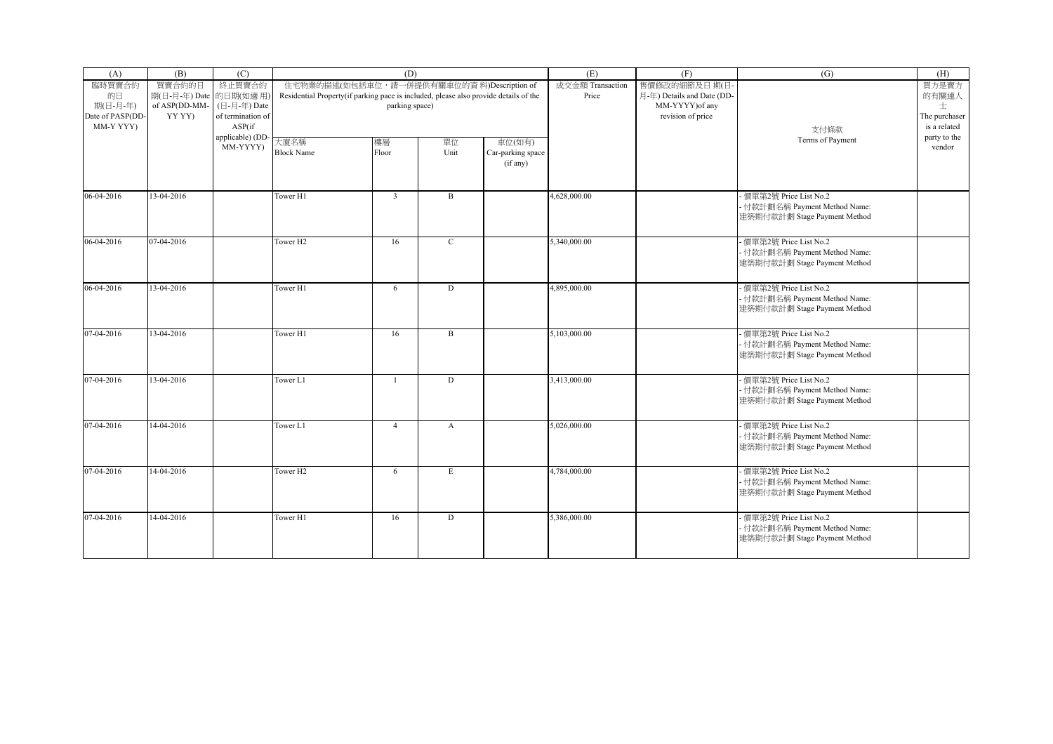| (A)                                       | (B)                              | (C)                                         |                                                                                      | (D)                                        |              |                                         | (E)                       | (F)                                        | (G)                                                                                      | (H)                                |
|-------------------------------------------|----------------------------------|---------------------------------------------|--------------------------------------------------------------------------------------|--------------------------------------------|--------------|-----------------------------------------|---------------------------|--------------------------------------------|------------------------------------------------------------------------------------------|------------------------------------|
| 臨時買賣合約<br>的日                              | 買賣合約的日<br>期(日-月-年) Date 的日期(如適用) | 終止買賣合約                                      | Residential Property(if parking pace is included, please also provide details of the | 住宅物業的描述(如包括車位, 請一併提供有關車位的資料)Description of |              |                                         | 成交金額 Transaction<br>Price | 售價修改的細節及日期(日<br>月-年) Details and Date (DD- |                                                                                          | 買方是賣方<br>的有關連人                     |
| 期(日-月-年)<br>Date of PASP(DD-<br>MM-Y YYY) | of ASP(DD-MM-<br>YY YY)          | (日-月-年) Date<br>of termination of<br>ASP(if |                                                                                      | parking space)                             |              |                                         |                           | MM-YYYY) of any<br>revision of price       | 支付條款                                                                                     | 士<br>The purchaser<br>is a related |
|                                           |                                  | applicable) (DD<br>MM-YYYY)                 | 大廈名稱<br><b>Block Name</b>                                                            | 樓層<br>Floor                                | 單位<br>Unit   | 車位(如有)<br>Car-parking space<br>(if any) |                           |                                            | Terms of Payment                                                                         | party to the<br>vendor             |
| 06-04-2016                                | 13-04-2016                       |                                             | Tower H1                                                                             | $\overline{3}$                             | B            |                                         | 4,628,000.00              |                                            | - 價單第2號 Price List No.2<br>- 付款計劃名稱 Payment Method Name:<br>建築期付款計劃 Stage Payment Method |                                    |
| 06-04-2016                                | 07-04-2016                       |                                             | Tower H <sub>2</sub>                                                                 | 16                                         | $\mathbf{C}$ |                                         | 5,340,000.00              |                                            | - 價單第2號 Price List No.2<br>- 付款計劃名稱 Payment Method Name:<br>建築期付款計劃 Stage Payment Method |                                    |
| 06-04-2016                                | 13-04-2016                       |                                             | Tower H1                                                                             | 6                                          | D            |                                         | 4,895,000.00              |                                            | 價單第2號 Price List No.2<br>- 付款計劃名稱 Payment Method Name:<br>建築期付款計劃 Stage Payment Method   |                                    |
| 07-04-2016                                | 13-04-2016                       |                                             | Tower H1                                                                             | 16                                         | $\mathbf{B}$ |                                         | 5,103,000.00              |                                            | 價單第2號 Price List No.2<br>- 付款計劃名稱 Payment Method Name:<br>建築期付款計劃 Stage Payment Method   |                                    |
| 07-04-2016                                | 13-04-2016                       |                                             | Tower L1                                                                             | $\overline{1}$                             | D            |                                         | 3,413,000.00              |                                            | - 價單第2號 Price List No.2<br>- 付款計劃名稱 Payment Method Name:<br>建築期付款計劃 Stage Payment Method |                                    |
| 07-04-2016                                | 14-04-2016                       |                                             | Tower L1                                                                             | $\overline{4}$                             | $\mathbf{A}$ |                                         | 5,026,000.00              |                                            | - 價單第2號 Price List No.2<br>- 付款計劃名稱 Payment Method Name:<br>建築期付款計劃 Stage Payment Method |                                    |
| 07-04-2016                                | 14-04-2016                       |                                             | Tower H <sub>2</sub>                                                                 | 6                                          | E            |                                         | 4,784,000.00              |                                            | 價單第2號 Price List No.2<br>- 付款計劃名稱 Payment Method Name:<br>建築期付款計劃 Stage Payment Method   |                                    |
| 07-04-2016                                | 14-04-2016                       |                                             | Tower H1                                                                             | 16                                         | D            |                                         | 5,386,000.00              |                                            | - 價單第2號 Price List No.2<br>- 付款計劃名稱 Payment Method Name:<br>建築期付款計劃 Stage Payment Method |                                    |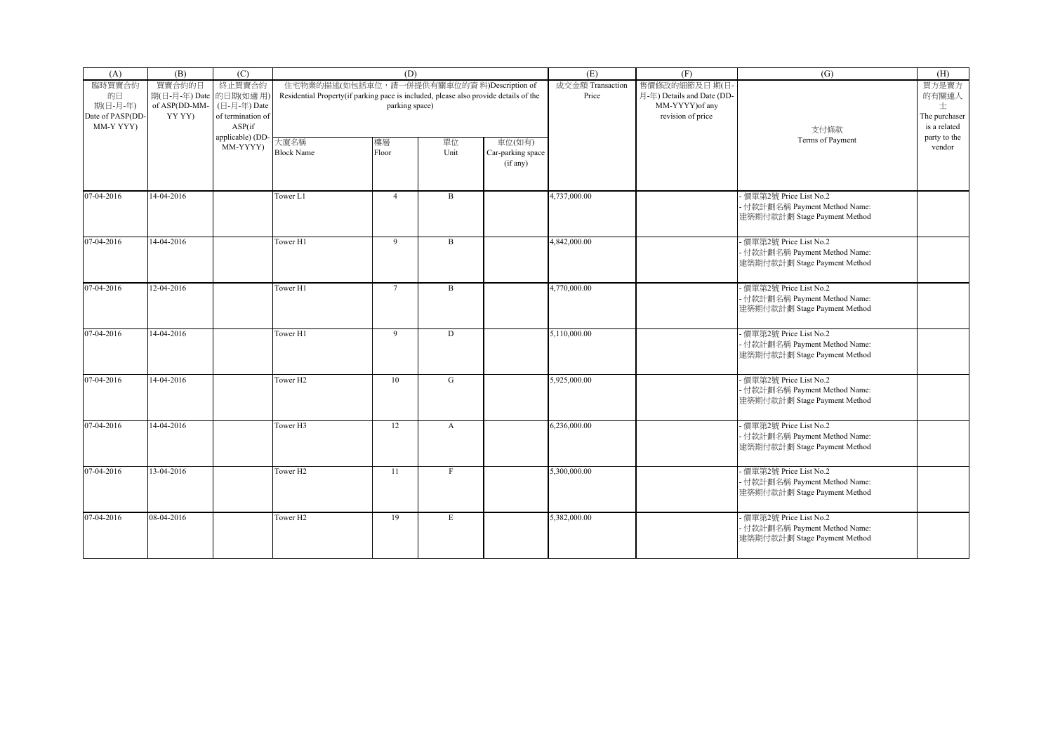| (A)                                       | (B)                              | (C)                                         |                                                                                      | (D)                                        |              |                                         | (E)                       | (F)                                        | (G)                                                                                      | (H)                                |
|-------------------------------------------|----------------------------------|---------------------------------------------|--------------------------------------------------------------------------------------|--------------------------------------------|--------------|-----------------------------------------|---------------------------|--------------------------------------------|------------------------------------------------------------------------------------------|------------------------------------|
| 臨時買賣合約<br>的日                              | 買賣合約的日<br>期(日-月-年) Date 的日期(如適用) | 終止買賣合約                                      | Residential Property(if parking pace is included, please also provide details of the | 住宅物業的描述(如包括車位, 請一併提供有關車位的資料)Description of |              |                                         | 成交金額 Transaction<br>Price | 售價修改的細節及日期(日<br>月-年) Details and Date (DD- |                                                                                          | 買方是賣方<br>的有關連人                     |
| 期(日-月-年)<br>Date of PASP(DD-<br>MM-Y YYY) | of ASP(DD-MM-<br>YY YY)          | (日-月-年) Date<br>of termination of<br>ASP(if |                                                                                      | parking space)                             |              |                                         |                           | MM-YYYY) of any<br>revision of price       | 支付條款                                                                                     | 士<br>The purchaser<br>is a related |
|                                           |                                  | applicable) (DD<br>MM-YYYY)                 | 大廈名稱<br><b>Block Name</b>                                                            | 樓層<br>Floor                                | 單位<br>Unit   | 車位(如有)<br>Car-parking space<br>(if any) |                           |                                            | Terms of Payment                                                                         | party to the<br>vendor             |
| 07-04-2016                                | 14-04-2016                       |                                             | Tower L1                                                                             | $\overline{4}$                             | B            |                                         | 4,737,000.00              |                                            | - 價單第2號 Price List No.2<br>- 付款計劃名稱 Payment Method Name:<br>建築期付款計劃 Stage Payment Method |                                    |
| 07-04-2016                                | 14-04-2016                       |                                             | Tower H1                                                                             | 9                                          | B            |                                         | 4,842,000.00              |                                            | - 價單第2號 Price List No.2<br>- 付款計劃名稱 Payment Method Name:<br>建築期付款計劃 Stage Payment Method |                                    |
| 07-04-2016                                | 12-04-2016                       |                                             | Tower H1                                                                             | $\overline{7}$                             | $\mathbf B$  |                                         | 4,770,000.00              |                                            | 價單第2號 Price List No.2<br>- 付款計劃名稱 Payment Method Name:<br>建築期付款計劃 Stage Payment Method   |                                    |
| 07-04-2016                                | 14-04-2016                       |                                             | Tower H1                                                                             | $\overline{9}$                             | D            |                                         | 5,110,000.00              |                                            | 價單第2號 Price List No.2<br>- 付款計劃名稱 Payment Method Name:<br>建築期付款計劃 Stage Payment Method   |                                    |
| 07-04-2016                                | 14-04-2016                       |                                             | Tower H <sub>2</sub>                                                                 | 10                                         | G            |                                         | 5,925,000.00              |                                            | - 價單第2號 Price List No.2<br>- 付款計劃名稱 Payment Method Name:<br>建築期付款計劃 Stage Payment Method |                                    |
| 07-04-2016                                | 14-04-2016                       |                                             | Tower <sub>H3</sub>                                                                  | 12                                         | $\mathbf{A}$ |                                         | 6,236,000.00              |                                            | - 價單第2號 Price List No.2<br>- 付款計劃名稱 Payment Method Name:<br>建築期付款計劃 Stage Payment Method |                                    |
| 07-04-2016                                | 13-04-2016                       |                                             | Tower H <sub>2</sub>                                                                 | 11                                         | $\mathbf{F}$ |                                         | 5,300,000.00              |                                            | 價單第2號 Price List No.2<br>- 付款計劃名稱 Payment Method Name:<br>建築期付款計劃 Stage Payment Method   |                                    |
| 07-04-2016                                | 08-04-2016                       |                                             | Tower H <sub>2</sub>                                                                 | 19                                         | E            |                                         | 5,382,000.00              |                                            | - 價單第2號 Price List No.2<br>- 付款計劃名稱 Payment Method Name:<br>建築期付款計劃 Stage Payment Method |                                    |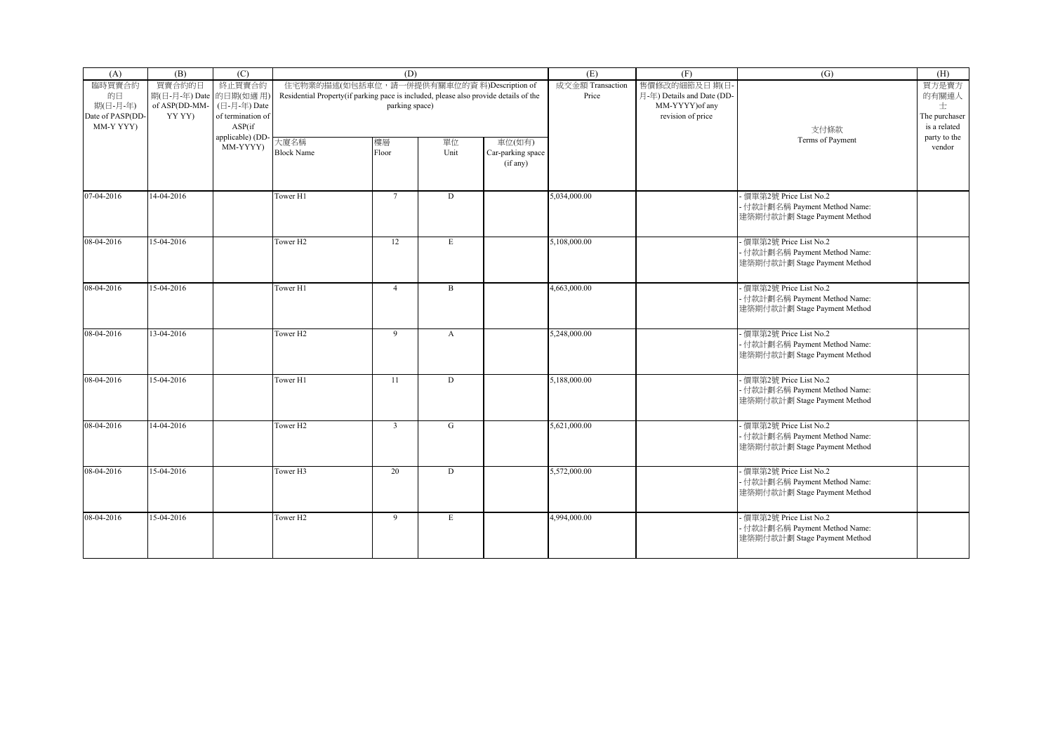| (A)                                       | (B)                              | (C)                                         |                                                                                      | (D)                                        |              |                                         | (E)                       | (F)                                        | (G)                                                                                      | (H)                                |
|-------------------------------------------|----------------------------------|---------------------------------------------|--------------------------------------------------------------------------------------|--------------------------------------------|--------------|-----------------------------------------|---------------------------|--------------------------------------------|------------------------------------------------------------------------------------------|------------------------------------|
| 臨時買賣合約<br>的日                              | 買賣合約的日<br>期(日-月-年) Date 的日期(如適用) | 終止買賣合約                                      | Residential Property(if parking pace is included, please also provide details of the | 住宅物業的描述(如包括車位, 請一併提供有關車位的資料)Description of |              |                                         | 成交金額 Transaction<br>Price | 售價修改的細節及日期(日<br>月-年) Details and Date (DD- |                                                                                          | 買方是賣方<br>的有關連人                     |
| 期(日-月-年)<br>Date of PASP(DD-<br>MM-Y YYY) | of ASP(DD-MM-<br>YY YY)          | (日-月-年) Date<br>of termination of<br>ASP(if |                                                                                      | parking space)                             |              |                                         |                           | MM-YYYY) of any<br>revision of price       | 支付條款                                                                                     | 士<br>The purchaser<br>is a related |
|                                           |                                  | applicable) (DD<br>MM-YYYY)                 | 大廈名稱<br><b>Block Name</b>                                                            | 樓層<br>Floor                                | 單位<br>Unit   | 車位(如有)<br>Car-parking space<br>(if any) |                           |                                            | Terms of Payment                                                                         | party to the<br>vendor             |
| 07-04-2016                                | 14-04-2016                       |                                             | Tower H1                                                                             | $7\overline{ }$                            | D            |                                         | 5,034,000.00              |                                            | - 價單第2號 Price List No.2<br>- 付款計劃名稱 Payment Method Name:<br>建築期付款計劃 Stage Payment Method |                                    |
| 08-04-2016                                | 15-04-2016                       |                                             | Tower H <sub>2</sub>                                                                 | 12                                         | E            |                                         | 5,108,000.00              |                                            | - 價單第2號 Price List No.2<br>- 付款計劃名稱 Payment Method Name:<br>建築期付款計劃 Stage Payment Method |                                    |
| 08-04-2016                                | 15-04-2016                       |                                             | Tower H1                                                                             | $\overline{4}$                             | $\mathbf B$  |                                         | 4,663,000.00              |                                            | 價單第2號 Price List No.2<br>- 付款計劃名稱 Payment Method Name:<br>建築期付款計劃 Stage Payment Method   |                                    |
| 08-04-2016                                | 13-04-2016                       |                                             | Tower H <sub>2</sub>                                                                 | $\overline{9}$                             | $\mathbf{A}$ |                                         | 5,248,000.00              |                                            | 價單第2號 Price List No.2<br>- 付款計劃名稱 Payment Method Name:<br>建築期付款計劃 Stage Payment Method   |                                    |
| 08-04-2016                                | 15-04-2016                       |                                             | Tower H1                                                                             | 11                                         | D            |                                         | 5,188,000.00              |                                            | - 價單第2號 Price List No.2<br>- 付款計劃名稱 Payment Method Name:<br>建築期付款計劃 Stage Payment Method |                                    |
| 08-04-2016                                | 14-04-2016                       |                                             | Tower H <sub>2</sub>                                                                 | $\overline{3}$                             | G            |                                         | 5,621,000.00              |                                            | - 價單第2號 Price List No.2<br>- 付款計劃名稱 Payment Method Name:<br>建築期付款計劃 Stage Payment Method |                                    |
| 08-04-2016                                | 15-04-2016                       |                                             | Tower H3                                                                             | 20                                         | D            |                                         | 5,572,000.00              |                                            | 價單第2號 Price List No.2<br>- 付款計劃名稱 Payment Method Name:<br>建築期付款計劃 Stage Payment Method   |                                    |
| 08-04-2016                                | 15-04-2016                       |                                             | Tower H <sub>2</sub>                                                                 | 9                                          | E            |                                         | 4,994,000.00              |                                            | - 價單第2號 Price List No.2<br>- 付款計劃名稱 Payment Method Name:<br>建築期付款計劃 Stage Payment Method |                                    |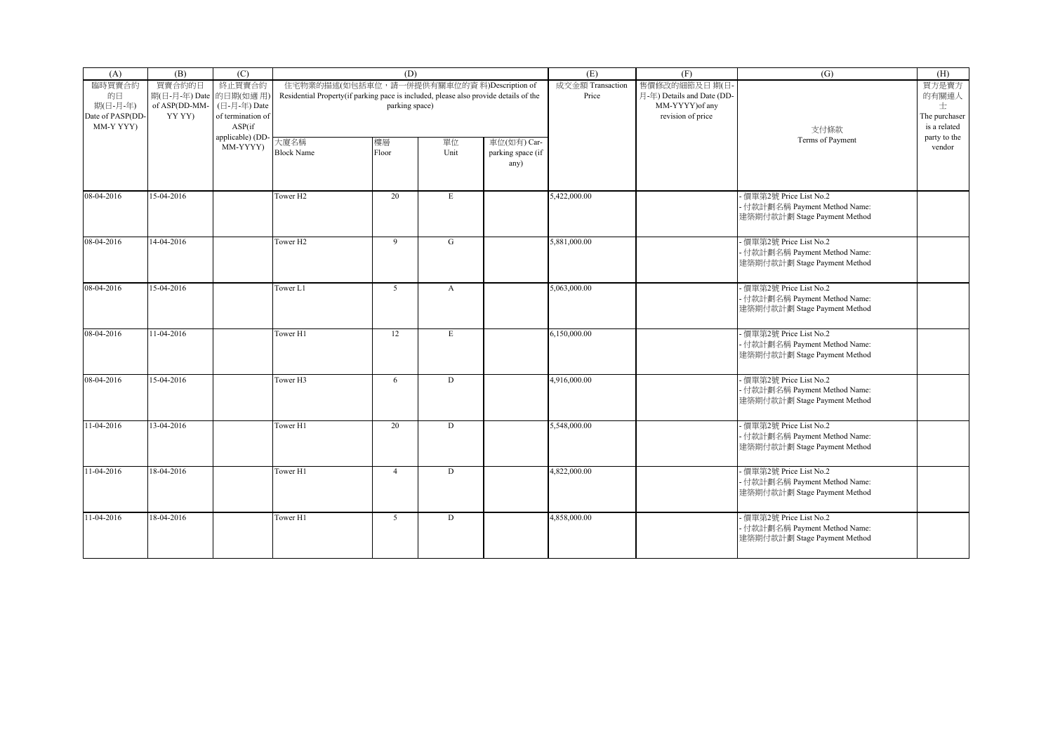| (A)                                       | (B)                              | (C)                                         |                                                                                      | (D)                                        |              |                                          | (E)                       | (F)                                        | (G)                                                                                      | (H)                                |
|-------------------------------------------|----------------------------------|---------------------------------------------|--------------------------------------------------------------------------------------|--------------------------------------------|--------------|------------------------------------------|---------------------------|--------------------------------------------|------------------------------------------------------------------------------------------|------------------------------------|
| 臨時買賣合約<br>的日                              | 買賣合約的日<br>期(日-月-年) Date 的日期(如適用) | 終止買賣合約                                      | Residential Property(if parking pace is included, please also provide details of the | 住宅物業的描述(如包括車位, 請一併提供有關車位的資料)Description of |              |                                          | 成交金額 Transaction<br>Price | 售價修改的細節及日期(日<br>月-年) Details and Date (DD- |                                                                                          | 買方是賣方<br>的有關連人                     |
| 期(日-月-年)<br>Date of PASP(DD-<br>MM-Y YYY) | of ASP(DD-MM-<br>YY YY)          | (日-月-年) Date<br>of termination of<br>ASP(if |                                                                                      | parking space)                             |              |                                          |                           | MM-YYYY) of any<br>revision of price       | 支付條款                                                                                     | 士<br>The purchaser<br>is a related |
|                                           |                                  | applicable) (DD<br>MM-YYYY)                 | 大廈名稱<br><b>Block Name</b>                                                            | 樓層<br>Floor                                | 單位<br>Unit   | 車位(如有) Car-<br>parking space (if<br>any) |                           |                                            | Terms of Payment                                                                         | party to the<br>vendor             |
| 08-04-2016                                | 15-04-2016                       |                                             | Tower H <sub>2</sub>                                                                 | 20                                         | E            |                                          | 5,422,000.00              |                                            | - 價單第2號 Price List No.2<br>- 付款計劃名稱 Payment Method Name:<br>建築期付款計劃 Stage Payment Method |                                    |
| 08-04-2016                                | 14-04-2016                       |                                             | Tower H <sub>2</sub>                                                                 | 9                                          | G            |                                          | 5,881,000.00              |                                            | - 價單第2號 Price List No.2<br>- 付款計劃名稱 Payment Method Name:<br>建築期付款計劃 Stage Payment Method |                                    |
| 08-04-2016                                | 15-04-2016                       |                                             | Tower L1                                                                             | 5                                          | $\mathbf{A}$ |                                          | 5,063,000.00              |                                            | 價單第2號 Price List No.2<br>- 付款計劃名稱 Payment Method Name:<br>建築期付款計劃 Stage Payment Method   |                                    |
| 08-04-2016                                | 11-04-2016                       |                                             | Tower H1                                                                             | 12                                         | E            |                                          | 6,150,000.00              |                                            | 價單第2號 Price List No.2<br>- 付款計劃名稱 Payment Method Name:<br>建築期付款計劃 Stage Payment Method   |                                    |
| 08-04-2016                                | 15-04-2016                       |                                             | Tower H3                                                                             | 6                                          | D            |                                          | 4,916,000.00              |                                            | - 價單第2號 Price List No.2<br>- 付款計劃名稱 Payment Method Name:<br>建築期付款計劃 Stage Payment Method |                                    |
| 11-04-2016                                | 13-04-2016                       |                                             | Tower H1                                                                             | 20                                         | D            |                                          | 5,548,000.00              |                                            | - 價單第2號 Price List No.2<br>- 付款計劃名稱 Payment Method Name:<br>建築期付款計劃 Stage Payment Method |                                    |
| $11-04-2016$                              | 18-04-2016                       |                                             | Tower H1                                                                             | $\overline{4}$                             | D            |                                          | 4,822,000.00              |                                            | 價單第2號 Price List No.2<br>- 付款計劃名稱 Payment Method Name:<br>建築期付款計劃 Stage Payment Method   |                                    |
| 11-04-2016                                | 18-04-2016                       |                                             | Tower H1                                                                             | 5 <sup>5</sup>                             | D            |                                          | 4,858,000.00              |                                            | - 價單第2號 Price List No.2<br>- 付款計劃名稱 Payment Method Name:<br>建築期付款計劃 Stage Payment Method |                                    |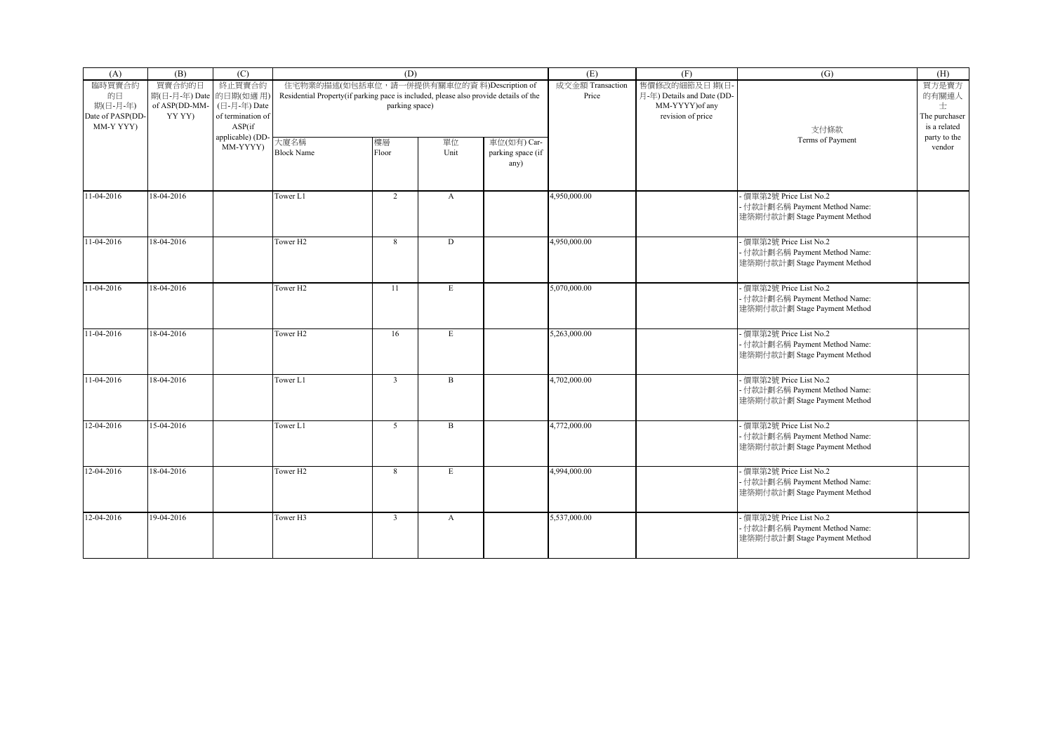| (A)                                       | (B)                              | (C)                                         |                                                                                      | (D)                                        |              |                                          | (E)                       | (F)                                        | (G)                                                                                      | (H)                                |
|-------------------------------------------|----------------------------------|---------------------------------------------|--------------------------------------------------------------------------------------|--------------------------------------------|--------------|------------------------------------------|---------------------------|--------------------------------------------|------------------------------------------------------------------------------------------|------------------------------------|
| 臨時買賣合約<br>的日                              | 買賣合約的日<br>期(日-月-年) Date 的日期(如適用) | 終止買賣合約                                      | Residential Property(if parking pace is included, please also provide details of the | 住宅物業的描述(如包括車位, 請一併提供有關車位的資料)Description of |              |                                          | 成交金額 Transaction<br>Price | 售價修改的細節及日期(日<br>月-年) Details and Date (DD- |                                                                                          | 買方是賣方<br>的有關連人                     |
| 期(日-月-年)<br>Date of PASP(DD-<br>MM-Y YYY) | of ASP(DD-MM-<br>YY YY)          | (日-月-年) Date<br>of termination of<br>ASP(if |                                                                                      | parking space)                             |              |                                          |                           | MM-YYYY) of any<br>revision of price       | 支付條款                                                                                     | 士<br>The purchaser<br>is a related |
|                                           |                                  | applicable) (DD<br>MM-YYYY)                 | 大廈名稱<br><b>Block Name</b>                                                            | 樓層<br>Floor                                | 單位<br>Unit   | 車位(如有) Car-<br>parking space (if<br>any) |                           |                                            | Terms of Payment                                                                         | party to the<br>vendor             |
| 11-04-2016                                | 18-04-2016                       |                                             | Tower L1                                                                             | $\overline{2}$                             | $\mathbf{A}$ |                                          | 4,950,000.00              |                                            | - 價單第2號 Price List No.2<br>- 付款計劃名稱 Payment Method Name:<br>建築期付款計劃 Stage Payment Method |                                    |
| 11-04-2016                                | 18-04-2016                       |                                             | Tower H <sub>2</sub>                                                                 | 8                                          | D            |                                          | 4,950,000.00              |                                            | - 價單第2號 Price List No.2<br>- 付款計劃名稱 Payment Method Name:<br>建築期付款計劃 Stage Payment Method |                                    |
| 11-04-2016                                | 18-04-2016                       |                                             | Tower H <sub>2</sub>                                                                 | 11                                         | E            |                                          | 5,070,000.00              |                                            | 價單第2號 Price List No.2<br>- 付款計劃名稱 Payment Method Name:<br>建築期付款計劃 Stage Payment Method   |                                    |
| 11-04-2016                                | 18-04-2016                       |                                             | Tower <sub>H2</sub>                                                                  | 16                                         | E            |                                          | 5,263,000.00              |                                            | 價單第2號 Price List No.2<br>- 付款計劃名稱 Payment Method Name:<br>建築期付款計劃 Stage Payment Method   |                                    |
| 11-04-2016                                | 18-04-2016                       |                                             | Tower L1                                                                             | $\overline{3}$                             | $\, {\bf B}$ |                                          | 4,702,000.00              |                                            | - 價單第2號 Price List No.2<br>- 付款計劃名稱 Payment Method Name:<br>建築期付款計劃 Stage Payment Method |                                    |
| 12-04-2016                                | 15-04-2016                       |                                             | Tower L1                                                                             | 5                                          | $\mathbf{B}$ |                                          | 4,772,000.00              |                                            | - 價單第2號 Price List No.2<br>- 付款計劃名稱 Payment Method Name:<br>建築期付款計劃 Stage Payment Method |                                    |
| $12 - 04 - 2016$                          | 18-04-2016                       |                                             | Tower H <sub>2</sub>                                                                 | 8                                          | E            |                                          | 4,994,000.00              |                                            | 價單第2號 Price List No.2<br>- 付款計劃名稱 Payment Method Name:<br>建築期付款計劃 Stage Payment Method   |                                    |
| 12-04-2016                                | 19-04-2016                       |                                             | Tower H3                                                                             | $\overline{3}$                             | $\mathbf{A}$ |                                          | 5,537,000.00              |                                            | - 價單第2號 Price List No.2<br>- 付款計劃名稱 Payment Method Name:<br>建築期付款計劃 Stage Payment Method |                                    |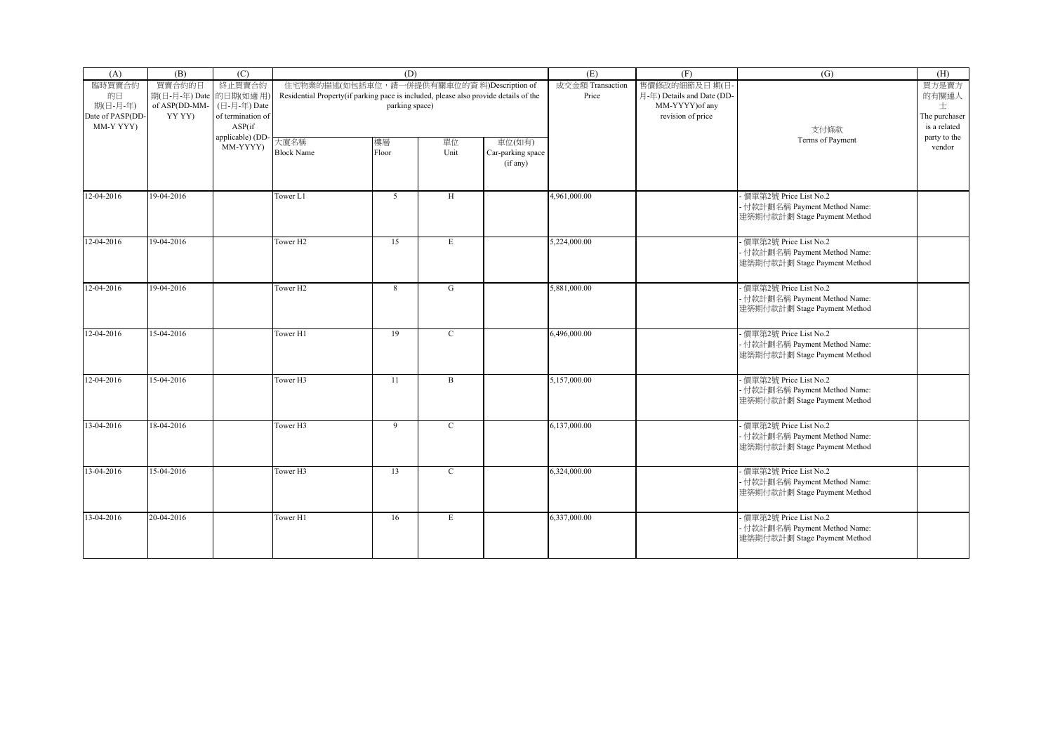| (A)                                       | (B)                              | (C)                                         |                                                                                      | (D)                                        |              |                                         | (E)                       | (F)                                        | (G)                                                                                      | (H)                                |
|-------------------------------------------|----------------------------------|---------------------------------------------|--------------------------------------------------------------------------------------|--------------------------------------------|--------------|-----------------------------------------|---------------------------|--------------------------------------------|------------------------------------------------------------------------------------------|------------------------------------|
| 臨時買賣合約<br>的日                              | 買賣合約的日<br>期(日-月-年) Date 的日期(如適用) | 終止買賣合約                                      | Residential Property(if parking pace is included, please also provide details of the | 住宅物業的描述(如包括車位, 請一併提供有關車位的資料)Description of |              |                                         | 成交金額 Transaction<br>Price | 售價修改的細節及日期(日<br>月-年) Details and Date (DD- |                                                                                          | 買方是賣方<br>的有關連人                     |
| 期(日-月-年)<br>Date of PASP(DD-<br>MM-Y YYY) | of ASP(DD-MM-<br>YY YY)          | (日-月-年) Date<br>of termination of<br>ASP(if |                                                                                      | parking space)                             |              |                                         |                           | MM-YYYY) of any<br>revision of price       | 支付條款                                                                                     | 士<br>The purchaser<br>is a related |
|                                           |                                  | applicable) (DD<br>MM-YYYY)                 | 大廈名稱<br><b>Block Name</b>                                                            | 樓層<br>Floor                                | 單位<br>Unit   | 車位(如有)<br>Car-parking space<br>(if any) |                           |                                            | Terms of Payment                                                                         | party to the<br>vendor             |
| 12-04-2016                                | 19-04-2016                       |                                             | Tower L1                                                                             | 5 <sup>5</sup>                             | H            |                                         | 4,961,000.00              |                                            | - 價單第2號 Price List No.2<br>- 付款計劃名稱 Payment Method Name:<br>建築期付款計劃 Stage Payment Method |                                    |
| 12-04-2016                                | 19-04-2016                       |                                             | Tower H <sub>2</sub>                                                                 | 15                                         | E            |                                         | 5,224,000.00              |                                            | - 價單第2號 Price List No.2<br>- 付款計劃名稱 Payment Method Name:<br>建築期付款計劃 Stage Payment Method |                                    |
| 12-04-2016                                | 19-04-2016                       |                                             | Tower H <sub>2</sub>                                                                 | 8                                          | G            |                                         | 5,881,000.00              |                                            | 價單第2號 Price List No.2<br>- 付款計劃名稱 Payment Method Name:<br>建築期付款計劃 Stage Payment Method   |                                    |
| 12-04-2016                                | 15-04-2016                       |                                             | Tower H1                                                                             | 19                                         | $\mathbf{C}$ |                                         | 6,496,000.00              |                                            | 價單第2號 Price List No.2<br>- 付款計劃名稱 Payment Method Name:<br>建築期付款計劃 Stage Payment Method   |                                    |
| 12-04-2016                                | 15-04-2016                       |                                             | Tower H3                                                                             | 11                                         | $\, {\bf B}$ |                                         | 5,157,000.00              |                                            | - 價單第2號 Price List No.2<br>- 付款計劃名稱 Payment Method Name:<br>建築期付款計劃 Stage Payment Method |                                    |
| 13-04-2016                                | 18-04-2016                       |                                             | Tower <sub>H3</sub>                                                                  | 9                                          | $\mathbf C$  |                                         | 6,137,000.00              |                                            | - 價單第2號 Price List No.2<br>- 付款計劃名稱 Payment Method Name:<br>建築期付款計劃 Stage Payment Method |                                    |
| 13-04-2016                                | 15-04-2016                       |                                             | Tower H3                                                                             | 13                                         | $\mathbf C$  |                                         | 6,324,000.00              |                                            | 價單第2號 Price List No.2<br>- 付款計劃名稱 Payment Method Name:<br>建築期付款計劃 Stage Payment Method   |                                    |
| 13-04-2016                                | 20-04-2016                       |                                             | Tower H1                                                                             | 16                                         | E            |                                         | 6,337,000.00              |                                            | - 價單第2號 Price List No.2<br>- 付款計劃名稱 Payment Method Name:<br>建築期付款計劃 Stage Payment Method |                                    |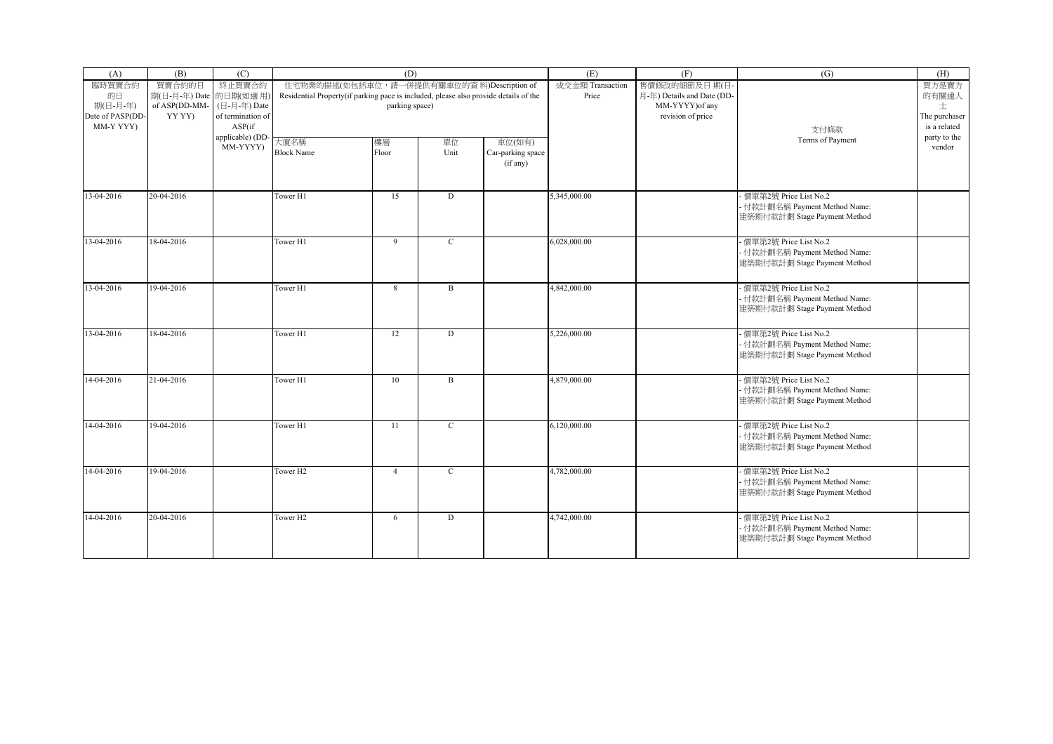| (A)                                       | (B)                              | (C)                                         |                                                                                      | (D)                                        |              |                                         | (E)                       | (F)                                        | (G)                                                                                      | (H)                                |
|-------------------------------------------|----------------------------------|---------------------------------------------|--------------------------------------------------------------------------------------|--------------------------------------------|--------------|-----------------------------------------|---------------------------|--------------------------------------------|------------------------------------------------------------------------------------------|------------------------------------|
| 臨時買賣合約<br>的日                              | 買賣合約的日<br>期(日-月-年) Date 的日期(如適用) | 終止買賣合約                                      | Residential Property(if parking pace is included, please also provide details of the | 住宅物業的描述(如包括車位, 請一併提供有關車位的資料)Description of |              |                                         | 成交金額 Transaction<br>Price | 售價修改的細節及日期(日<br>月-年) Details and Date (DD- |                                                                                          | 買方是賣方<br>的有關連人                     |
| 期(日-月-年)<br>Date of PASP(DD-<br>MM-Y YYY) | of ASP(DD-MM-<br>YY YY)          | (日-月-年) Date<br>of termination of<br>ASP(if |                                                                                      | parking space)                             |              |                                         |                           | MM-YYYY) of any<br>revision of price       | 支付條款                                                                                     | 士<br>The purchaser<br>is a related |
|                                           |                                  | applicable) (DD<br>MM-YYYY)                 | 大廈名稱<br><b>Block Name</b>                                                            | 樓層<br>Floor                                | 單位<br>Unit   | 車位(如有)<br>Car-parking space<br>(if any) |                           |                                            | Terms of Payment                                                                         | party to the<br>vendor             |
| 13-04-2016                                | 20-04-2016                       |                                             | Tower H1                                                                             | 15                                         | D            |                                         | 5,345,000.00              |                                            | - 價單第2號 Price List No.2<br>- 付款計劃名稱 Payment Method Name:<br>建築期付款計劃 Stage Payment Method |                                    |
| 13-04-2016                                | 18-04-2016                       |                                             | Tower H1                                                                             | 9                                          | $\mathbf{C}$ |                                         | 6.028.000.00              |                                            | - 價單第2號 Price List No.2<br>- 付款計劃名稱 Payment Method Name:<br>建築期付款計劃 Stage Payment Method |                                    |
| 13-04-2016                                | 19-04-2016                       |                                             | Tower H1                                                                             | 8                                          | $\mathbf{B}$ |                                         | 4,842,000.00              |                                            | 價單第2號 Price List No.2<br>- 付款計劃名稱 Payment Method Name:<br>建築期付款計劃 Stage Payment Method   |                                    |
| 13-04-2016                                | 18-04-2016                       |                                             | Tower H1                                                                             | 12                                         | D            |                                         | 5,226,000.00              |                                            | 價單第2號 Price List No.2<br>- 付款計劃名稱 Payment Method Name:<br>建築期付款計劃 Stage Payment Method   |                                    |
| 14-04-2016                                | 21-04-2016                       |                                             | Tower H1                                                                             | 10                                         | $\, {\bf B}$ |                                         | 4,879,000.00              |                                            | - 價單第2號 Price List No.2<br>- 付款計劃名稱 Payment Method Name:<br>建築期付款計劃 Stage Payment Method |                                    |
| 14-04-2016                                | 19-04-2016                       |                                             | Tower H1                                                                             | 11                                         | $\mathbf C$  |                                         | 6,120,000.00              |                                            | - 價單第2號 Price List No.2<br>- 付款計劃名稱 Payment Method Name:<br>建築期付款計劃 Stage Payment Method |                                    |
| 14-04-2016                                | 19-04-2016                       |                                             | Tower H <sub>2</sub>                                                                 | $\overline{4}$                             | $\mathbf C$  |                                         | 4,782,000.00              |                                            | 價單第2號 Price List No.2<br>- 付款計劃名稱 Payment Method Name:<br>建築期付款計劃 Stage Payment Method   |                                    |
| 14-04-2016                                | 20-04-2016                       |                                             | Tower H <sub>2</sub>                                                                 | 6                                          | D            |                                         | 4,742,000.00              |                                            | - 價單第2號 Price List No.2<br>- 付款計劃名稱 Payment Method Name:<br>建築期付款計劃 Stage Payment Method |                                    |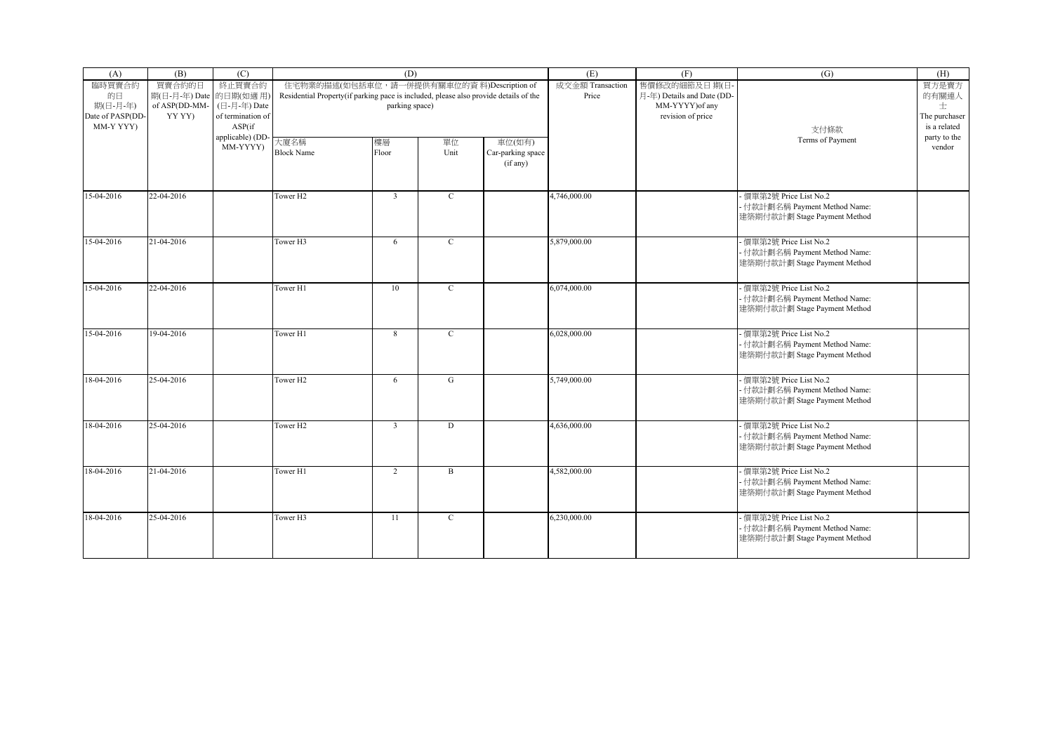| (A)                                                       | (B)                                                         | (C)                                                   |                                                                                      | (D)                                                          |             |                                         | (E)                       | (F)                                                                                | (G)                                                                                      | (H)                                                  |
|-----------------------------------------------------------|-------------------------------------------------------------|-------------------------------------------------------|--------------------------------------------------------------------------------------|--------------------------------------------------------------|-------------|-----------------------------------------|---------------------------|------------------------------------------------------------------------------------|------------------------------------------------------------------------------------------|------------------------------------------------------|
| 臨時買賣合約<br>的日<br>期(日-月-年)<br>Date of PASP(DD-<br>MM-Y YYY) | 買賣合約的日<br>期(日-月-年) Date 的日期(如適用)<br>of ASP(DD-MM-<br>YY YY) | 終止買賣合約<br>(日-月-年) Date<br>of termination of<br>ASP(if | Residential Property(if parking pace is included, please also provide details of the | 住宅物業的描述(如包括車位, 請一併提供有關車位的資料)Description of<br>parking space) |             |                                         | 成交金額 Transaction<br>Price | 售價修改的細節及日期(日<br>月-年) Details and Date (DD-<br>MM-YYYY) of any<br>revision of price | 支付條款                                                                                     | 買方是賣方<br>的有關連人<br>士<br>The purchaser<br>is a related |
|                                                           |                                                             | applicable) (DD-<br>MM-YYYY)                          | 大廈名稱<br><b>Block Name</b>                                                            | 樓層<br>Floor                                                  | 單位<br>Unit  | 車位(如有)<br>Car-parking space<br>(if any) |                           |                                                                                    | Terms of Payment                                                                         | party to the<br>vendor                               |
| 15-04-2016                                                | 22-04-2016                                                  |                                                       | Tower H <sub>2</sub>                                                                 | $\overline{3}$                                               | $\mathbf C$ |                                         | 4,746,000.00              |                                                                                    | 價單第2號 Price List No.2<br>- 付款計劃名稱 Payment Method Name:<br>建築期付款計劃 Stage Payment Method   |                                                      |
| 15-04-2016                                                | 21-04-2016                                                  |                                                       | Tower H3                                                                             | 6                                                            | $\mathbf C$ |                                         | 5,879,000.00              |                                                                                    | - 價單第2號 Price List No.2<br>- 付款計劃名稱 Payment Method Name:<br>建築期付款計劃 Stage Payment Method |                                                      |
| 15-04-2016                                                | 22-04-2016                                                  |                                                       | Tower H1                                                                             | 10                                                           | $\mathbf C$ |                                         | 6,074,000.00              |                                                                                    | - 價單第2號 Price List No.2<br>- 付款計劃名稱 Payment Method Name:<br>建築期付款計劃 Stage Payment Method |                                                      |
| 15-04-2016                                                | 19-04-2016                                                  |                                                       | Tower H1                                                                             | 8                                                            | $\mathbf C$ |                                         | 6,028,000.00              |                                                                                    | 價單第2號 Price List No.2<br>- 付款計劃名稱 Payment Method Name:<br>建築期付款計劃 Stage Payment Method   |                                                      |
| 18-04-2016                                                | 25-04-2016                                                  |                                                       | Tower H <sub>2</sub>                                                                 | 6                                                            | G           |                                         | 5,749,000.00              |                                                                                    | - 價單第2號 Price List No.2<br>- 付款計劃名稱 Payment Method Name:<br>建築期付款計劃 Stage Payment Method |                                                      |
| 18-04-2016                                                | 25-04-2016                                                  |                                                       | Tower H <sub>2</sub>                                                                 | $\overline{3}$                                               | $\mathbf D$ |                                         | 4,636,000.00              |                                                                                    | - 價單第2號 Price List No.2<br>- 付款計劃名稱 Payment Method Name:<br>建築期付款計劃 Stage Payment Method |                                                      |
| 18-04-2016                                                | 21-04-2016                                                  |                                                       | Tower H1                                                                             | $\overline{2}$                                               | B           |                                         | 4,582,000.00              |                                                                                    | - 價單第2號 Price List No.2<br>- 付款計劃名稱 Payment Method Name:<br>建築期付款計劃 Stage Payment Method |                                                      |
| 18-04-2016                                                | 25-04-2016                                                  |                                                       | Tower H3                                                                             | 11                                                           | $\mathbf C$ |                                         | 6,230,000.00              |                                                                                    | - 價單第2號 Price List No.2<br>- 付款計劃名稱 Payment Method Name:<br>建築期付款計劃 Stage Payment Method |                                                      |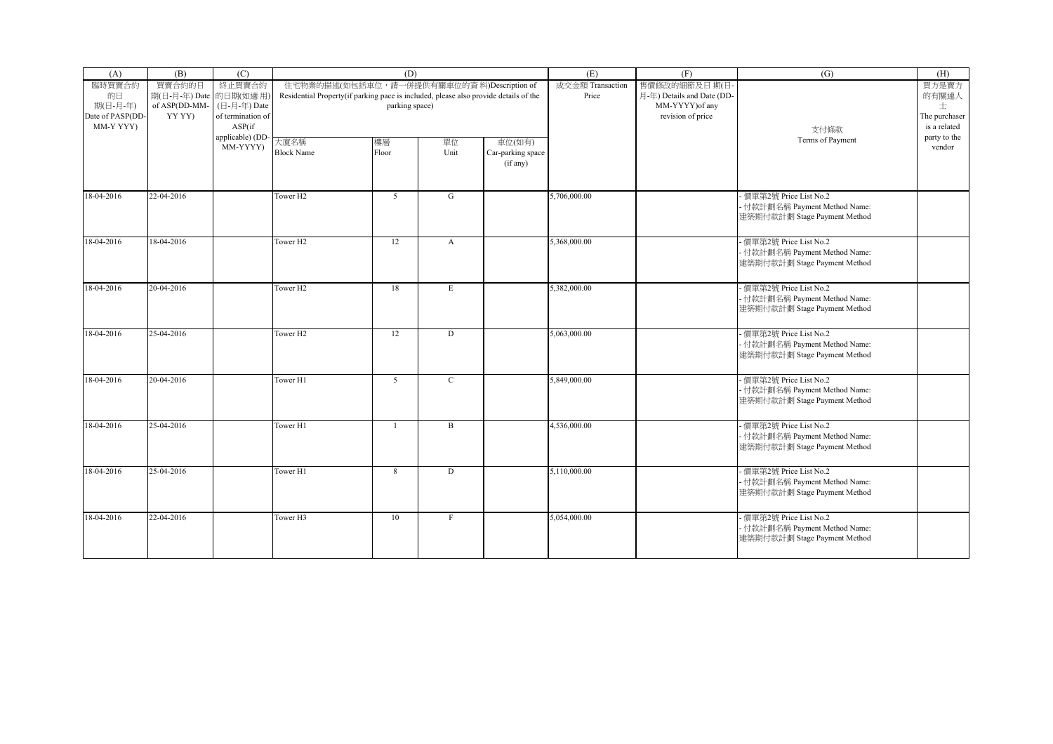| (A)                                       | (B)                              | (C)                                         |                                                                                      | (D)                                        |              |                                         | (E)                       | (F)                                        | (G)                                                                                      | (H)                                |
|-------------------------------------------|----------------------------------|---------------------------------------------|--------------------------------------------------------------------------------------|--------------------------------------------|--------------|-----------------------------------------|---------------------------|--------------------------------------------|------------------------------------------------------------------------------------------|------------------------------------|
| 臨時買賣合約<br>的日                              | 買賣合約的日<br>期(日-月-年) Date 的日期(如適用) | 終止買賣合約                                      | Residential Property(if parking pace is included, please also provide details of the | 住宅物業的描述(如包括車位, 請一併提供有關車位的資料)Description of |              |                                         | 成交金額 Transaction<br>Price | 售價修改的細節及日期(日<br>月-年) Details and Date (DD- |                                                                                          | 買方是賣方<br>的有關連人                     |
| 期(日-月-年)<br>Date of PASP(DD-<br>MM-Y YYY) | of ASP(DD-MM-<br>YY YY)          | (日-月-年) Date<br>of termination of<br>ASP(if |                                                                                      | parking space)                             |              |                                         |                           | MM-YYYY) of any<br>revision of price       | 支付條款                                                                                     | 士<br>The purchaser<br>is a related |
|                                           |                                  | applicable) (DD<br>MM-YYYY)                 | 大廈名稱<br><b>Block Name</b>                                                            | 樓層<br>Floor                                | 單位<br>Unit   | 車位(如有)<br>Car-parking space<br>(if any) |                           |                                            | Terms of Payment                                                                         | party to the<br>vendor             |
| 18-04-2016                                | 22-04-2016                       |                                             | Tower H <sub>2</sub>                                                                 | 5                                          | G            |                                         | 5,706,000.00              |                                            | - 價單第2號 Price List No.2<br>- 付款計劃名稱 Payment Method Name:<br>建築期付款計劃 Stage Payment Method |                                    |
| 18-04-2016                                | 18-04-2016                       |                                             | Tower H <sub>2</sub>                                                                 | 12                                         | $\mathbf{A}$ |                                         | 5,368,000.00              |                                            | - 價單第2號 Price List No.2<br>- 付款計劃名稱 Payment Method Name:<br>建築期付款計劃 Stage Payment Method |                                    |
| 18-04-2016                                | 20-04-2016                       |                                             | Tower H <sub>2</sub>                                                                 | 18                                         | E            |                                         | 5,382,000.00              |                                            | 價單第2號 Price List No.2<br>- 付款計劃名稱 Payment Method Name:<br>建築期付款計劃 Stage Payment Method   |                                    |
| 18-04-2016                                | 25-04-2016                       |                                             | Tower H <sub>2</sub>                                                                 | 12                                         | D            |                                         | 5,063,000.00              |                                            | 價單第2號 Price List No.2<br>- 付款計劃名稱 Payment Method Name:<br>建築期付款計劃 Stage Payment Method   |                                    |
| 18-04-2016                                | 20-04-2016                       |                                             | Tower H1                                                                             | 5 <sup>5</sup>                             | $\mathbf{C}$ |                                         | 5,849,000.00              |                                            | - 價單第2號 Price List No.2<br>- 付款計劃名稱 Payment Method Name:<br>建築期付款計劃 Stage Payment Method |                                    |
| 18-04-2016                                | 25-04-2016                       |                                             | Tower H1                                                                             | $\mathbf{1}$                               | $\mathbf{B}$ |                                         | 4,536,000.00              |                                            | - 價單第2號 Price List No.2<br>- 付款計劃名稱 Payment Method Name:<br>建築期付款計劃 Stage Payment Method |                                    |
| 18-04-2016                                | 25-04-2016                       |                                             | Tower H1                                                                             | 8                                          | D            |                                         | 5,110,000.00              |                                            | 價單第2號 Price List No.2<br>- 付款計劃名稱 Payment Method Name:<br>建築期付款計劃 Stage Payment Method   |                                    |
| 18-04-2016                                | 22-04-2016                       |                                             | Tower H3                                                                             | 10                                         | $\mathbf F$  |                                         | 5,054,000.00              |                                            | - 價單第2號 Price List No.2<br>- 付款計劃名稱 Payment Method Name:<br>建築期付款計劃 Stage Payment Method |                                    |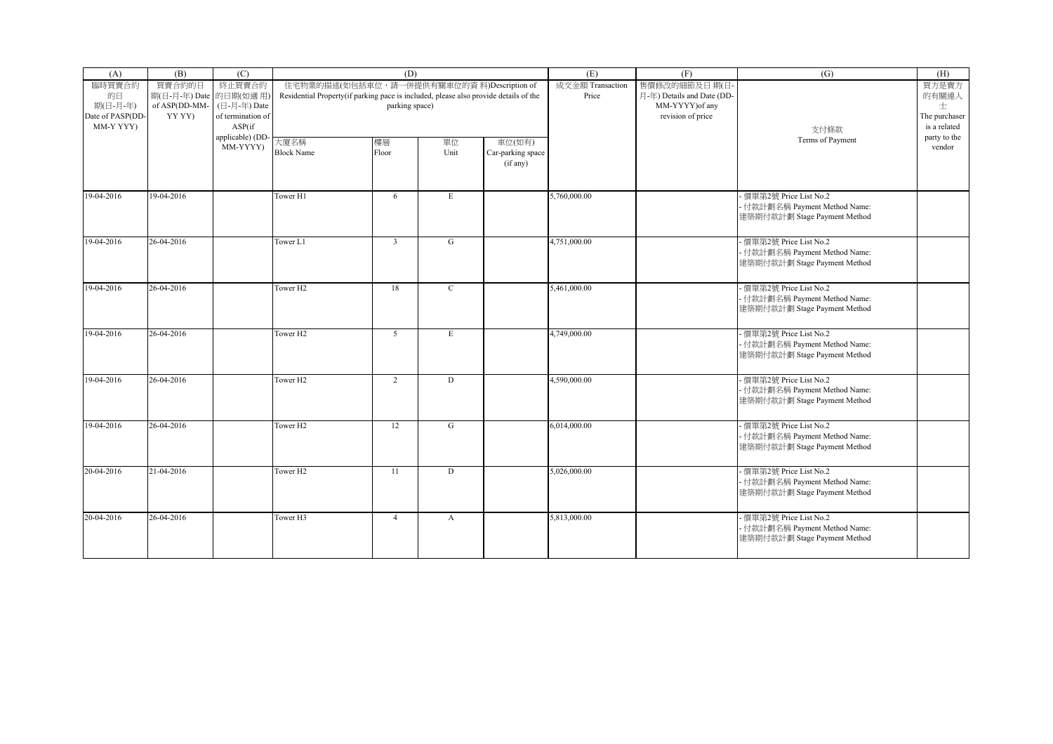| (A)                           | (B)                                               | (C)                         |                                                                                      | (D)                                                          |              |                                         | (E)                       | (F)                                                           | (G)                                                                                      | (H)                           |
|-------------------------------|---------------------------------------------------|-----------------------------|--------------------------------------------------------------------------------------|--------------------------------------------------------------|--------------|-----------------------------------------|---------------------------|---------------------------------------------------------------|------------------------------------------------------------------------------------------|-------------------------------|
| 臨時買賣合約<br>的日<br>期(日-月-年)      | 買賣合約的日<br>期(日-月-年) Date 的日期(如適用)<br>of ASP(DD-MM- | 終止買賣合約<br>(日-月-年) Date      | Residential Property(if parking pace is included, please also provide details of the | 住宅物業的描述(如包括車位, 請一併提供有關車位的資料)Description of<br>parking space) |              |                                         | 成交金額 Transaction<br>Price | 售價修改的細節及日期(日<br>月-年) Details and Date (DD-<br>MM-YYYY) of any |                                                                                          | 買方是賣方<br>的有關連人<br>士           |
| Date of PASP(DD-<br>MM-Y YYY) | YY YY)                                            | of termination of<br>ASP(if |                                                                                      |                                                              |              |                                         |                           | revision of price                                             | 支付條款                                                                                     | The purchaser<br>is a related |
|                               |                                                   | applicable) (DD<br>MM-YYYY) | 大廈名稱<br><b>Block Name</b>                                                            | 樓層<br>Floor                                                  | 單位<br>Unit   | 車位(如有)<br>Car-parking space<br>(if any) |                           |                                                               | Terms of Payment                                                                         | party to the<br>vendor        |
| 19-04-2016                    | 19-04-2016                                        |                             | Tower H1                                                                             | 6                                                            | E            |                                         | 5,760,000.00              |                                                               | - 價單第2號 Price List No.2<br>- 付款計劃名稱 Payment Method Name:<br>建築期付款計劃 Stage Payment Method |                               |
| 19-04-2016                    | 26-04-2016                                        |                             | Tower L1                                                                             | $\overline{3}$                                               | G            |                                         | 4,751,000.00              |                                                               | - 價單第2號 Price List No.2<br>- 付款計劃名稱 Payment Method Name:<br>建築期付款計劃 Stage Payment Method |                               |
| 19-04-2016                    | 26-04-2016                                        |                             | Tower H <sub>2</sub>                                                                 | 18                                                           | $\mathbf{C}$ |                                         | 5,461,000.00              |                                                               | 價單第2號 Price List No.2<br>- 付款計劃名稱 Payment Method Name:<br>建築期付款計劃 Stage Payment Method   |                               |
| 19-04-2016                    | 26-04-2016                                        |                             | Tower H <sub>2</sub>                                                                 | 5 <sup>5</sup>                                               | E            |                                         | 4,749,000.00              |                                                               | 價單第2號 Price List No.2<br>- 付款計劃名稱 Payment Method Name:<br>建築期付款計劃 Stage Payment Method   |                               |
| 19-04-2016                    | 26-04-2016                                        |                             | Tower H <sub>2</sub>                                                                 | $\overline{2}$                                               | D            |                                         | 4,590,000.00              |                                                               | - 價單第2號 Price List No.2<br>- 付款計劃名稱 Payment Method Name:<br>建築期付款計劃 Stage Payment Method |                               |
| 19-04-2016                    | 26-04-2016                                        |                             | Tower H <sub>2</sub>                                                                 | 12                                                           | G            |                                         | 6,014,000.00              |                                                               | - 價單第2號 Price List No.2<br>- 付款計劃名稱 Payment Method Name:<br>建築期付款計劃 Stage Payment Method |                               |
| 20-04-2016                    | 21-04-2016                                        |                             | Tower H <sub>2</sub>                                                                 | 11                                                           | D            |                                         | 5,026,000.00              |                                                               | 價單第2號 Price List No.2<br>- 付款計劃名稱 Payment Method Name:<br>建築期付款計劃 Stage Payment Method   |                               |
| 20-04-2016                    | 26-04-2016                                        |                             | Tower H3                                                                             | $\overline{4}$                                               | $\mathbf{A}$ |                                         | 5,813,000.00              |                                                               | - 價單第2號 Price List No.2<br>- 付款計劃名稱 Payment Method Name:<br>建築期付款計劃 Stage Payment Method |                               |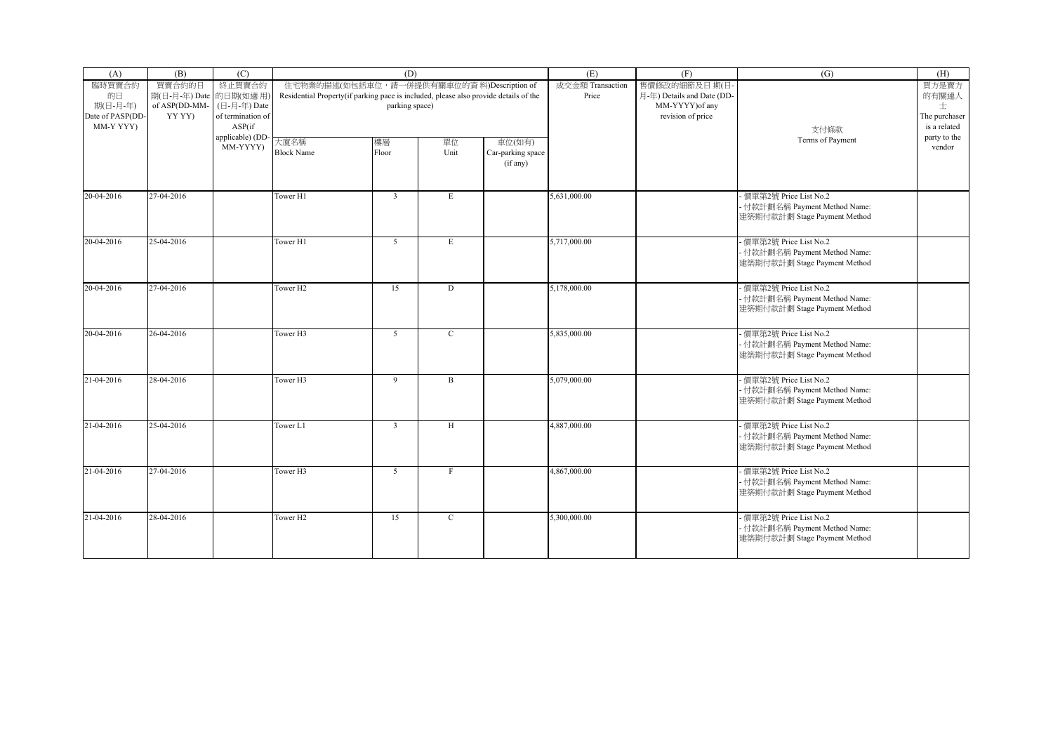| (A)                           | (B)                                               | (C)                         |                                                                                      | (D)                                                          |              |                                         | (E)                       | (F)                                                           | (G)                                                                                      | (H)                           |
|-------------------------------|---------------------------------------------------|-----------------------------|--------------------------------------------------------------------------------------|--------------------------------------------------------------|--------------|-----------------------------------------|---------------------------|---------------------------------------------------------------|------------------------------------------------------------------------------------------|-------------------------------|
| 臨時買賣合約<br>的日<br>期(日-月-年)      | 買賣合約的日<br>期(日-月-年) Date 的日期(如適用)<br>of ASP(DD-MM- | 終止買賣合約<br>(日-月-年) Date      | Residential Property(if parking pace is included, please also provide details of the | 住宅物業的描述(如包括車位, 請一併提供有關車位的資料)Description of<br>parking space) |              |                                         | 成交金額 Transaction<br>Price | 售價修改的細節及日期(日<br>月-年) Details and Date (DD-<br>MM-YYYY) of any |                                                                                          | 買方是賣方<br>的有關連人<br>士           |
| Date of PASP(DD-<br>MM-Y YYY) | YY YY)                                            | of termination of<br>ASP(if |                                                                                      |                                                              |              |                                         |                           | revision of price                                             | 支付條款                                                                                     | The purchaser<br>is a related |
|                               |                                                   | applicable) (DD<br>MM-YYYY) | 大廈名稱<br><b>Block Name</b>                                                            | 樓層<br>Floor                                                  | 單位<br>Unit   | 車位(如有)<br>Car-parking space<br>(if any) |                           |                                                               | Terms of Payment                                                                         | party to the<br>vendor        |
| 20-04-2016                    | 27-04-2016                                        |                             | Tower H1                                                                             | $\overline{\mathbf{3}}$                                      | E            |                                         | 5,631,000.00              |                                                               | - 價單第2號 Price List No.2<br>- 付款計劃名稱 Payment Method Name:<br>建築期付款計劃 Stage Payment Method |                               |
| 20-04-2016                    | 25-04-2016                                        |                             | Tower H1                                                                             | 5 <sup>5</sup>                                               | E            |                                         | 5,717,000.00              |                                                               | - 價單第2號 Price List No.2<br>- 付款計劃名稱 Payment Method Name:<br>建築期付款計劃 Stage Payment Method |                               |
| 20-04-2016                    | 27-04-2016                                        |                             | Tower H <sub>2</sub>                                                                 | 15                                                           | D            |                                         | 5,178,000.00              |                                                               | 價單第2號 Price List No.2<br>- 付款計劃名稱 Payment Method Name:<br>建築期付款計劃 Stage Payment Method   |                               |
| 20-04-2016                    | 26-04-2016                                        |                             | Tower H3                                                                             | 5 <sup>5</sup>                                               | $\mathbf{C}$ |                                         | 5,835,000.00              |                                                               | 價單第2號 Price List No.2<br>- 付款計劃名稱 Payment Method Name:<br>建築期付款計劃 Stage Payment Method   |                               |
| 21-04-2016                    | 28-04-2016                                        |                             | Tower H3                                                                             | 9                                                            | $\, {\bf B}$ |                                         | 5,079,000.00              |                                                               | - 價單第2號 Price List No.2<br>- 付款計劃名稱 Payment Method Name:<br>建築期付款計劃 Stage Payment Method |                               |
| 21-04-2016                    | 25-04-2016                                        |                             | Tower L1                                                                             | $\overline{3}$                                               | H            |                                         | 4,887,000.00              |                                                               | - 價單第2號 Price List No.2<br>- 付款計劃名稱 Payment Method Name:<br>建築期付款計劃 Stage Payment Method |                               |
| 21-04-2016                    | 27-04-2016                                        |                             | Tower H3                                                                             | 5                                                            | $\mathbf{F}$ |                                         | 4,867,000.00              |                                                               | 價單第2號 Price List No.2<br>- 付款計劃名稱 Payment Method Name:<br>建築期付款計劃 Stage Payment Method   |                               |
| 21-04-2016                    | 28-04-2016                                        |                             | Tower H <sub>2</sub>                                                                 | 15                                                           | $\mathbf C$  |                                         | 5,300,000.00              |                                                               | - 價單第2號 Price List No.2<br>- 付款計劃名稱 Payment Method Name:<br>建築期付款計劃 Stage Payment Method |                               |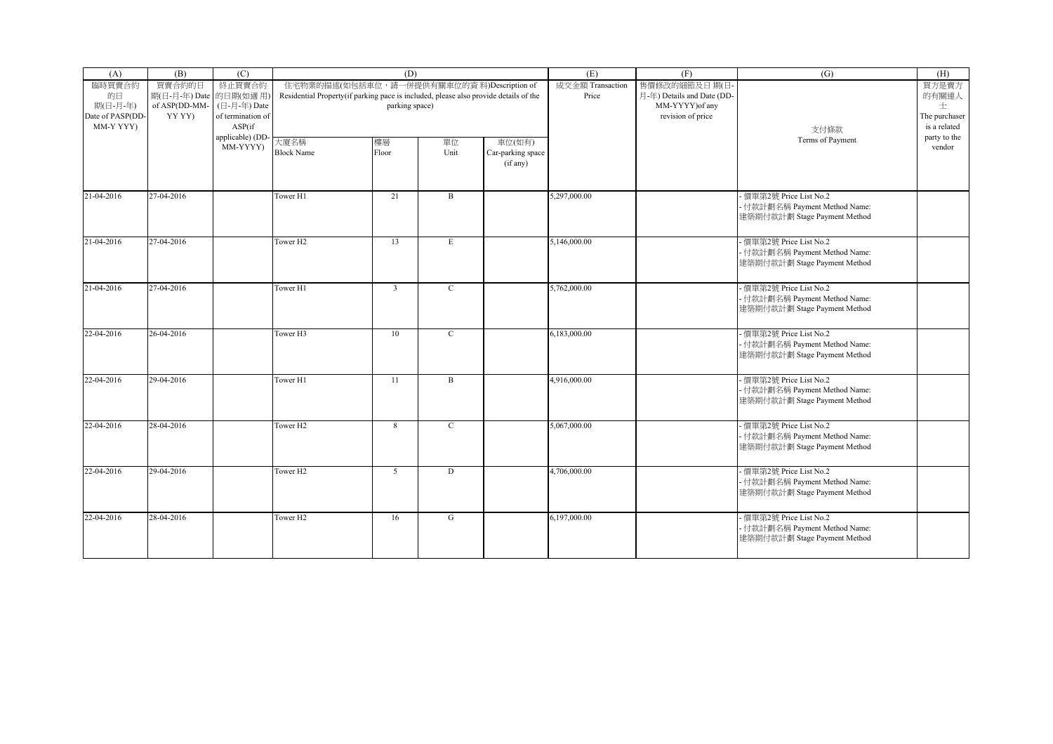| (A)                                       | (B)                              | (C)                                         |                                                                                      | (D)                                        |              |                                         | (E)                       | (F)                                        | (G)                                                                                      | (H)                                |
|-------------------------------------------|----------------------------------|---------------------------------------------|--------------------------------------------------------------------------------------|--------------------------------------------|--------------|-----------------------------------------|---------------------------|--------------------------------------------|------------------------------------------------------------------------------------------|------------------------------------|
| 臨時買賣合約<br>的日                              | 買賣合約的日<br>期(日-月-年) Date 的日期(如適用) | 終止買賣合約                                      | Residential Property(if parking pace is included, please also provide details of the | 住宅物業的描述(如包括車位, 請一併提供有關車位的資料)Description of |              |                                         | 成交金額 Transaction<br>Price | 售價修改的細節及日期(日<br>月-年) Details and Date (DD- |                                                                                          | 買方是賣方<br>的有關連人                     |
| 期(日-月-年)<br>Date of PASP(DD-<br>MM-Y YYY) | of ASP(DD-MM-<br>YY YY)          | (日-月-年) Date<br>of termination of<br>ASP(if |                                                                                      | parking space)                             |              |                                         |                           | MM-YYYY) of any<br>revision of price       | 支付條款                                                                                     | 士<br>The purchaser<br>is a related |
|                                           |                                  | applicable) (DD<br>MM-YYYY)                 | 大廈名稱<br><b>Block Name</b>                                                            | 樓層<br>Floor                                | 單位<br>Unit   | 車位(如有)<br>Car-parking space<br>(if any) |                           |                                            | Terms of Payment                                                                         | party to the<br>vendor             |
| 21-04-2016                                | 27-04-2016                       |                                             | Tower H1                                                                             | 21                                         | B            |                                         | 5,297,000.00              |                                            | - 價單第2號 Price List No.2<br>- 付款計劃名稱 Payment Method Name:<br>建築期付款計劃 Stage Payment Method |                                    |
| 21-04-2016                                | 27-04-2016                       |                                             | Tower H <sub>2</sub>                                                                 | 13                                         | E            |                                         | 5,146,000.00              |                                            | - 價單第2號 Price List No.2<br>- 付款計劃名稱 Payment Method Name:<br>建築期付款計劃 Stage Payment Method |                                    |
| 21-04-2016                                | 27-04-2016                       |                                             | Tower H1                                                                             | $\overline{3}$                             | $\mathbf{C}$ |                                         | 5,762,000.00              |                                            | 價單第2號 Price List No.2<br>- 付款計劃名稱 Payment Method Name:<br>建築期付款計劃 Stage Payment Method   |                                    |
| 22-04-2016                                | 26-04-2016                       |                                             | Tower H3                                                                             | 10                                         | $\mathbf{C}$ |                                         | 6,183,000.00              |                                            | 價單第2號 Price List No.2<br>- 付款計劃名稱 Payment Method Name:<br>建築期付款計劃 Stage Payment Method   |                                    |
| 22-04-2016                                | 29-04-2016                       |                                             | Tower H1                                                                             | 11                                         | $\, {\bf B}$ |                                         | 4,916,000.00              |                                            | - 價單第2號 Price List No.2<br>- 付款計劃名稱 Payment Method Name:<br>建築期付款計劃 Stage Payment Method |                                    |
| 22-04-2016                                | 28-04-2016                       |                                             | Tower H <sub>2</sub>                                                                 | 8                                          | $\mathbf C$  |                                         | 5,067,000.00              |                                            | - 價單第2號 Price List No.2<br>- 付款計劃名稱 Payment Method Name:<br>建築期付款計劃 Stage Payment Method |                                    |
| 22-04-2016                                | 29-04-2016                       |                                             | Tower H <sub>2</sub>                                                                 | 5                                          | D            |                                         | 4,706,000.00              |                                            | 價單第2號 Price List No.2<br>- 付款計劃名稱 Payment Method Name:<br>建築期付款計劃 Stage Payment Method   |                                    |
| 22-04-2016                                | 28-04-2016                       |                                             | Tower H <sub>2</sub>                                                                 | 16                                         | G            |                                         | 6,197,000.00              |                                            | - 價單第2號 Price List No.2<br>- 付款計劃名稱 Payment Method Name:<br>建築期付款計劃 Stage Payment Method |                                    |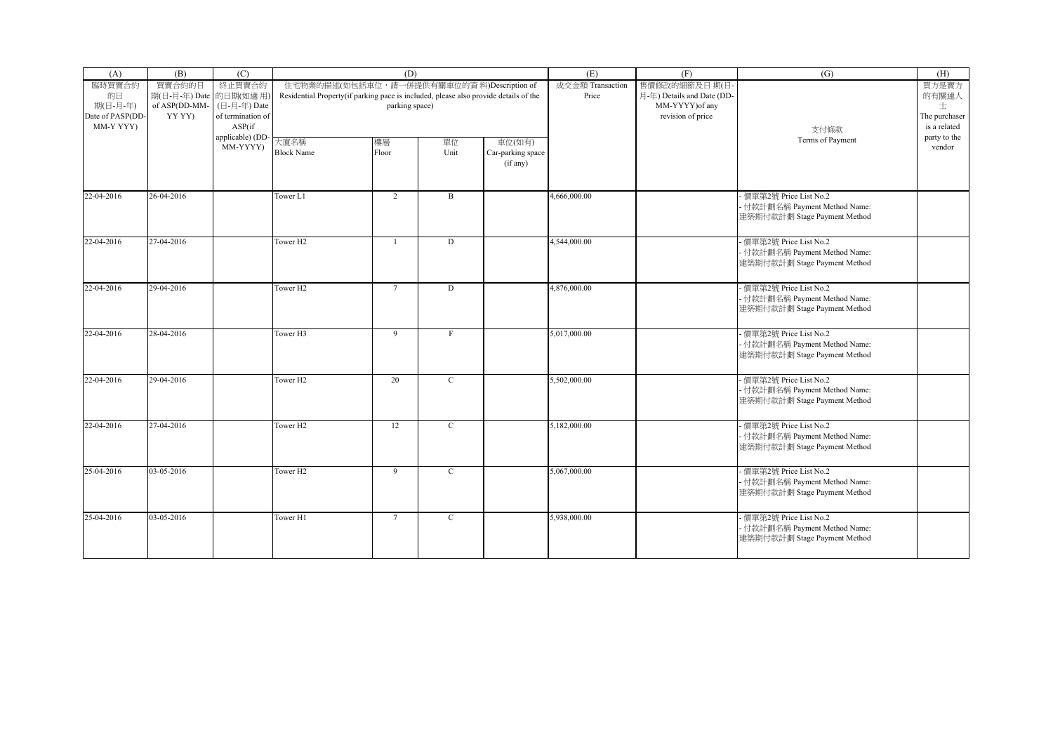| (A)                                       | (B)                              | (C)                                         |                                                                                      | (D)                                        |              |                                         | (E)                       | (F)                                        | (G)                                                                                      | (H)                                |
|-------------------------------------------|----------------------------------|---------------------------------------------|--------------------------------------------------------------------------------------|--------------------------------------------|--------------|-----------------------------------------|---------------------------|--------------------------------------------|------------------------------------------------------------------------------------------|------------------------------------|
| 臨時買賣合約<br>的日                              | 買賣合約的日<br>期(日-月-年) Date 的日期(如適用) | 終止買賣合約                                      | Residential Property(if parking pace is included, please also provide details of the | 住宅物業的描述(如包括車位, 請一併提供有關車位的資料)Description of |              |                                         | 成交金額 Transaction<br>Price | 售價修改的細節及日期(日<br>月-年) Details and Date (DD- |                                                                                          | 買方是賣方<br>的有關連人                     |
| 期(日-月-年)<br>Date of PASP(DD-<br>MM-Y YYY) | of ASP(DD-MM-<br>YY YY)          | (日-月-年) Date<br>of termination of<br>ASP(if |                                                                                      | parking space)                             |              |                                         |                           | MM-YYYY) of any<br>revision of price       | 支付條款                                                                                     | 士<br>The purchaser<br>is a related |
|                                           |                                  | applicable) (DD<br>MM-YYYY)                 | 大廈名稱<br><b>Block Name</b>                                                            | 樓層<br>Floor                                | 單位<br>Unit   | 車位(如有)<br>Car-parking space<br>(if any) |                           |                                            | Terms of Payment                                                                         | party to the<br>vendor             |
| 22-04-2016                                | 26-04-2016                       |                                             | Tower L1                                                                             | $\overline{2}$                             | B            |                                         | 4,666,000.00              |                                            | - 價單第2號 Price List No.2<br>- 付款計劃名稱 Payment Method Name:<br>建築期付款計劃 Stage Payment Method |                                    |
| 22-04-2016                                | 27-04-2016                       |                                             | Tower H <sub>2</sub>                                                                 | $\mathbf{1}$                               | D            |                                         | 4,544,000.00              |                                            | - 價單第2號 Price List No.2<br>- 付款計劃名稱 Payment Method Name:<br>建築期付款計劃 Stage Payment Method |                                    |
| 22-04-2016                                | 29-04-2016                       |                                             | Tower H <sub>2</sub>                                                                 | $\overline{7}$                             | D            |                                         | 4,876,000.00              |                                            | 價單第2號 Price List No.2<br>- 付款計劃名稱 Payment Method Name:<br>建築期付款計劃 Stage Payment Method   |                                    |
| 22-04-2016                                | 28-04-2016                       |                                             | Tower H3                                                                             | $\overline{9}$                             | $\mathbf{F}$ |                                         | 5,017,000.00              |                                            | 價單第2號 Price List No.2<br>- 付款計劃名稱 Payment Method Name:<br>建築期付款計劃 Stage Payment Method   |                                    |
| 22-04-2016                                | 29-04-2016                       |                                             | Tower H <sub>2</sub>                                                                 | 20                                         | $\mathbf{C}$ |                                         | 5,502,000.00              |                                            | - 價單第2號 Price List No.2<br>- 付款計劃名稱 Payment Method Name:<br>建築期付款計劃 Stage Payment Method |                                    |
| 22-04-2016                                | 27-04-2016                       |                                             | Tower H <sub>2</sub>                                                                 | 12                                         | $\mathbf C$  |                                         | 5,182,000.00              |                                            | - 價單第2號 Price List No.2<br>- 付款計劃名稱 Payment Method Name:<br>建築期付款計劃 Stage Payment Method |                                    |
| 25-04-2016                                | 03-05-2016                       |                                             | Tower H <sub>2</sub>                                                                 | 9                                          | $\mathbf C$  |                                         | 5,067,000.00              |                                            | 價單第2號 Price List No.2<br>- 付款計劃名稱 Payment Method Name:<br>建築期付款計劃 Stage Payment Method   |                                    |
| 25-04-2016                                | 03-05-2016                       |                                             | Tower H1                                                                             | $7\overline{ }$                            | $\mathbf C$  |                                         | 5,938,000.00              |                                            | - 價單第2號 Price List No.2<br>- 付款計劃名稱 Payment Method Name:<br>建築期付款計劃 Stage Payment Method |                                    |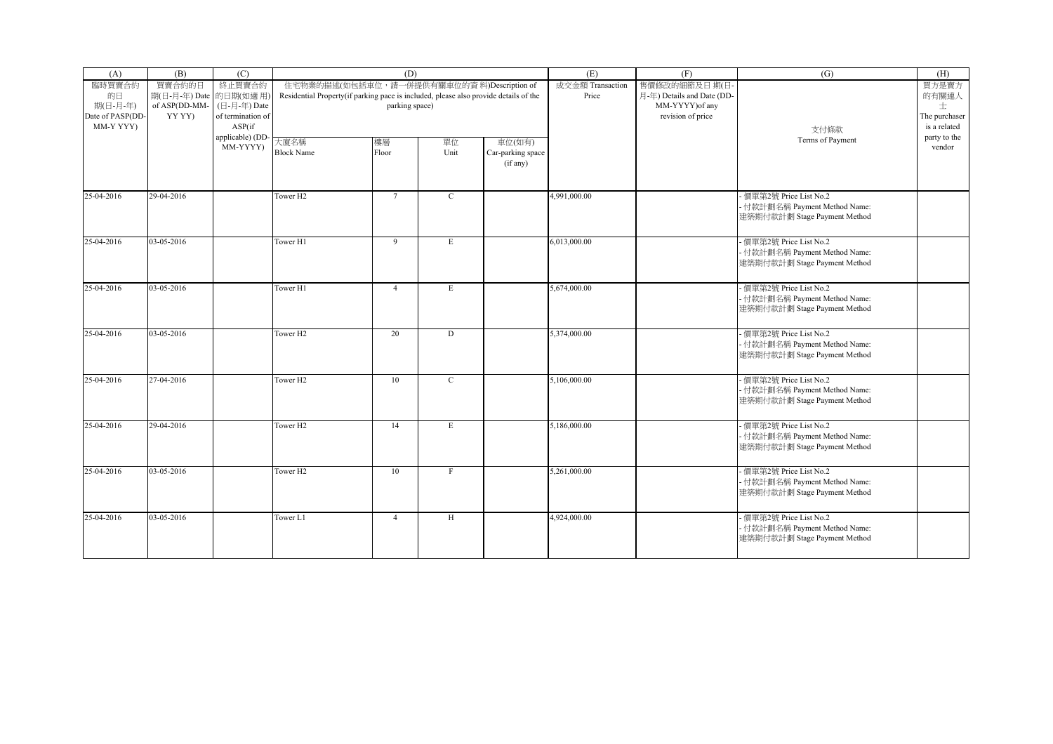| (A)                                                       | (B)                                                         | (C)                                                   |                                                                                      | (D)                                                          |              |                                         | (E)                       | (F)                                                                                | (G)                                                                                      | (H)                                                  |
|-----------------------------------------------------------|-------------------------------------------------------------|-------------------------------------------------------|--------------------------------------------------------------------------------------|--------------------------------------------------------------|--------------|-----------------------------------------|---------------------------|------------------------------------------------------------------------------------|------------------------------------------------------------------------------------------|------------------------------------------------------|
| 臨時買賣合約<br>的日<br>期(日-月-年)<br>Date of PASP(DD-<br>MM-Y YYY) | 買賣合約的日<br>期(日-月-年) Date 的日期(如適用)<br>of ASP(DD-MM-<br>YY YY) | 終止買賣合約<br>(日-月-年) Date<br>of termination of<br>ASP(if | Residential Property(if parking pace is included, please also provide details of the | 住宅物業的描述(如包括車位, 請一併提供有關車位的資料)Description of<br>parking space) |              |                                         | 成交金額 Transaction<br>Price | 售價修改的細節及日期(日<br>月-年) Details and Date (DD-<br>MM-YYYY) of any<br>revision of price | 支付條款                                                                                     | 買方是賣方<br>的有關連人<br>士<br>The purchaser<br>is a related |
|                                                           |                                                             | applicable) (DD-<br>MM-YYYY)                          | 大廈名稱<br><b>Block Name</b>                                                            | 樓層<br>Floor                                                  | 單位<br>Unit   | 車位(如有)<br>Car-parking space<br>(if any) |                           |                                                                                    | Terms of Payment                                                                         | party to the<br>vendor                               |
| 25-04-2016                                                | 29-04-2016                                                  |                                                       | Tower H <sub>2</sub>                                                                 | $\overline{7}$                                               | $\mathbf C$  |                                         | 4,991,000.00              |                                                                                    | 價單第2號 Price List No.2<br>- 付款計劃名稱 Payment Method Name:<br>建築期付款計劃 Stage Payment Method   |                                                      |
| 25-04-2016                                                | 03-05-2016                                                  |                                                       | Tower H1                                                                             | 9                                                            | $\mathbf E$  |                                         | 6,013,000.00              |                                                                                    | - 價單第2號 Price List No.2<br>- 付款計劃名稱 Payment Method Name:<br>建築期付款計劃 Stage Payment Method |                                                      |
| 25-04-2016                                                | 03-05-2016                                                  |                                                       | Tower H1                                                                             | $\overline{4}$                                               | E            |                                         | 5,674,000.00              |                                                                                    | - 價單第2號 Price List No.2<br>- 付款計劃名稱 Payment Method Name:<br>建築期付款計劃 Stage Payment Method |                                                      |
| 25-04-2016                                                | 03-05-2016                                                  |                                                       | Tower H <sub>2</sub>                                                                 | 20                                                           | D            |                                         | 5,374,000.00              |                                                                                    | 價單第2號 Price List No.2<br>- 付款計劃名稱 Payment Method Name:<br>建築期付款計劃 Stage Payment Method   |                                                      |
| 25-04-2016                                                | 27-04-2016                                                  |                                                       | Tower H <sub>2</sub>                                                                 | 10                                                           | $\mathbf{C}$ |                                         | 5,106,000.00              |                                                                                    | - 價單第2號 Price List No.2<br>- 付款計劃名稱 Payment Method Name:<br>建築期付款計劃 Stage Payment Method |                                                      |
| 25-04-2016                                                | 29-04-2016                                                  |                                                       | Tower H <sub>2</sub>                                                                 | 14                                                           | $\mathbf E$  |                                         | 5,186,000.00              |                                                                                    | - 價單第2號 Price List No.2<br>- 付款計劃名稱 Payment Method Name:<br>建築期付款計劃 Stage Payment Method |                                                      |
| 25-04-2016                                                | 03-05-2016                                                  |                                                       | Tower H <sub>2</sub>                                                                 | 10                                                           | F            |                                         | 5,261,000.00              |                                                                                    | - 價單第2號 Price List No.2<br>- 付款計劃名稱 Payment Method Name:<br>建築期付款計劃 Stage Payment Method |                                                      |
| 25-04-2016                                                | 03-05-2016                                                  |                                                       | Tower L1                                                                             | $\overline{4}$                                               | $\rm H$      |                                         | 4,924,000.00              |                                                                                    | - 價單第2號 Price List No.2<br>- 付款計劃名稱 Payment Method Name:<br>建築期付款計劃 Stage Payment Method |                                                      |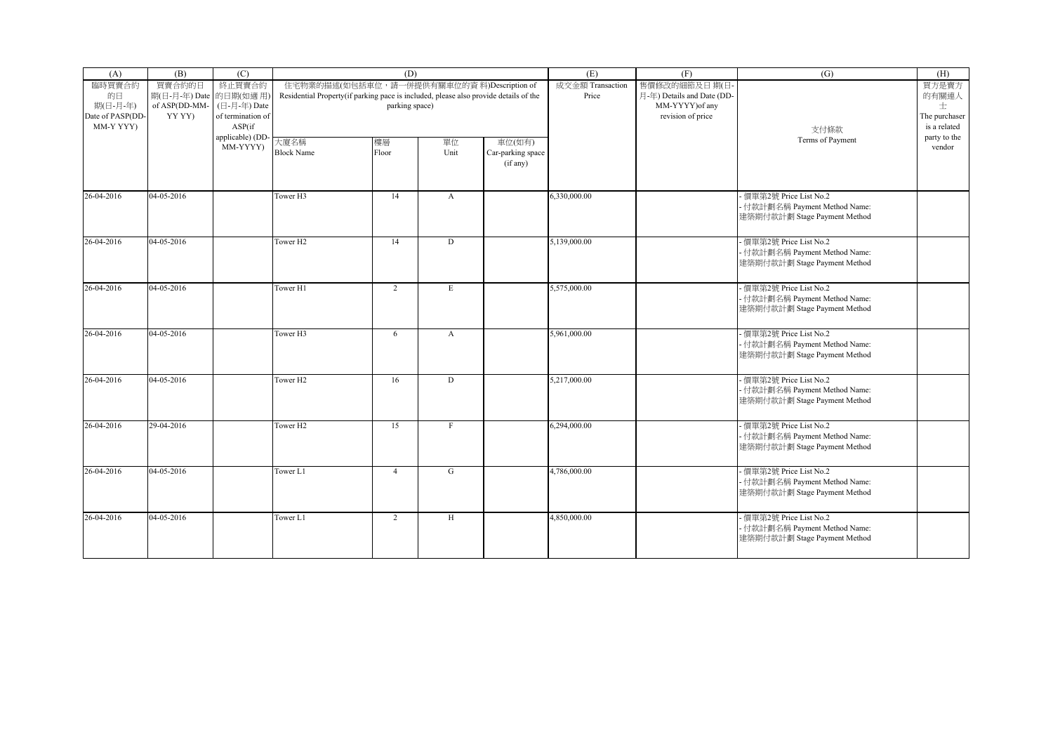| (A)                                       | (B)                              | (C)                                         |                                                                                      | (D)                                        |              |                                         | (E)                       | (F)                                        | (G)                                                                                      | (H)                                |
|-------------------------------------------|----------------------------------|---------------------------------------------|--------------------------------------------------------------------------------------|--------------------------------------------|--------------|-----------------------------------------|---------------------------|--------------------------------------------|------------------------------------------------------------------------------------------|------------------------------------|
| 臨時買賣合約<br>的日                              | 買賣合約的日<br>期(日-月-年) Date 的日期(如適用) | 終止買賣合約                                      | Residential Property(if parking pace is included, please also provide details of the | 住宅物業的描述(如包括車位, 請一併提供有關車位的資料)Description of |              |                                         | 成交金額 Transaction<br>Price | 售價修改的細節及日期(日<br>月-年) Details and Date (DD- |                                                                                          | 買方是賣方<br>的有關連人                     |
| 期(日-月-年)<br>Date of PASP(DD-<br>MM-Y YYY) | of ASP(DD-MM-<br>YY YY)          | (日-月-年) Date<br>of termination of<br>ASP(if |                                                                                      | parking space)                             |              |                                         |                           | MM-YYYY) of any<br>revision of price       | 支付條款                                                                                     | 士<br>The purchaser<br>is a related |
|                                           |                                  | applicable) (DD<br>MM-YYYY)                 | 大廈名稱<br><b>Block Name</b>                                                            | 樓層<br>Floor                                | 單位<br>Unit   | 車位(如有)<br>Car-parking space<br>(if any) |                           |                                            | Terms of Payment                                                                         | party to the<br>vendor             |
| 26-04-2016                                | 04-05-2016                       |                                             | Tower H3                                                                             | 14                                         | $\mathbf{A}$ |                                         | 6,330,000.00              |                                            | - 價單第2號 Price List No.2<br>- 付款計劃名稱 Payment Method Name:<br>建築期付款計劃 Stage Payment Method |                                    |
| 26-04-2016                                | 04-05-2016                       |                                             | Tower H <sub>2</sub>                                                                 | 14                                         | D            |                                         | 5,139,000.00              |                                            | - 價單第2號 Price List No.2<br>- 付款計劃名稱 Payment Method Name:<br>建築期付款計劃 Stage Payment Method |                                    |
| 26-04-2016                                | 04-05-2016                       |                                             | Tower H1                                                                             | $\overline{c}$                             | E            |                                         | 5,575,000.00              |                                            | 價單第2號 Price List No.2<br>- 付款計劃名稱 Payment Method Name:<br>建築期付款計劃 Stage Payment Method   |                                    |
| 26-04-2016                                | 04-05-2016                       |                                             | Tower H <sub>3</sub>                                                                 | 6                                          | $\mathbf{A}$ |                                         | 5,961,000.00              |                                            | 價單第2號 Price List No.2<br>- 付款計劃名稱 Payment Method Name:<br>建築期付款計劃 Stage Payment Method   |                                    |
| 26-04-2016                                | 04-05-2016                       |                                             | Tower H <sub>2</sub>                                                                 | 16                                         | D            |                                         | 5,217,000.00              |                                            | - 價單第2號 Price List No.2<br>- 付款計劃名稱 Payment Method Name:<br>建築期付款計劃 Stage Payment Method |                                    |
| 26-04-2016                                | 29-04-2016                       |                                             | Tower H <sub>2</sub>                                                                 | 15                                         | $_{\rm F}$   |                                         | 6,294,000.00              |                                            | - 價單第2號 Price List No.2<br>- 付款計劃名稱 Payment Method Name:<br>建築期付款計劃 Stage Payment Method |                                    |
| 26-04-2016                                | 04-05-2016                       |                                             | Tower L1                                                                             | $\overline{4}$                             | G            |                                         | 4,786,000.00              |                                            | 價單第2號 Price List No.2<br>- 付款計劃名稱 Payment Method Name:<br>建築期付款計劃 Stage Payment Method   |                                    |
| 26-04-2016                                | 04-05-2016                       |                                             | Tower L1                                                                             | $\overline{2}$                             | H            |                                         | 4,850,000.00              |                                            | - 價單第2號 Price List No.2<br>- 付款計劃名稱 Payment Method Name:<br>建築期付款計劃 Stage Payment Method |                                    |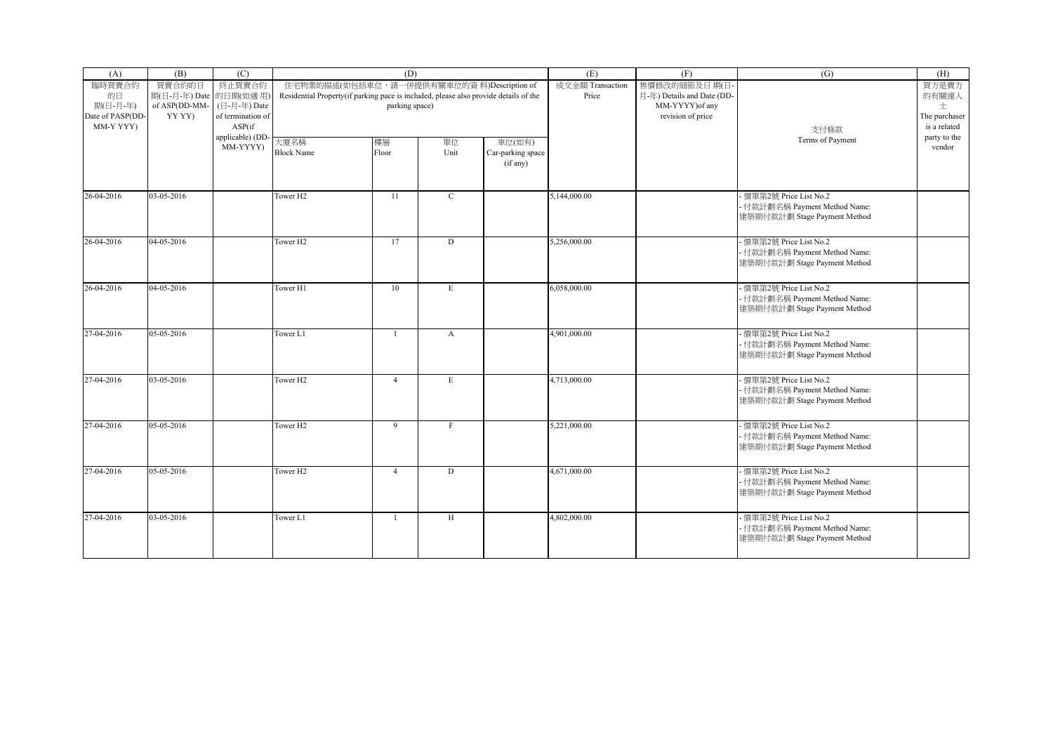| (A)                                                       | (B)                                                         | (C)                                                   |                                                                                      | (D)                                                          |              |                                         | (E)                       | (F)                                                                                | (G)                                                                                      | (H)                                                  |
|-----------------------------------------------------------|-------------------------------------------------------------|-------------------------------------------------------|--------------------------------------------------------------------------------------|--------------------------------------------------------------|--------------|-----------------------------------------|---------------------------|------------------------------------------------------------------------------------|------------------------------------------------------------------------------------------|------------------------------------------------------|
| 臨時買賣合約<br>的日<br>期(日-月-年)<br>Date of PASP(DD-<br>MM-Y YYY) | 買賣合約的日<br>期(日-月-年) Date 的日期(如適用)<br>of ASP(DD-MM-<br>YY YY) | 終止買賣合約<br>(日-月-年) Date<br>of termination of<br>ASP(if | Residential Property(if parking pace is included, please also provide details of the | 住宅物業的描述(如包括車位, 請一併提供有關車位的資料)Description of<br>parking space) |              |                                         | 成交金額 Transaction<br>Price | 售價修改的細節及日期(日<br>月-年) Details and Date (DD-<br>MM-YYYY) of any<br>revision of price | 支付條款                                                                                     | 買方是賣方<br>的有關連人<br>士<br>The purchaser<br>is a related |
|                                                           |                                                             | applicable) (DD-<br>MM-YYYY)                          | 大廈名稱<br><b>Block Name</b>                                                            | 樓層<br>Floor                                                  | 單位<br>Unit   | 車位(如有)<br>Car-parking space<br>(if any) |                           |                                                                                    | Terms of Payment                                                                         | party to the<br>vendor                               |
| 26-04-2016                                                | 03-05-2016                                                  |                                                       | Tower H <sub>2</sub>                                                                 | 11                                                           | $\mathbf C$  |                                         | 5,144,000.00              |                                                                                    | 價單第2號 Price List No.2<br>- 付款計劃名稱 Payment Method Name:<br>建築期付款計劃 Stage Payment Method   |                                                      |
| 26-04-2016                                                | 04-05-2016                                                  |                                                       | Tower H <sub>2</sub>                                                                 | 17                                                           | D            |                                         | 5,256,000.00              |                                                                                    | - 價單第2號 Price List No.2<br>- 付款計劃名稱 Payment Method Name:<br>建築期付款計劃 Stage Payment Method |                                                      |
| 26-04-2016                                                | 04-05-2016                                                  |                                                       | Tower H1                                                                             | 10                                                           | E            |                                         | 6,058,000.00              |                                                                                    | - 價單第2號 Price List No.2<br>- 付款計劃名稱 Payment Method Name:<br>建築期付款計劃 Stage Payment Method |                                                      |
| 27-04-2016                                                | 05-05-2016                                                  |                                                       | Tower L1                                                                             | $\overline{1}$                                               | $\mathbf{A}$ |                                         | 4,901,000.00              |                                                                                    | 價單第2號 Price List No.2<br>- 付款計劃名稱 Payment Method Name:<br>建築期付款計劃 Stage Payment Method   |                                                      |
| 27-04-2016                                                | 03-05-2016                                                  |                                                       | Tower H <sub>2</sub>                                                                 | $\overline{4}$                                               | E            |                                         | 4,713,000.00              |                                                                                    | - 價單第2號 Price List No.2<br>- 付款計劃名稱 Payment Method Name:<br>建築期付款計劃 Stage Payment Method |                                                      |
| 27-04-2016                                                | 05-05-2016                                                  |                                                       | Tower H <sub>2</sub>                                                                 | 9                                                            | $\mathbf{F}$ |                                         | 5,221,000.00              |                                                                                    | - 價單第2號 Price List No.2<br>- 付款計劃名稱 Payment Method Name:<br>建築期付款計劃 Stage Payment Method |                                                      |
| 27-04-2016                                                | 05-05-2016                                                  |                                                       | Tower H <sub>2</sub>                                                                 | $\overline{4}$                                               | D            |                                         | 4,671,000.00              |                                                                                    | - 價單第2號 Price List No.2<br>- 付款計劃名稱 Payment Method Name:<br>建築期付款計劃 Stage Payment Method |                                                      |
| 27-04-2016                                                | 03-05-2016                                                  |                                                       | Tower L1                                                                             | -1                                                           | $\rm H$      |                                         | 4,802,000.00              |                                                                                    | - 價單第2號 Price List No.2<br>- 付款計劃名稱 Payment Method Name:<br>建築期付款計劃 Stage Payment Method |                                                      |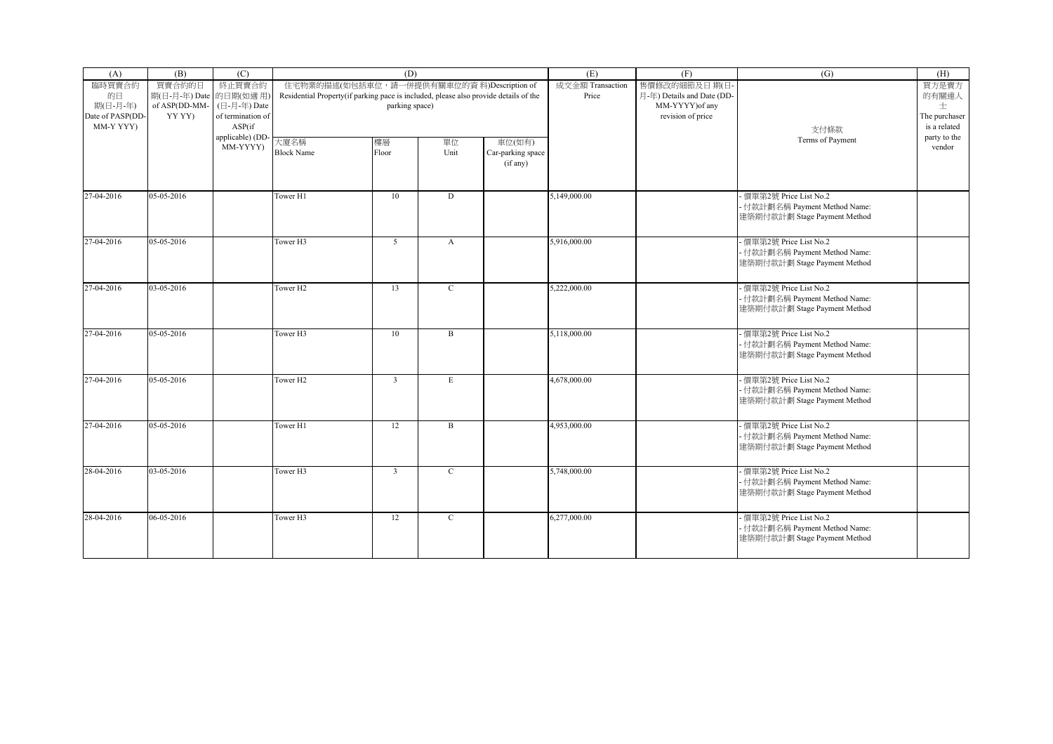| (A)                                                       | (B)                                                         | (C)                                                   |                                                                                      | (D)                                                          |                  |                                         | (E)                       | (F)                                                                                | (G)                                                                                      | (H)                                                  |
|-----------------------------------------------------------|-------------------------------------------------------------|-------------------------------------------------------|--------------------------------------------------------------------------------------|--------------------------------------------------------------|------------------|-----------------------------------------|---------------------------|------------------------------------------------------------------------------------|------------------------------------------------------------------------------------------|------------------------------------------------------|
| 臨時買賣合約<br>的日<br>期(日-月-年)<br>Date of PASP(DD-<br>MM-Y YYY) | 買賣合約的日<br>期(日-月-年) Date 的日期(如適用)<br>of ASP(DD-MM-<br>YY YY) | 終止買賣合約<br>(日-月-年) Date<br>of termination of<br>ASP(if | Residential Property(if parking pace is included, please also provide details of the | 住宅物業的描述(如包括車位, 請一併提供有關車位的資料)Description of<br>parking space) |                  |                                         | 成交金額 Transaction<br>Price | 售價修改的細節及日期(日<br>月-年) Details and Date (DD-<br>MM-YYYY) of any<br>revision of price | 支付條款                                                                                     | 買方是賣方<br>的有關連人<br>士<br>The purchaser<br>is a related |
|                                                           |                                                             | applicable) (DD-<br>MM-YYYY)                          | 大廈名稱<br><b>Block Name</b>                                                            | 樓層<br>Floor                                                  | 單位<br>Unit       | 車位(如有)<br>Car-parking space<br>(if any) |                           |                                                                                    | Terms of Payment                                                                         | party to the<br>vendor                               |
| 27-04-2016                                                | 05-05-2016                                                  |                                                       | Tower H1                                                                             | 10                                                           | $\mathbf D$      |                                         | 5,149,000.00              |                                                                                    | 價單第2號 Price List No.2<br>- 付款計劃名稱 Payment Method Name:<br>建築期付款計劃 Stage Payment Method   |                                                      |
| 27-04-2016                                                | 05-05-2016                                                  |                                                       | Tower H3                                                                             | 5 <sup>5</sup>                                               | $\boldsymbol{A}$ |                                         | 5,916,000.00              |                                                                                    | - 價單第2號 Price List No.2<br>- 付款計劃名稱 Payment Method Name:<br>建築期付款計劃 Stage Payment Method |                                                      |
| 27-04-2016                                                | 03-05-2016                                                  |                                                       | Tower H <sub>2</sub>                                                                 | 13                                                           | $\mathbf C$      |                                         | 5,222,000.00              |                                                                                    | - 價單第2號 Price List No.2<br>- 付款計劃名稱 Payment Method Name:<br>建築期付款計劃 Stage Payment Method |                                                      |
| 27-04-2016                                                | 05-05-2016                                                  |                                                       | Tower H <sub>3</sub>                                                                 | 10                                                           | $\mathbf B$      |                                         | 5,118,000.00              |                                                                                    | 價單第2號 Price List No.2<br>- 付款計劃名稱 Payment Method Name:<br>建築期付款計劃 Stage Payment Method   |                                                      |
| 27-04-2016                                                | 05-05-2016                                                  |                                                       | Tower H <sub>2</sub>                                                                 | $\overline{3}$                                               | E                |                                         | 4,678,000.00              |                                                                                    | - 價單第2號 Price List No.2<br>- 付款計劃名稱 Payment Method Name:<br>建築期付款計劃 Stage Payment Method |                                                      |
| 27-04-2016                                                | 05-05-2016                                                  |                                                       | Tower H1                                                                             | 12                                                           | $\mathbf B$      |                                         | 4,953,000.00              |                                                                                    | - 價單第2號 Price List No.2<br>- 付款計劃名稱 Payment Method Name:<br>建築期付款計劃 Stage Payment Method |                                                      |
| 28-04-2016                                                | 03-05-2016                                                  |                                                       | Tower H3                                                                             | $\overline{3}$                                               | $\mathbf C$      |                                         | 5,748,000.00              |                                                                                    | - 價單第2號 Price List No.2<br>- 付款計劃名稱 Payment Method Name:<br>建築期付款計劃 Stage Payment Method |                                                      |
| 28-04-2016                                                | 06-05-2016                                                  |                                                       | Tower H3                                                                             | 12                                                           | $\mathbf C$      |                                         | 6,277,000.00              |                                                                                    | - 價單第2號 Price List No.2<br>- 付款計劃名稱 Payment Method Name:<br>建築期付款計劃 Stage Payment Method |                                                      |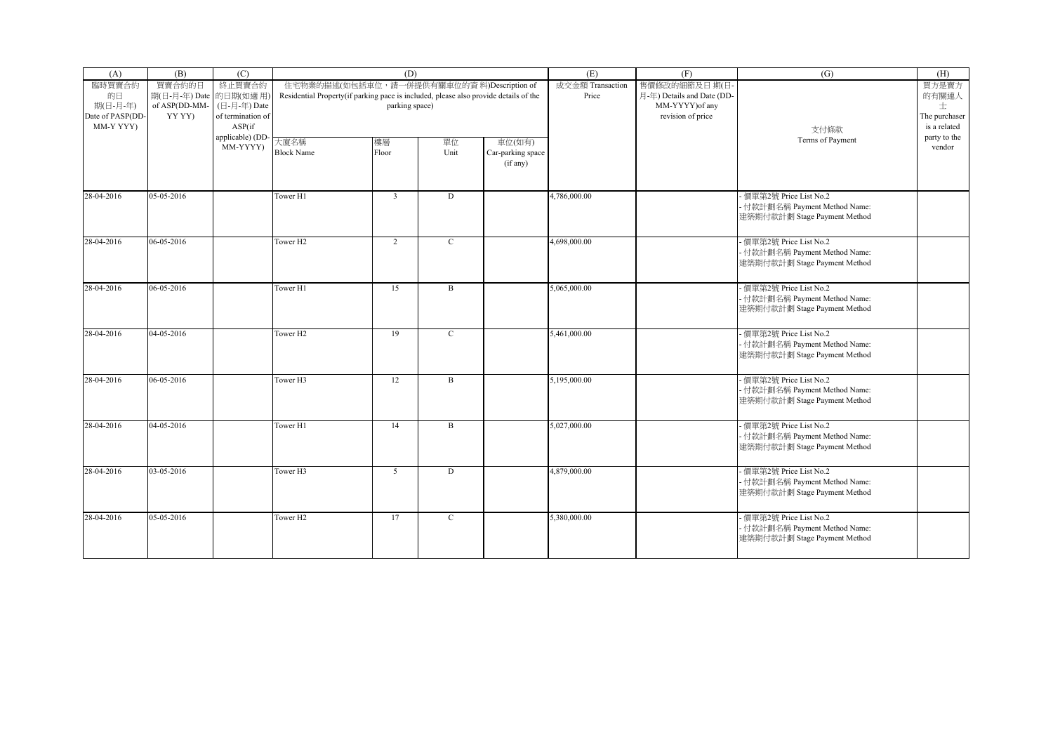| (A)                                       | (B)                              | (C)                                         |                                                                                      | (D)                                        |              |                                         | (E)                       | (F)                                        | (G)                                                                                      | (H)                                |
|-------------------------------------------|----------------------------------|---------------------------------------------|--------------------------------------------------------------------------------------|--------------------------------------------|--------------|-----------------------------------------|---------------------------|--------------------------------------------|------------------------------------------------------------------------------------------|------------------------------------|
| 臨時買賣合約<br>的日                              | 買賣合約的日<br>期(日-月-年) Date 的日期(如適用) | 終止買賣合約                                      | Residential Property(if parking pace is included, please also provide details of the | 住宅物業的描述(如包括車位, 請一併提供有關車位的資料)Description of |              |                                         | 成交金額 Transaction<br>Price | 售價修改的細節及日期(日<br>月-年) Details and Date (DD- |                                                                                          | 買方是賣方<br>的有關連人                     |
| 期(日-月-年)<br>Date of PASP(DD-<br>MM-Y YYY) | of ASP(DD-MM-<br>YY YY)          | (日-月-年) Date<br>of termination of<br>ASP(if |                                                                                      | parking space)                             |              |                                         |                           | MM-YYYY) of any<br>revision of price       | 支付條款                                                                                     | 士<br>The purchaser<br>is a related |
|                                           |                                  | applicable) (DD<br>MM-YYYY)                 | 大廈名稱<br><b>Block Name</b>                                                            | 樓層<br>Floor                                | 單位<br>Unit   | 車位(如有)<br>Car-parking space<br>(if any) |                           |                                            | Terms of Payment                                                                         | party to the<br>vendor             |
| 28-04-2016                                | 05-05-2016                       |                                             | Tower H1                                                                             | $\overline{\mathbf{3}}$                    | D            |                                         | 4,786,000.00              |                                            | - 價單第2號 Price List No.2<br>- 付款計劃名稱 Payment Method Name:<br>建築期付款計劃 Stage Payment Method |                                    |
| 28-04-2016                                | 06-05-2016                       |                                             | Tower H <sub>2</sub>                                                                 | 2                                          | $\mathbf{C}$ |                                         | 4,698,000.00              |                                            | - 價單第2號 Price List No.2<br>- 付款計劃名稱 Payment Method Name:<br>建築期付款計劃 Stage Payment Method |                                    |
| 28-04-2016                                | 06-05-2016                       |                                             | Tower H1                                                                             | 15                                         | $\mathbf B$  |                                         | 5,065,000.00              |                                            | 價單第2號 Price List No.2<br>- 付款計劃名稱 Payment Method Name:<br>建築期付款計劃 Stage Payment Method   |                                    |
| 28-04-2016                                | 04-05-2016                       |                                             | Tower H <sub>2</sub>                                                                 | 19                                         | $\mathbf{C}$ |                                         | 5,461,000.00              |                                            | 價單第2號 Price List No.2<br>- 付款計劃名稱 Payment Method Name:<br>建築期付款計劃 Stage Payment Method   |                                    |
| 28-04-2016                                | 06-05-2016                       |                                             | Tower H3                                                                             | 12                                         | $\mathbf B$  |                                         | 5,195,000.00              |                                            | - 價單第2號 Price List No.2<br>- 付款計劃名稱 Payment Method Name:<br>建築期付款計劃 Stage Payment Method |                                    |
| 28-04-2016                                | 04-05-2016                       |                                             | Tower H1                                                                             | 14                                         | $\mathbf B$  |                                         | 5,027,000.00              |                                            | - 價單第2號 Price List No.2<br>- 付款計劃名稱 Payment Method Name:<br>建築期付款計劃 Stage Payment Method |                                    |
| 28-04-2016                                | 03-05-2016                       |                                             | Tower H3                                                                             | 5                                          | D            |                                         | 4,879,000.00              |                                            | 價單第2號 Price List No.2<br>- 付款計劃名稱 Payment Method Name:<br>建築期付款計劃 Stage Payment Method   |                                    |
| 28-04-2016                                | 05-05-2016                       |                                             | Tower H <sub>2</sub>                                                                 | 17                                         | $\mathbf C$  |                                         | 5,380,000.00              |                                            | - 價單第2號 Price List No.2<br>- 付款計劃名稱 Payment Method Name:<br>建築期付款計劃 Stage Payment Method |                                    |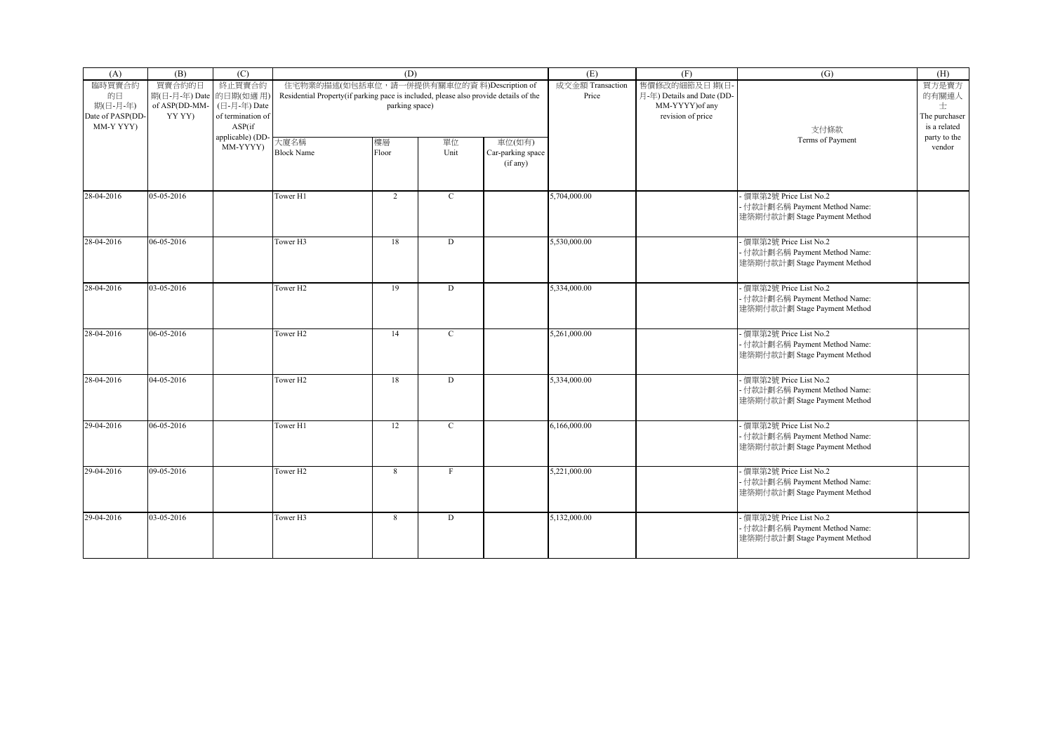| (A)                                       | (B)                              | (C)                                         |                                                                                      | (D)                                        |              |                                         | (E)                       | (F)                                        | (G)                                                                                      | (H)                                |
|-------------------------------------------|----------------------------------|---------------------------------------------|--------------------------------------------------------------------------------------|--------------------------------------------|--------------|-----------------------------------------|---------------------------|--------------------------------------------|------------------------------------------------------------------------------------------|------------------------------------|
| 臨時買賣合約<br>的日                              | 買賣合約的日<br>期(日-月-年) Date 的日期(如適用) | 終止買賣合約                                      | Residential Property(if parking pace is included, please also provide details of the | 住宅物業的描述(如包括車位, 請一併提供有關車位的資料)Description of |              |                                         | 成交金額 Transaction<br>Price | 售價修改的細節及日期(日<br>月-年) Details and Date (DD- |                                                                                          | 買方是賣方<br>的有關連人                     |
| 期(日-月-年)<br>Date of PASP(DD-<br>MM-Y YYY) | of ASP(DD-MM-<br>YY YY)          | (日-月-年) Date<br>of termination of<br>ASP(if |                                                                                      | parking space)                             |              |                                         |                           | MM-YYYY) of any<br>revision of price       | 支付條款                                                                                     | 士<br>The purchaser<br>is a related |
|                                           |                                  | applicable) (DD<br>MM-YYYY)                 | 大廈名稱<br><b>Block Name</b>                                                            | 樓層<br>Floor                                | 單位<br>Unit   | 車位(如有)<br>Car-parking space<br>(if any) |                           |                                            | Terms of Payment                                                                         | party to the<br>vendor             |
| 28-04-2016                                | 05-05-2016                       |                                             | Tower H1                                                                             | $\overline{2}$                             | $\mathbf C$  |                                         | 5,704,000.00              |                                            | - 價單第2號 Price List No.2<br>- 付款計劃名稱 Payment Method Name:<br>建築期付款計劃 Stage Payment Method |                                    |
| 28-04-2016                                | 06-05-2016                       |                                             | Tower H3                                                                             | 18                                         | D            |                                         | 5,530,000.00              |                                            | - 價單第2號 Price List No.2<br>- 付款計劃名稱 Payment Method Name:<br>建築期付款計劃 Stage Payment Method |                                    |
| 28-04-2016                                | 03-05-2016                       |                                             | Tower H <sub>2</sub>                                                                 | 19                                         | D            |                                         | 5,334,000.00              |                                            | 價單第2號 Price List No.2<br>- 付款計劃名稱 Payment Method Name:<br>建築期付款計劃 Stage Payment Method   |                                    |
| 28-04-2016                                | 06-05-2016                       |                                             | Tower H <sub>2</sub>                                                                 | 14                                         | $\mathbf{C}$ |                                         | 5,261,000.00              |                                            | 價單第2號 Price List No.2<br>- 付款計劃名稱 Payment Method Name:<br>建築期付款計劃 Stage Payment Method   |                                    |
| 28-04-2016                                | 04-05-2016                       |                                             | Tower H <sub>2</sub>                                                                 | 18                                         | D            |                                         | 5,334,000.00              |                                            | - 價單第2號 Price List No.2<br>- 付款計劃名稱 Payment Method Name:<br>建築期付款計劃 Stage Payment Method |                                    |
| 29-04-2016                                | 06-05-2016                       |                                             | Tower H1                                                                             | 12                                         | $\mathbf C$  |                                         | 6,166,000.00              |                                            | - 價單第2號 Price List No.2<br>- 付款計劃名稱 Payment Method Name:<br>建築期付款計劃 Stage Payment Method |                                    |
| 29-04-2016                                | 09-05-2016                       |                                             | Tower H <sub>2</sub>                                                                 | 8                                          | $\mathbf{F}$ |                                         | 5,221,000.00              |                                            | 價單第2號 Price List No.2<br>- 付款計劃名稱 Payment Method Name:<br>建築期付款計劃 Stage Payment Method   |                                    |
| 29-04-2016                                | 03-05-2016                       |                                             | Tower H3                                                                             | 8                                          | D            |                                         | 5,132,000.00              |                                            | - 價單第2號 Price List No.2<br>- 付款計劃名稱 Payment Method Name:<br>建築期付款計劃 Stage Payment Method |                                    |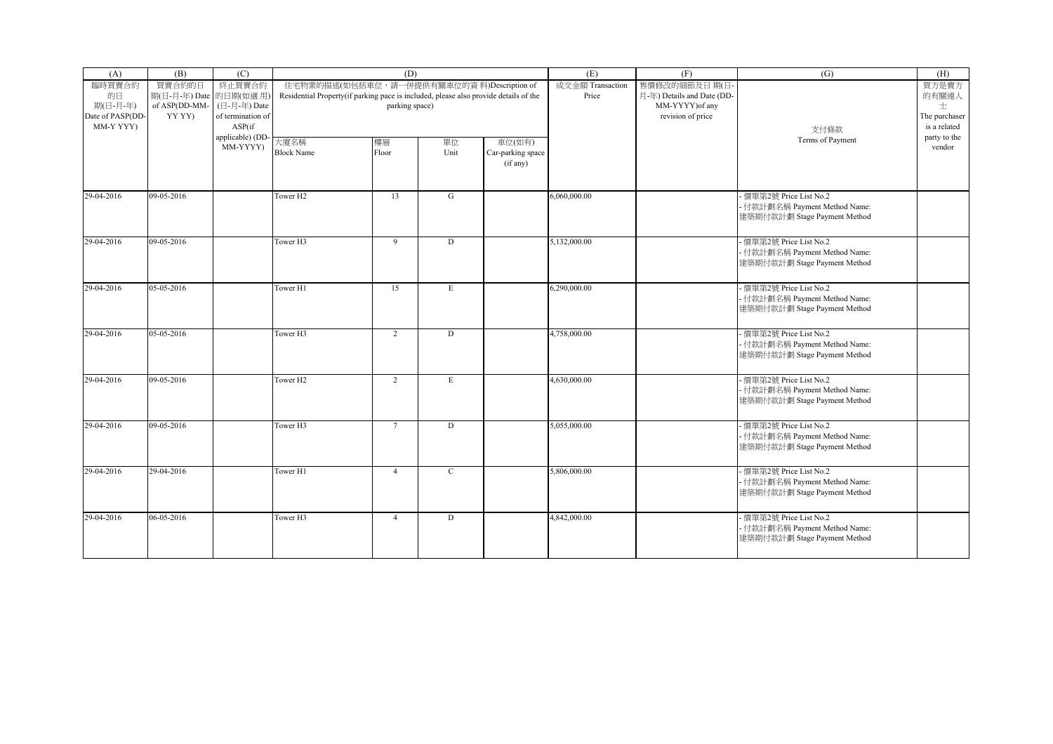| (A)                                                       | (B)                                                         | (C)                                                   |                                                                                      | (D)                                                          |             |                                         | (E)                       | (F)                                                                                | (G)                                                                                      | (H)                                                  |
|-----------------------------------------------------------|-------------------------------------------------------------|-------------------------------------------------------|--------------------------------------------------------------------------------------|--------------------------------------------------------------|-------------|-----------------------------------------|---------------------------|------------------------------------------------------------------------------------|------------------------------------------------------------------------------------------|------------------------------------------------------|
| 臨時買賣合約<br>的日<br>期(日-月-年)<br>Date of PASP(DD-<br>MM-Y YYY) | 買賣合約的日<br>期(日-月-年) Date 的日期(如適用)<br>of ASP(DD-MM-<br>YY YY) | 終止買賣合約<br>(日-月-年) Date<br>of termination of<br>ASP(if | Residential Property(if parking pace is included, please also provide details of the | 住宅物業的描述(如包括車位, 請一併提供有關車位的資料)Description of<br>parking space) |             |                                         | 成交金額 Transaction<br>Price | 售價修改的細節及日期(日<br>月-年) Details and Date (DD-<br>MM-YYYY) of any<br>revision of price | 支付條款                                                                                     | 買方是賣方<br>的有關連人<br>士<br>The purchaser<br>is a related |
|                                                           |                                                             | applicable) (DD-<br>MM-YYYY)                          | 大廈名稱<br><b>Block Name</b>                                                            | 樓層<br>Floor                                                  | 單位<br>Unit  | 車位(如有)<br>Car-parking space<br>(if any) |                           |                                                                                    | Terms of Payment                                                                         | party to the<br>vendor                               |
| 29-04-2016                                                | 09-05-2016                                                  |                                                       | Tower H <sub>2</sub>                                                                 | 13                                                           | G           |                                         | 6,060,000.00              |                                                                                    | 價單第2號 Price List No.2<br>- 付款計劃名稱 Payment Method Name:<br>建築期付款計劃 Stage Payment Method   |                                                      |
| 29-04-2016                                                | 09-05-2016                                                  |                                                       | Tower H3                                                                             | 9                                                            | D           |                                         | 5,132,000.00              |                                                                                    | - 價單第2號 Price List No.2<br>- 付款計劃名稱 Payment Method Name:<br>建築期付款計劃 Stage Payment Method |                                                      |
| 29-04-2016                                                | 05-05-2016                                                  |                                                       | Tower H1                                                                             | 15                                                           | E           |                                         | 6,290,000.00              |                                                                                    | - 價單第2號 Price List No.2<br>- 付款計劃名稱 Payment Method Name:<br>建築期付款計劃 Stage Payment Method |                                                      |
| 29-04-2016                                                | 05-05-2016                                                  |                                                       | Tower H <sub>3</sub>                                                                 | $\overline{2}$                                               | D           |                                         | 4,758,000.00              |                                                                                    | 價單第2號 Price List No.2<br>- 付款計劃名稱 Payment Method Name:<br>建築期付款計劃 Stage Payment Method   |                                                      |
| 29-04-2016                                                | 09-05-2016                                                  |                                                       | Tower H <sub>2</sub>                                                                 | $\overline{2}$                                               | E           |                                         | 4,630,000.00              |                                                                                    | - 價單第2號 Price List No.2<br>- 付款計劃名稱 Payment Method Name:<br>建築期付款計劃 Stage Payment Method |                                                      |
| 29-04-2016                                                | 09-05-2016                                                  |                                                       | Tower H3                                                                             | $7\overline{ }$                                              | $\mathbf D$ |                                         | 5,055,000.00              |                                                                                    | - 價單第2號 Price List No.2<br>- 付款計劃名稱 Payment Method Name:<br>建築期付款計劃 Stage Payment Method |                                                      |
| 29-04-2016                                                | 29-04-2016                                                  |                                                       | Tower H1                                                                             | $\overline{4}$                                               | $\mathbf C$ |                                         | 5,806,000.00              |                                                                                    | - 價單第2號 Price List No.2<br>- 付款計劃名稱 Payment Method Name:<br>建築期付款計劃 Stage Payment Method |                                                      |
| 29-04-2016                                                | 06-05-2016                                                  |                                                       | Tower H3                                                                             | $\overline{4}$                                               | $\mathbf D$ |                                         | 4,842,000.00              |                                                                                    | - 價單第2號 Price List No.2<br>- 付款計劃名稱 Payment Method Name:<br>建築期付款計劃 Stage Payment Method |                                                      |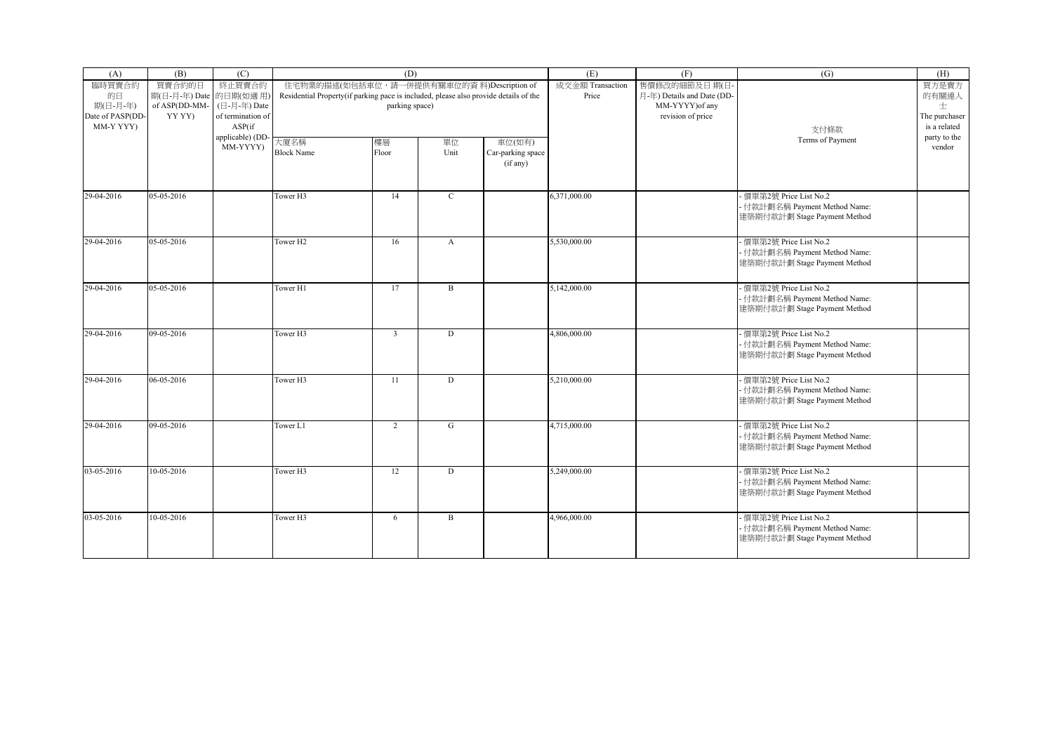| (A)                                                       | (B)                                                         | (C)                                                   |                                                                                      | (D)                                                          |                  |                                         | (E)                       | (F)                                                                                | (G)                                                                                      | (H)                                                  |
|-----------------------------------------------------------|-------------------------------------------------------------|-------------------------------------------------------|--------------------------------------------------------------------------------------|--------------------------------------------------------------|------------------|-----------------------------------------|---------------------------|------------------------------------------------------------------------------------|------------------------------------------------------------------------------------------|------------------------------------------------------|
| 臨時買賣合約<br>的日<br>期(日-月-年)<br>Date of PASP(DD-<br>MM-Y YYY) | 買賣合約的日<br>期(日-月-年) Date 的日期(如適用)<br>of ASP(DD-MM-<br>YY YY) | 終止買賣合約<br>(日-月-年) Date<br>of termination of<br>ASP(if | Residential Property(if parking pace is included, please also provide details of the | 住宅物業的描述(如包括車位, 請一併提供有關車位的資料)Description of<br>parking space) |                  |                                         | 成交金額 Transaction<br>Price | 售價修改的細節及日期(日<br>月-年) Details and Date (DD-<br>MM-YYYY) of any<br>revision of price | 支付條款                                                                                     | 買方是賣方<br>的有關連人<br>士<br>The purchaser<br>is a related |
|                                                           |                                                             | applicable) (DD-<br>MM-YYYY)                          | 大廈名稱<br><b>Block Name</b>                                                            | 樓層<br>Floor                                                  | 單位<br>Unit       | 車位(如有)<br>Car-parking space<br>(if any) |                           |                                                                                    | Terms of Payment                                                                         | party to the<br>vendor                               |
| 29-04-2016                                                | 05-05-2016                                                  |                                                       | Tower H <sub>3</sub>                                                                 | 14                                                           | $\mathbf C$      |                                         | 6,371,000.00              |                                                                                    | 價單第2號 Price List No.2<br>- 付款計劃名稱 Payment Method Name:<br>建築期付款計劃 Stage Payment Method   |                                                      |
| 29-04-2016                                                | 05-05-2016                                                  |                                                       | Tower H <sub>2</sub>                                                                 | 16                                                           | $\boldsymbol{A}$ |                                         | 5,530,000.00              |                                                                                    | - 價單第2號 Price List No.2<br>- 付款計劃名稱 Payment Method Name:<br>建築期付款計劃 Stage Payment Method |                                                      |
| 29-04-2016                                                | 05-05-2016                                                  |                                                       | Tower H1                                                                             | 17                                                           | $\mathbf{B}$     |                                         | 5,142,000.00              |                                                                                    | - 價單第2號 Price List No.2<br>- 付款計劃名稱 Payment Method Name:<br>建築期付款計劃 Stage Payment Method |                                                      |
| 29-04-2016                                                | 09-05-2016                                                  |                                                       | Tower H <sub>3</sub>                                                                 | $\overline{3}$                                               | D                |                                         | 4,806,000.00              |                                                                                    | 價單第2號 Price List No.2<br>- 付款計劃名稱 Payment Method Name:<br>建築期付款計劃 Stage Payment Method   |                                                      |
| 29-04-2016                                                | 06-05-2016                                                  |                                                       | Tower H3                                                                             | 11                                                           | D                |                                         | 5.210.000.00              |                                                                                    | - 價單第2號 Price List No.2<br>- 付款計劃名稱 Payment Method Name:<br>建築期付款計劃 Stage Payment Method |                                                      |
| 29-04-2016                                                | 09-05-2016                                                  |                                                       | Tower L1                                                                             | $\overline{2}$                                               | G                |                                         | 4,715,000.00              |                                                                                    | - 價單第2號 Price List No.2<br>- 付款計劃名稱 Payment Method Name:<br>建築期付款計劃 Stage Payment Method |                                                      |
| 03-05-2016                                                | 10-05-2016                                                  |                                                       | Tower H3                                                                             | 12                                                           | D                |                                         | 5,249,000.00              |                                                                                    | - 價單第2號 Price List No.2<br>- 付款計劃名稱 Payment Method Name:<br>建築期付款計劃 Stage Payment Method |                                                      |
| 03-05-2016                                                | 10-05-2016                                                  |                                                       | Tower H3                                                                             | 6                                                            | B                |                                         | 4,966,000.00              |                                                                                    | - 價單第2號 Price List No.2<br>- 付款計劃名稱 Payment Method Name:<br>建築期付款計劃 Stage Payment Method |                                                      |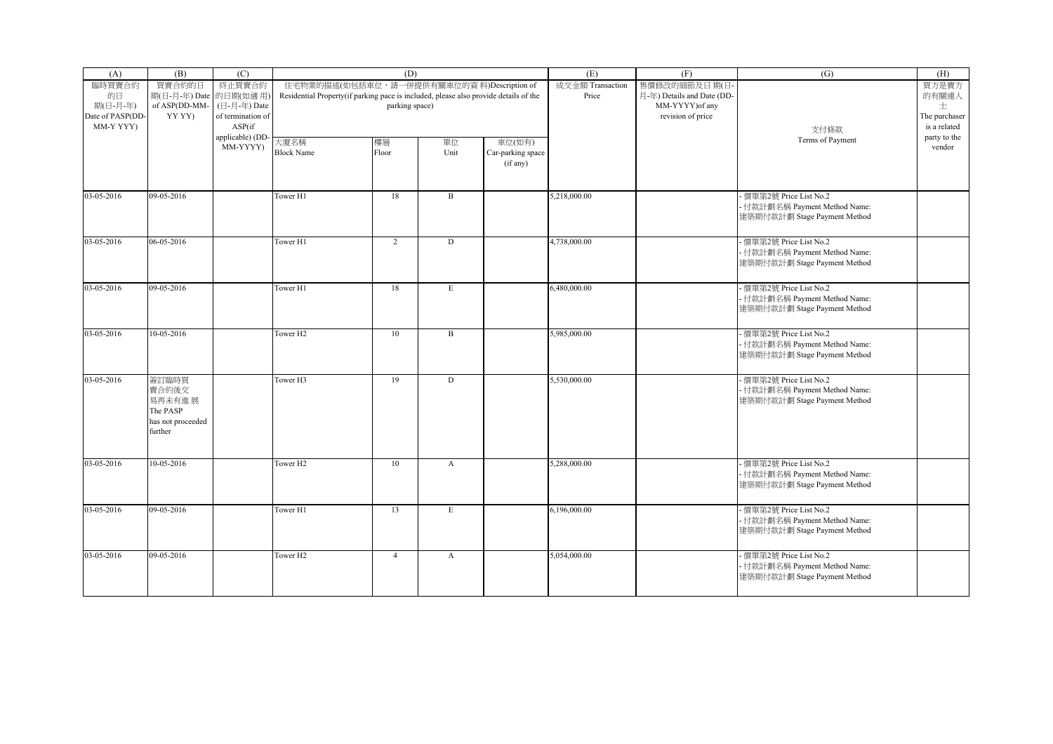| (A)              | (B)                    | (C)               |                                                                                      | (D)            |              |                   | (E)              | (F)                        | (G)                           | (H)           |
|------------------|------------------------|-------------------|--------------------------------------------------------------------------------------|----------------|--------------|-------------------|------------------|----------------------------|-------------------------------|---------------|
| 臨時買賣合約           | 買賣合約的日                 | 終止買賣合約            | 住宅物業的描述(如包括車位, 請一併提供有關車位的資料)Description of                                           |                |              |                   | 成交金額 Transaction | 售價修改的細節及日期(日               |                               | 買方是賣方         |
| 的日               | 期(日-月-年) Date 的日期(如適用) |                   | Residential Property(if parking pace is included, please also provide details of the |                |              |                   | Price            | 月-年) Details and Date (DD- |                               | 的有關連人         |
| 期(日-月-年)         | of ASP(DD-MM-          | (日-月-年) Date      |                                                                                      | parking space) |              |                   |                  | MM-YYYY) of any            |                               | 士             |
| Date of PASP(DD- | YY YY)                 | of termination of |                                                                                      |                |              |                   |                  | revision of price          |                               | The purchaser |
| MM-Y YYY)        |                        | ASP(if)           |                                                                                      |                |              |                   |                  |                            | 支付條款                          | is a related  |
|                  |                        | applicable) (DD-  | 大廈名稱                                                                                 | 樓層             | 單位           | 車位(如有)            |                  |                            | Terms of Payment              | party to the  |
|                  |                        | MM-YYYYY)         | <b>Block Name</b>                                                                    | Floor          | Unit         | Car-parking space |                  |                            |                               | vendor        |
|                  |                        |                   |                                                                                      |                |              | (if any)          |                  |                            |                               |               |
|                  |                        |                   |                                                                                      |                |              |                   |                  |                            |                               |               |
|                  |                        |                   |                                                                                      |                |              |                   |                  |                            |                               |               |
| 03-05-2016       | $09-05-2016$           |                   | Tower H1                                                                             | 18             | $\mathbf{B}$ |                   | 5,218,000.00     |                            | 便單第2號 Price List No.2         |               |
|                  |                        |                   |                                                                                      |                |              |                   |                  |                            | · 付款計劃名稱 Payment Method Name: |               |
|                  |                        |                   |                                                                                      |                |              |                   |                  |                            | 建築期付款計劃 Stage Payment Method  |               |
|                  |                        |                   |                                                                                      |                |              |                   |                  |                            |                               |               |
| 03-05-2016       | 06-05-2016             |                   | Tower H1                                                                             | 2              | D            |                   | 4,738,000.00     |                            | 價單第2號 Price List No.2         |               |
|                  |                        |                   |                                                                                      |                |              |                   |                  |                            | - 付款計劃名稱 Payment Method Name: |               |
|                  |                        |                   |                                                                                      |                |              |                   |                  |                            |                               |               |
|                  |                        |                   |                                                                                      |                |              |                   |                  |                            | 建築期付款計劃 Stage Payment Method  |               |
|                  |                        |                   |                                                                                      |                |              |                   |                  |                            |                               |               |
| 03-05-2016       | 09-05-2016             |                   | Tower H1                                                                             | 18             | E            |                   | 6,480,000.00     |                            | 便單第2號 Price List No.2         |               |
|                  |                        |                   |                                                                                      |                |              |                   |                  |                            | - 付款計劃名稱 Payment Method Name: |               |
|                  |                        |                   |                                                                                      |                |              |                   |                  |                            | 建築期付款計劃 Stage Payment Method  |               |
|                  |                        |                   |                                                                                      |                |              |                   |                  |                            |                               |               |
| 03-05-2016       | 10-05-2016             |                   | Tower <sub>H2</sub>                                                                  | 10             | $\, {\bf B}$ |                   | 5,985,000.00     |                            | 便單第2號 Price List No.2         |               |
|                  |                        |                   |                                                                                      |                |              |                   |                  |                            | · 付款計劃名稱 Payment Method Name: |               |
|                  |                        |                   |                                                                                      |                |              |                   |                  |                            | 建築期付款計劃 Stage Payment Method  |               |
|                  |                        |                   |                                                                                      |                |              |                   |                  |                            |                               |               |
| 03-05-2016       | 簽訂臨時買                  |                   | Tower <sub>H3</sub>                                                                  | 19             | D            |                   | 5,530,000.00     |                            | 便單第2號 Price List No.2         |               |
|                  | 賣合約後交                  |                   |                                                                                      |                |              |                   |                  |                            | - 付款計劃名稱 Payment Method Name: |               |
|                  | 易再未有進 展                |                   |                                                                                      |                |              |                   |                  |                            | 建築期付款計劃 Stage Payment Method  |               |
|                  | The PASP               |                   |                                                                                      |                |              |                   |                  |                            |                               |               |
|                  | has not proceeded      |                   |                                                                                      |                |              |                   |                  |                            |                               |               |
|                  | further                |                   |                                                                                      |                |              |                   |                  |                            |                               |               |
|                  |                        |                   |                                                                                      |                |              |                   |                  |                            |                               |               |
|                  |                        |                   |                                                                                      |                |              |                   |                  |                            |                               |               |
| 03-05-2016       | 10-05-2016             |                   | Tower <sub>H2</sub>                                                                  | 10             | $\mathbf{A}$ |                   | 5,288,000.00     |                            | 便單第2號 Price List No.2         |               |
|                  |                        |                   |                                                                                      |                |              |                   |                  |                            | - 付款計劃名稱 Payment Method Name: |               |
|                  |                        |                   |                                                                                      |                |              |                   |                  |                            | 建築期付款計劃 Stage Payment Method  |               |
|                  |                        |                   |                                                                                      |                |              |                   |                  |                            |                               |               |
| 03-05-2016       | 09-05-2016             |                   | Tower H1                                                                             | 13             | $\mathbf E$  |                   | 6,196,000.00     |                            | 便單第2號 Price List No.2         |               |
|                  |                        |                   |                                                                                      |                |              |                   |                  |                            | · 付款計劃名稱 Payment Method Name: |               |
|                  |                        |                   |                                                                                      |                |              |                   |                  |                            |                               |               |
|                  |                        |                   |                                                                                      |                |              |                   |                  |                            | 建築期付款計劃 Stage Payment Method  |               |
|                  |                        |                   |                                                                                      |                |              |                   |                  |                            |                               |               |
| 03-05-2016       | 09-05-2016             |                   | Tower <sub>H2</sub>                                                                  | $\overline{4}$ | $\mathbf{A}$ |                   | 5,054,000.00     |                            | - 價單第2號 Price List No.2       |               |
|                  |                        |                   |                                                                                      |                |              |                   |                  |                            | - 付款計劃名稱 Payment Method Name: |               |
|                  |                        |                   |                                                                                      |                |              |                   |                  |                            | 建築期付款計劃 Stage Payment Method  |               |
|                  |                        |                   |                                                                                      |                |              |                   |                  |                            |                               |               |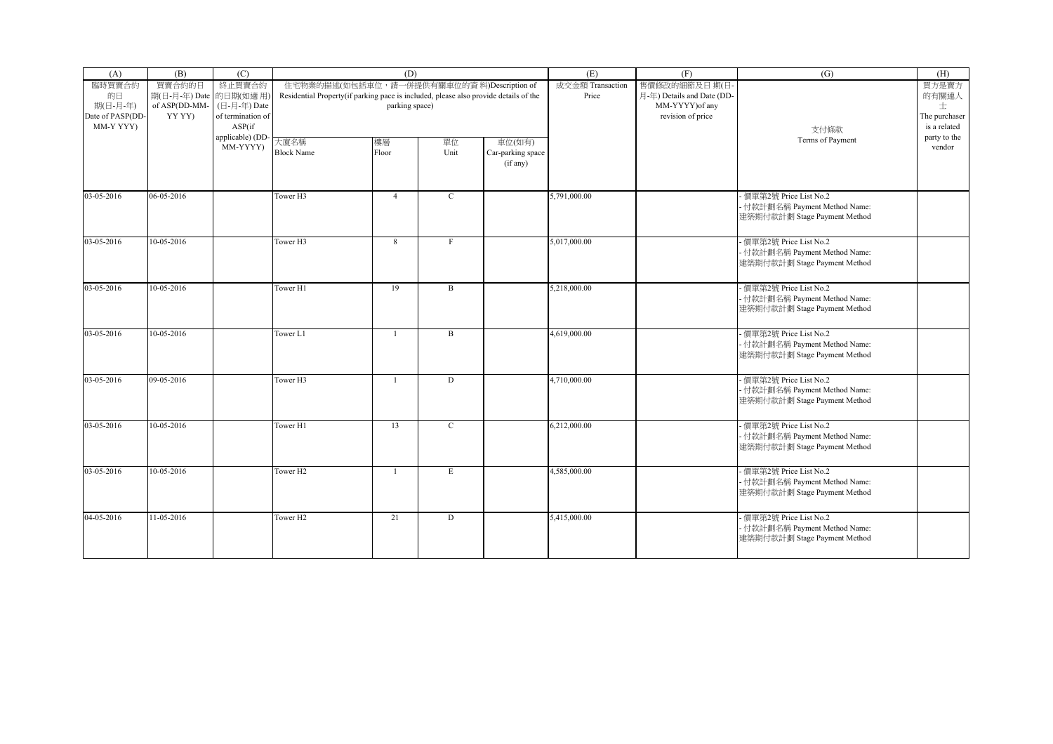| (A)                           | (B)                                               | (C)                         |                                                                                      | (D)                                                          |              |                                         | (E)                       | (F)                                                           | (G)                                                                                      | (H)                           |
|-------------------------------|---------------------------------------------------|-----------------------------|--------------------------------------------------------------------------------------|--------------------------------------------------------------|--------------|-----------------------------------------|---------------------------|---------------------------------------------------------------|------------------------------------------------------------------------------------------|-------------------------------|
| 臨時買賣合約<br>的日<br>期(日-月-年)      | 買賣合約的日<br>期(日-月-年) Date 的日期(如適用)<br>of ASP(DD-MM- | 終止買賣合約<br>(日-月-年) Date      | Residential Property(if parking pace is included, please also provide details of the | 住宅物業的描述(如包括車位, 請一併提供有關車位的資料)Description of<br>parking space) |              |                                         | 成交金額 Transaction<br>Price | 售價修改的細節及日期(日<br>月-年) Details and Date (DD-<br>MM-YYYY) of any |                                                                                          | 買方是賣方<br>的有關連人<br>士           |
| Date of PASP(DD-<br>MM-Y YYY) | YY YY)                                            | of termination of<br>ASP(if |                                                                                      |                                                              |              |                                         |                           | revision of price                                             | 支付條款                                                                                     | The purchaser<br>is a related |
|                               |                                                   | applicable) (DD<br>MM-YYYY) | 大廈名稱<br><b>Block Name</b>                                                            | 樓層<br>Floor                                                  | 單位<br>Unit   | 車位(如有)<br>Car-parking space<br>(if any) |                           |                                                               | Terms of Payment                                                                         | party to the<br>vendor        |
| 03-05-2016                    | 06-05-2016                                        |                             | Tower H3                                                                             | $\overline{4}$                                               | $\mathbf C$  |                                         | 5,791,000.00              |                                                               | - 價單第2號 Price List No.2<br>- 付款計劃名稱 Payment Method Name:<br>建築期付款計劃 Stage Payment Method |                               |
| 03-05-2016                    | 10-05-2016                                        |                             | Tower H3                                                                             | 8                                                            | $\mathbf{F}$ |                                         | 5,017,000.00              |                                                               | - 價單第2號 Price List No.2<br>- 付款計劃名稱 Payment Method Name:<br>建築期付款計劃 Stage Payment Method |                               |
| 03-05-2016                    | 10-05-2016                                        |                             | Tower H1                                                                             | 19                                                           | $\mathbf{B}$ |                                         | 5,218,000.00              |                                                               | 價單第2號 Price List No.2<br>- 付款計劃名稱 Payment Method Name:<br>建築期付款計劃 Stage Payment Method   |                               |
| 03-05-2016                    | 10-05-2016                                        |                             | Tower L1                                                                             | $\mathbf{1}$                                                 | $\mathbf{B}$ |                                         | 4,619,000.00              |                                                               | 價單第2號 Price List No.2<br>- 付款計劃名稱 Payment Method Name:<br>建築期付款計劃 Stage Payment Method   |                               |
| 03-05-2016                    | 09-05-2016                                        |                             | Tower H3                                                                             | $\overline{1}$                                               | D            |                                         | 4,710,000.00              |                                                               | - 價單第2號 Price List No.2<br>- 付款計劃名稱 Payment Method Name:<br>建築期付款計劃 Stage Payment Method |                               |
| 03-05-2016                    | 10-05-2016                                        |                             | Tower H1                                                                             | 13                                                           | $\mathbf C$  |                                         | 6,212,000.00              |                                                               | - 價單第2號 Price List No.2<br>- 付款計劃名稱 Payment Method Name:<br>建築期付款計劃 Stage Payment Method |                               |
| 03-05-2016                    | 10-05-2016                                        |                             | Tower H <sub>2</sub>                                                                 | $\overline{1}$                                               | E            |                                         | 4.585,000.00              |                                                               | 價單第2號 Price List No.2<br>- 付款計劃名稱 Payment Method Name:<br>建築期付款計劃 Stage Payment Method   |                               |
| 04-05-2016                    | 11-05-2016                                        |                             | Tower H <sub>2</sub>                                                                 | 21                                                           | D            |                                         | 5,415,000.00              |                                                               | - 價單第2號 Price List No.2<br>- 付款計劃名稱 Payment Method Name:<br>建築期付款計劃 Stage Payment Method |                               |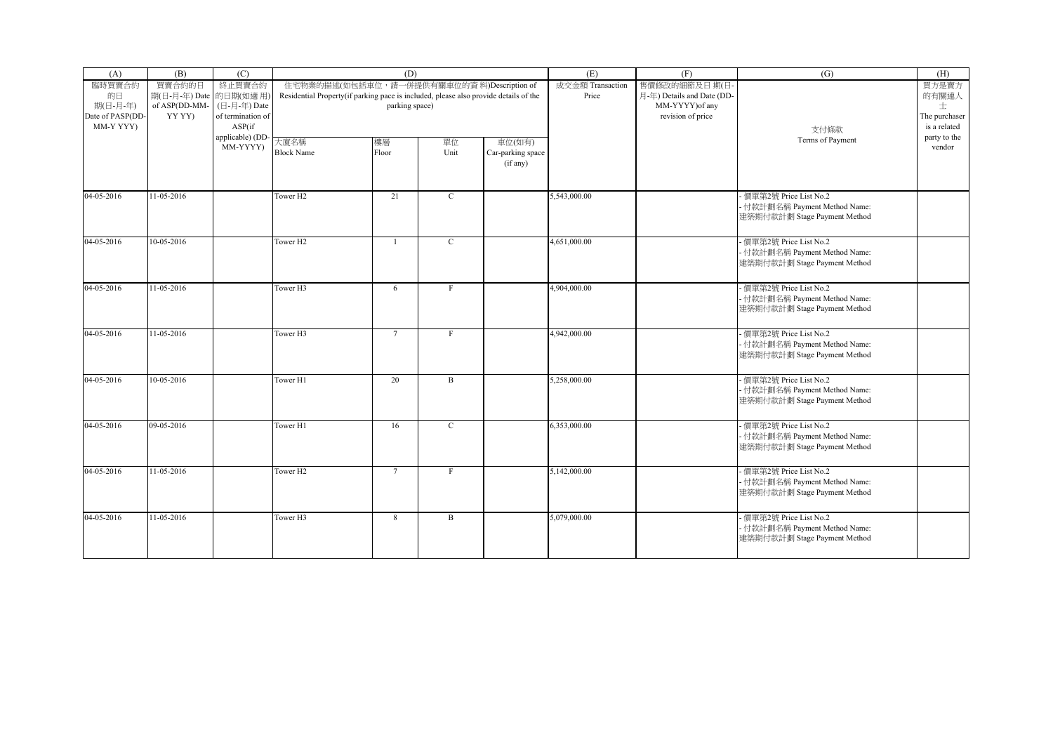| (A)                                       | (B)                              | (C)                                         |                                                                                      | (D)                                        |              |                                         | (E)                       | (F)                                        | (G)                                                                                      | (H)                                |
|-------------------------------------------|----------------------------------|---------------------------------------------|--------------------------------------------------------------------------------------|--------------------------------------------|--------------|-----------------------------------------|---------------------------|--------------------------------------------|------------------------------------------------------------------------------------------|------------------------------------|
| 臨時買賣合約<br>的日                              | 買賣合約的日<br>期(日-月-年) Date 的日期(如適用) | 終止買賣合約                                      | Residential Property(if parking pace is included, please also provide details of the | 住宅物業的描述(如包括車位, 請一併提供有關車位的資料)Description of |              |                                         | 成交金額 Transaction<br>Price | 售價修改的細節及日期(日<br>月-年) Details and Date (DD- |                                                                                          | 買方是賣方<br>的有關連人                     |
| 期(日-月-年)<br>Date of PASP(DD-<br>MM-Y YYY) | of ASP(DD-MM-<br>YY YY)          | (日-月-年) Date<br>of termination of<br>ASP(if |                                                                                      | parking space)                             |              |                                         |                           | MM-YYYY) of any<br>revision of price       | 支付條款                                                                                     | 士<br>The purchaser<br>is a related |
|                                           |                                  | applicable) (DD<br>MM-YYYY)                 | 大廈名稱<br><b>Block Name</b>                                                            | 樓層<br>Floor                                | 單位<br>Unit   | 車位(如有)<br>Car-parking space<br>(if any) |                           |                                            | Terms of Payment                                                                         | party to the<br>vendor             |
| 04-05-2016                                | 11-05-2016                       |                                             | Tower H <sub>2</sub>                                                                 | 21                                         | $\mathbf C$  |                                         | 5,543,000.00              |                                            | - 價單第2號 Price List No.2<br>- 付款計劃名稱 Payment Method Name:<br>建築期付款計劃 Stage Payment Method |                                    |
| 04-05-2016                                | 10-05-2016                       |                                             | Tower H <sub>2</sub>                                                                 | $\mathbf{1}$                               | $\mathbf{C}$ |                                         | 4,651,000.00              |                                            | - 價單第2號 Price List No.2<br>- 付款計劃名稱 Payment Method Name:<br>建築期付款計劃 Stage Payment Method |                                    |
| 04-05-2016                                | 11-05-2016                       |                                             | Tower H3                                                                             | 6                                          | F            |                                         | 4,904,000.00              |                                            | 價單第2號 Price List No.2<br>- 付款計劃名稱 Payment Method Name:<br>建築期付款計劃 Stage Payment Method   |                                    |
| 04-05-2016                                | 11-05-2016                       |                                             | Tower H3                                                                             | $\overline{7}$                             | $\mathbf{F}$ |                                         | 4,942,000.00              |                                            | 價單第2號 Price List No.2<br>- 付款計劃名稱 Payment Method Name:<br>建築期付款計劃 Stage Payment Method   |                                    |
| 04-05-2016                                | 10-05-2016                       |                                             | Tower H1                                                                             | 20                                         | $\mathbf B$  |                                         | 5,258,000.00              |                                            | - 價單第2號 Price List No.2<br>- 付款計劃名稱 Payment Method Name:<br>建築期付款計劃 Stage Payment Method |                                    |
| 04-05-2016                                | 09-05-2016                       |                                             | Tower H1                                                                             | 16                                         | $\mathbf C$  |                                         | 6,353,000.00              |                                            | - 價單第2號 Price List No.2<br>- 付款計劃名稱 Payment Method Name:<br>建築期付款計劃 Stage Payment Method |                                    |
| 04-05-2016                                | 11-05-2016                       |                                             | Tower H <sub>2</sub>                                                                 | $7\overline{ }$                            | $\mathbf{F}$ |                                         | 5,142,000.00              |                                            | 價單第2號 Price List No.2<br>- 付款計劃名稱 Payment Method Name:<br>建築期付款計劃 Stage Payment Method   |                                    |
| 04-05-2016                                | 11-05-2016                       |                                             | Tower H3                                                                             | 8                                          | B            |                                         | 5,079,000.00              |                                            | - 價單第2號 Price List No.2<br>- 付款計劃名稱 Payment Method Name:<br>建築期付款計劃 Stage Payment Method |                                    |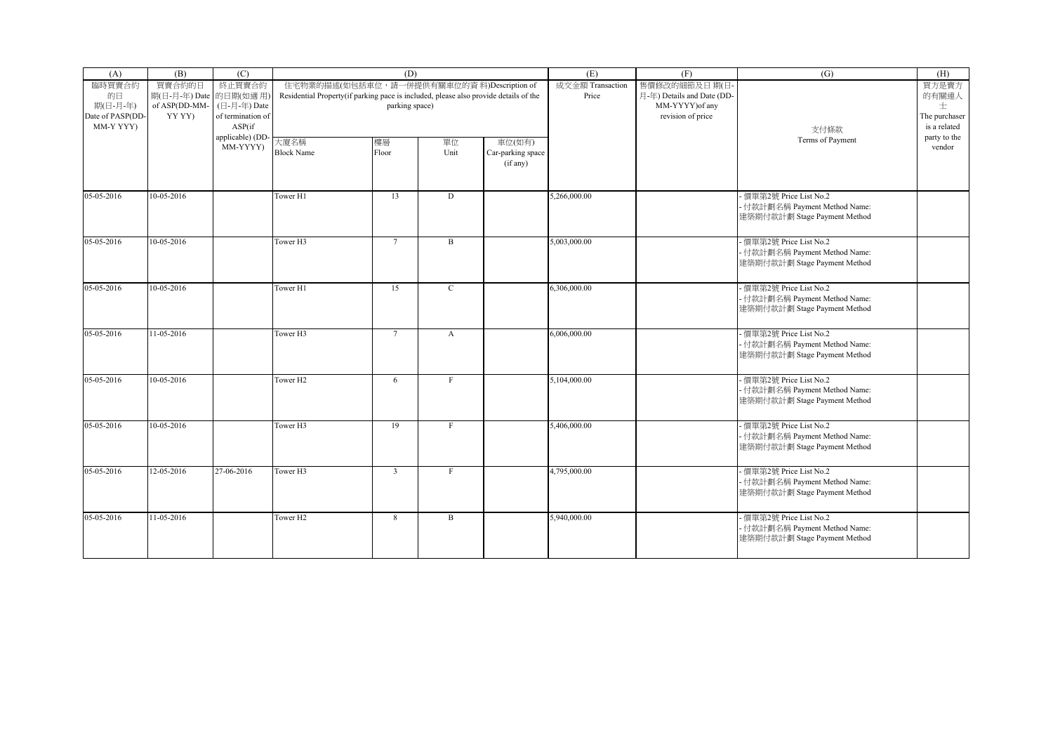| (A)                                       | (B)                              | (C)                                         |                                                                                      | (D)                                        |              |                                         | (E)                       | (F)                                        | (G)                                                                                      | (H)                                |
|-------------------------------------------|----------------------------------|---------------------------------------------|--------------------------------------------------------------------------------------|--------------------------------------------|--------------|-----------------------------------------|---------------------------|--------------------------------------------|------------------------------------------------------------------------------------------|------------------------------------|
| 臨時買賣合約<br>的日                              | 買賣合約的日<br>期(日-月-年) Date 的日期(如適用) | 終止買賣合約                                      | Residential Property(if parking pace is included, please also provide details of the | 住宅物業的描述(如包括車位, 請一併提供有關車位的資料)Description of |              |                                         | 成交金額 Transaction<br>Price | 售價修改的細節及日期(日<br>月-年) Details and Date (DD- |                                                                                          | 買方是賣方<br>的有關連人                     |
| 期(日-月-年)<br>Date of PASP(DD-<br>MM-Y YYY) | of ASP(DD-MM-<br>YY YY)          | (日-月-年) Date<br>of termination of<br>ASP(if |                                                                                      | parking space)                             |              |                                         |                           | MM-YYYY) of any<br>revision of price       | 支付條款                                                                                     | 士<br>The purchaser<br>is a related |
|                                           |                                  | applicable) (DD<br>MM-YYYY)                 | 大廈名稱<br><b>Block Name</b>                                                            | 樓層<br>Floor                                | 單位<br>Unit   | 車位(如有)<br>Car-parking space<br>(if any) |                           |                                            | Terms of Payment                                                                         | party to the<br>vendor             |
| 05-05-2016                                | 10-05-2016                       |                                             | Tower H1                                                                             | 13                                         | D            |                                         | 5,266,000.00              |                                            | - 價單第2號 Price List No.2<br>- 付款計劃名稱 Payment Method Name:<br>建築期付款計劃 Stage Payment Method |                                    |
| 05-05-2016                                | 10-05-2016                       |                                             | Tower H3                                                                             | $7\overline{ }$                            | B            |                                         | 5,003,000.00              |                                            | - 價單第2號 Price List No.2<br>- 付款計劃名稱 Payment Method Name:<br>建築期付款計劃 Stage Payment Method |                                    |
| 05-05-2016                                | 10-05-2016                       |                                             | Tower H1                                                                             | 15                                         | $\mathbf{C}$ |                                         | 6,306,000.00              |                                            | 價單第2號 Price List No.2<br>- 付款計劃名稱 Payment Method Name:<br>建築期付款計劃 Stage Payment Method   |                                    |
| 05-05-2016                                | 11-05-2016                       |                                             | Tower H3                                                                             | $\overline{7}$                             | $\mathbf{A}$ |                                         | 6,006,000.00              |                                            | 價單第2號 Price List No.2<br>- 付款計劃名稱 Payment Method Name:<br>建築期付款計劃 Stage Payment Method   |                                    |
| 05-05-2016                                | 10-05-2016                       |                                             | Tower H <sub>2</sub>                                                                 | 6                                          | $_{\rm F}$   |                                         | 5,104,000.00              |                                            | - 價單第2號 Price List No.2<br>- 付款計劃名稱 Payment Method Name:<br>建築期付款計劃 Stage Payment Method |                                    |
| 05-05-2016                                | 10-05-2016                       |                                             | Tower <sub>H3</sub>                                                                  | 19                                         | F            |                                         | 5,406,000.00              |                                            | - 價單第2號 Price List No.2<br>- 付款計劃名稱 Payment Method Name:<br>建築期付款計劃 Stage Payment Method |                                    |
| 05-05-2016                                | 12-05-2016                       | 27-06-2016                                  | Tower H3                                                                             | $\overline{3}$                             | $\mathbf{F}$ |                                         | 4,795,000.00              |                                            | 價單第2號 Price List No.2<br>- 付款計劃名稱 Payment Method Name:<br>建築期付款計劃 Stage Payment Method   |                                    |
| 05-05-2016                                | 11-05-2016                       |                                             | Tower H2                                                                             | 8                                          | B            |                                         | 5,940,000.00              |                                            | - 價單第2號 Price List No.2<br>- 付款計劃名稱 Payment Method Name:<br>建築期付款計劃 Stage Payment Method |                                    |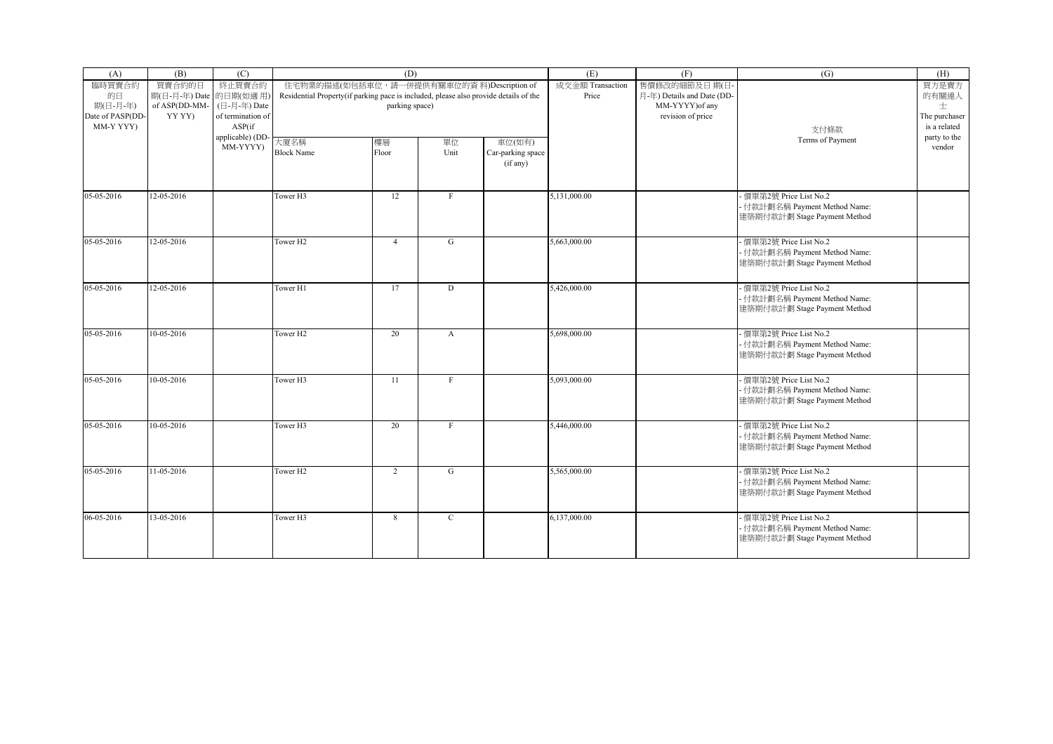| (A)                                       | (B)                              | (C)                                         |                                                                                      | (D)                                        |              |                                         | (E)                       | (F)                                        | (G)                                                                                      | (H)                                |
|-------------------------------------------|----------------------------------|---------------------------------------------|--------------------------------------------------------------------------------------|--------------------------------------------|--------------|-----------------------------------------|---------------------------|--------------------------------------------|------------------------------------------------------------------------------------------|------------------------------------|
| 臨時買賣合約<br>的日                              | 買賣合約的日<br>期(日-月-年) Date 的日期(如適用) | 終止買賣合約                                      | Residential Property(if parking pace is included, please also provide details of the | 住宅物業的描述(如包括車位, 請一併提供有關車位的資料)Description of |              |                                         | 成交金額 Transaction<br>Price | 售價修改的細節及日期(日<br>月-年) Details and Date (DD- |                                                                                          | 買方是賣方<br>的有關連人                     |
| 期(日-月-年)<br>Date of PASP(DD-<br>MM-Y YYY) | of ASP(DD-MM-<br>YY YY)          | (日-月-年) Date<br>of termination of<br>ASP(if |                                                                                      | parking space)                             |              |                                         |                           | MM-YYYY) of any<br>revision of price       | 支付條款                                                                                     | 士<br>The purchaser<br>is a related |
|                                           |                                  | applicable) (DD<br>MM-YYYY)                 | 大廈名稱<br><b>Block Name</b>                                                            | 樓層<br>Floor                                | 單位<br>Unit   | 車位(如有)<br>Car-parking space<br>(if any) |                           |                                            | Terms of Payment                                                                         | party to the<br>vendor             |
| 05-05-2016                                | 12-05-2016                       |                                             | Tower H3                                                                             | 12                                         | $_{\rm F}$   |                                         | 5,131,000.00              |                                            | - 價單第2號 Price List No.2<br>- 付款計劃名稱 Payment Method Name:<br>建築期付款計劃 Stage Payment Method |                                    |
| 05-05-2016                                | 12-05-2016                       |                                             | Tower H <sub>2</sub>                                                                 | $\overline{4}$                             | G            |                                         | 5,663,000.00              |                                            | - 價單第2號 Price List No.2<br>- 付款計劃名稱 Payment Method Name:<br>建築期付款計劃 Stage Payment Method |                                    |
| 05-05-2016                                | 12-05-2016                       |                                             | Tower H1                                                                             | 17                                         | D            |                                         | 5,426,000.00              |                                            | 價單第2號 Price List No.2<br>- 付款計劃名稱 Payment Method Name:<br>建築期付款計劃 Stage Payment Method   |                                    |
| 05-05-2016                                | 10-05-2016                       |                                             | Tower H <sub>2</sub>                                                                 | 20                                         | $\mathbf{A}$ |                                         | 5,698,000.00              |                                            | 價單第2號 Price List No.2<br>- 付款計劃名稱 Payment Method Name:<br>建築期付款計劃 Stage Payment Method   |                                    |
| 05-05-2016                                | 10-05-2016                       |                                             | Tower H3                                                                             | 11                                         | $_{\rm F}$   |                                         | 5,093,000.00              |                                            | - 價單第2號 Price List No.2<br>- 付款計劃名稱 Payment Method Name:<br>建築期付款計劃 Stage Payment Method |                                    |
| 05-05-2016                                | 10-05-2016                       |                                             | Tower <sub>H3</sub>                                                                  | 20                                         | F            |                                         | 5,446,000.00              |                                            | - 價單第2號 Price List No.2<br>- 付款計劃名稱 Payment Method Name:<br>建築期付款計劃 Stage Payment Method |                                    |
| 05-05-2016                                | 11-05-2016                       |                                             | Tower H <sub>2</sub>                                                                 | $\overline{2}$                             | G            |                                         | 5,565,000.00              |                                            | 價單第2號 Price List No.2<br>- 付款計劃名稱 Payment Method Name:<br>建築期付款計劃 Stage Payment Method   |                                    |
| 06-05-2016                                | 13-05-2016                       |                                             | Tower H3                                                                             | 8                                          | $\mathbf C$  |                                         | 6,137,000.00              |                                            | - 價單第2號 Price List No.2<br>- 付款計劃名稱 Payment Method Name:<br>建築期付款計劃 Stage Payment Method |                                    |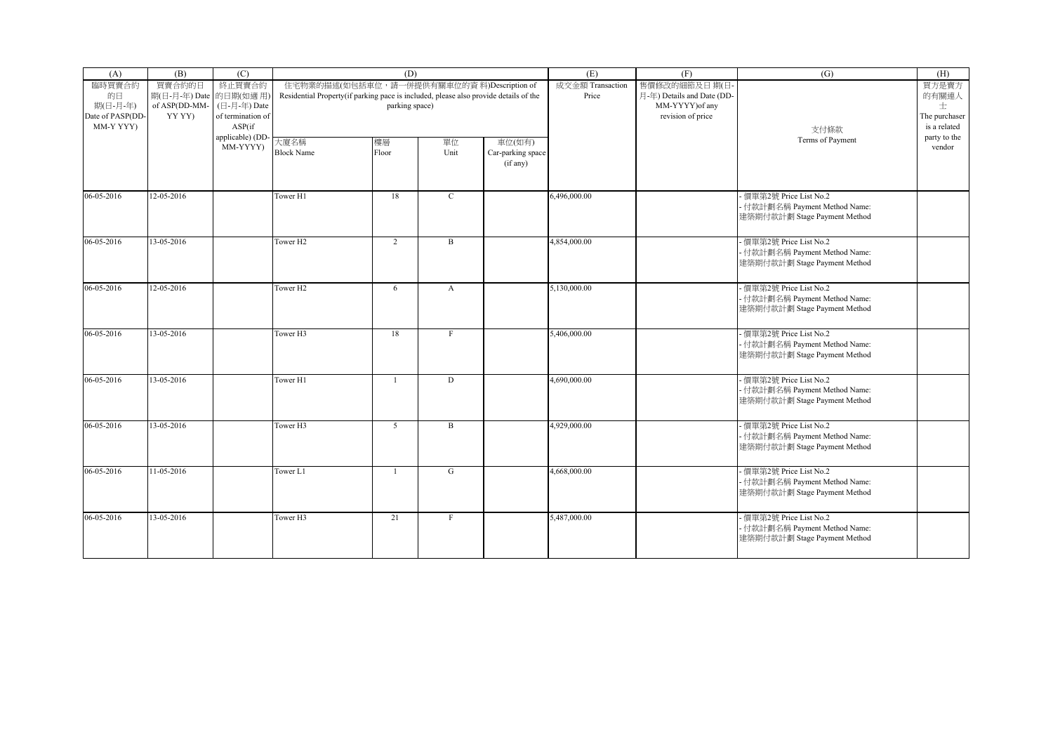| (A)                                       | (B)                              | (C)                                         |                                                                                      | (D)                                        |              |                                         | (E)                       | (F)                                        | (G)                                                                                      | (H)                                |
|-------------------------------------------|----------------------------------|---------------------------------------------|--------------------------------------------------------------------------------------|--------------------------------------------|--------------|-----------------------------------------|---------------------------|--------------------------------------------|------------------------------------------------------------------------------------------|------------------------------------|
| 臨時買賣合約<br>的日                              | 買賣合約的日<br>期(日-月-年) Date 的日期(如適用) | 終止買賣合約                                      | Residential Property(if parking pace is included, please also provide details of the | 住宅物業的描述(如包括車位, 請一併提供有關車位的資料)Description of |              |                                         | 成交金額 Transaction<br>Price | 售價修改的細節及日期(日<br>月-年) Details and Date (DD- |                                                                                          | 買方是賣方<br>的有關連人                     |
| 期(日-月-年)<br>Date of PASP(DD-<br>MM-Y YYY) | of ASP(DD-MM-<br>YY YY)          | (日-月-年) Date<br>of termination of<br>ASP(if |                                                                                      | parking space)                             |              |                                         |                           | MM-YYYY) of any<br>revision of price       | 支付條款                                                                                     | 士<br>The purchaser<br>is a related |
|                                           |                                  | applicable) (DD<br>MM-YYYY)                 | 大廈名稱<br><b>Block Name</b>                                                            | 樓層<br>Floor                                | 單位<br>Unit   | 車位(如有)<br>Car-parking space<br>(if any) |                           |                                            | Terms of Payment                                                                         | party to the<br>vendor             |
| 06-05-2016                                | 12-05-2016                       |                                             | Tower H1                                                                             | 18                                         | $\mathbf C$  |                                         | 6,496,000.00              |                                            | - 價單第2號 Price List No.2<br>- 付款計劃名稱 Payment Method Name:<br>建築期付款計劃 Stage Payment Method |                                    |
| 06-05-2016                                | 13-05-2016                       |                                             | Tower H <sub>2</sub>                                                                 | 2                                          | B            |                                         | 4,854,000.00              |                                            | - 價單第2號 Price List No.2<br>- 付款計劃名稱 Payment Method Name:<br>建築期付款計劃 Stage Payment Method |                                    |
| 06-05-2016                                | 12-05-2016                       |                                             | Tower H <sub>2</sub>                                                                 | 6                                          | $\mathbf{A}$ |                                         | 5,130,000.00              |                                            | 價單第2號 Price List No.2<br>- 付款計劃名稱 Payment Method Name:<br>建築期付款計劃 Stage Payment Method   |                                    |
| 06-05-2016                                | 13-05-2016                       |                                             | Tower H3                                                                             | 18                                         | $\mathbf{F}$ |                                         | 5,406,000.00              |                                            | 價單第2號 Price List No.2<br>- 付款計劃名稱 Payment Method Name:<br>建築期付款計劃 Stage Payment Method   |                                    |
| 06-05-2016                                | 13-05-2016                       |                                             | Tower H1                                                                             | $\overline{1}$                             | D            |                                         | 4,690,000.00              |                                            | - 價單第2號 Price List No.2<br>- 付款計劃名稱 Payment Method Name:<br>建築期付款計劃 Stage Payment Method |                                    |
| 06-05-2016                                | 13-05-2016                       |                                             | Tower <sub>H3</sub>                                                                  | 5                                          | $\mathbf{B}$ |                                         | 4,929,000.00              |                                            | - 價單第2號 Price List No.2<br>- 付款計劃名稱 Payment Method Name:<br>建築期付款計劃 Stage Payment Method |                                    |
| 06-05-2016                                | 11-05-2016                       |                                             | Tower L1                                                                             | $\overline{1}$                             | G            |                                         | 4.668,000.00              |                                            | 價單第2號 Price List No.2<br>- 付款計劃名稱 Payment Method Name:<br>建築期付款計劃 Stage Payment Method   |                                    |
| 06-05-2016                                | 13-05-2016                       |                                             | Tower H3                                                                             | 21                                         | $\mathbf F$  |                                         | 5,487,000.00              |                                            | - 價單第2號 Price List No.2<br>- 付款計劃名稱 Payment Method Name:<br>建築期付款計劃 Stage Payment Method |                                    |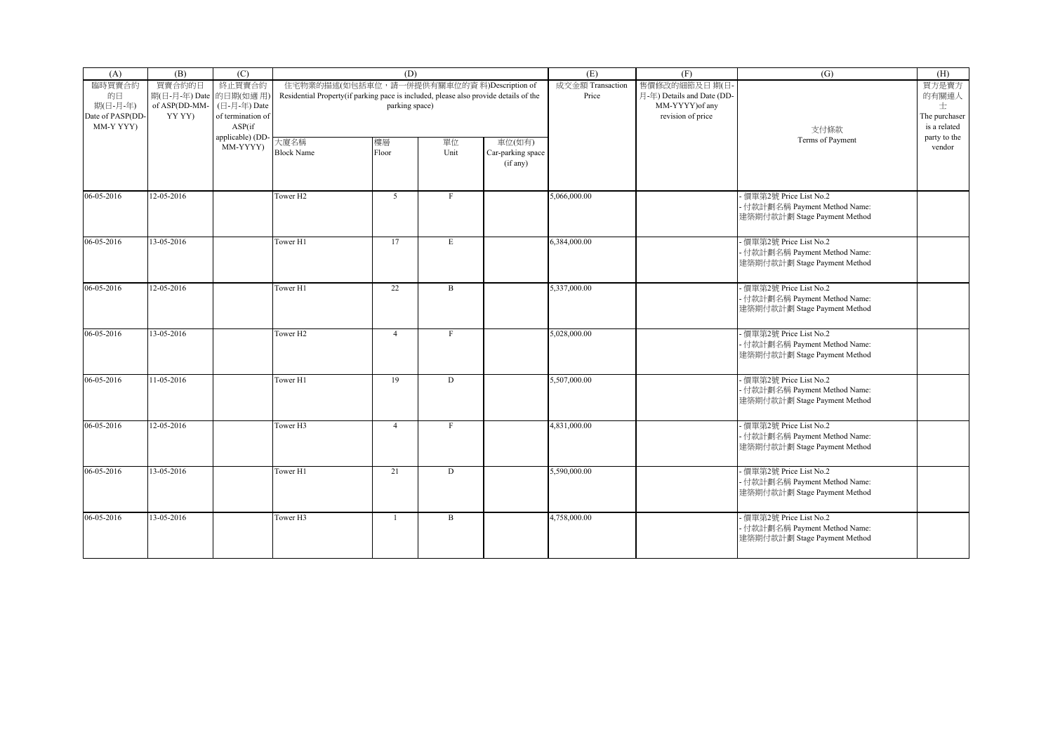| (A)                                       | (B)                              | (C)                                         |                                                                                      | (D)                                        |              |                                         | (E)                       | (F)                                        | (G)                                                                                      | (H)                                |
|-------------------------------------------|----------------------------------|---------------------------------------------|--------------------------------------------------------------------------------------|--------------------------------------------|--------------|-----------------------------------------|---------------------------|--------------------------------------------|------------------------------------------------------------------------------------------|------------------------------------|
| 臨時買賣合約<br>的日                              | 買賣合約的日<br>期(日-月-年) Date 的日期(如適用) | 終止買賣合約                                      | Residential Property(if parking pace is included, please also provide details of the | 住宅物業的描述(如包括車位, 請一併提供有關車位的資料)Description of |              |                                         | 成交金額 Transaction<br>Price | 售價修改的細節及日期(日<br>月-年) Details and Date (DD- |                                                                                          | 買方是賣方<br>的有關連人                     |
| 期(日-月-年)<br>Date of PASP(DD-<br>MM-Y YYY) | of ASP(DD-MM-<br>YY YY)          | (日-月-年) Date<br>of termination of<br>ASP(if |                                                                                      | parking space)                             |              |                                         |                           | MM-YYYY) of any<br>revision of price       | 支付條款                                                                                     | 士<br>The purchaser<br>is a related |
|                                           |                                  | applicable) (DD<br>MM-YYYY)                 | 大廈名稱<br><b>Block Name</b>                                                            | 樓層<br>Floor                                | 單位<br>Unit   | 車位(如有)<br>Car-parking space<br>(if any) |                           |                                            | Terms of Payment                                                                         | party to the<br>vendor             |
| 06-05-2016                                | 12-05-2016                       |                                             | Tower H <sub>2</sub>                                                                 | 5 <sup>5</sup>                             | $\mathbf{F}$ |                                         | 5,066,000.00              |                                            | - 價單第2號 Price List No.2<br>- 付款計劃名稱 Payment Method Name:<br>建築期付款計劃 Stage Payment Method |                                    |
| 06-05-2016                                | 13-05-2016                       |                                             | Tower H1                                                                             | 17                                         | E            |                                         | 6,384,000.00              |                                            | - 價單第2號 Price List No.2<br>- 付款計劃名稱 Payment Method Name:<br>建築期付款計劃 Stage Payment Method |                                    |
| 06-05-2016                                | 12-05-2016                       |                                             | Tower H1                                                                             | 22                                         | $\mathbf{B}$ |                                         | 5,337,000.00              |                                            | 價單第2號 Price List No.2<br>- 付款計劃名稱 Payment Method Name:<br>建築期付款計劃 Stage Payment Method   |                                    |
| 06-05-2016                                | 13-05-2016                       |                                             | Tower H <sub>2</sub>                                                                 | $\overline{4}$                             | $\mathbf{F}$ |                                         | 5,028,000.00              |                                            | 價單第2號 Price List No.2<br>- 付款計劃名稱 Payment Method Name:<br>建築期付款計劃 Stage Payment Method   |                                    |
| 06-05-2016                                | 11-05-2016                       |                                             | Tower H1                                                                             | 19                                         | D            |                                         | 5,507,000.00              |                                            | - 價單第2號 Price List No.2<br>- 付款計劃名稱 Payment Method Name:<br>建築期付款計劃 Stage Payment Method |                                    |
| 06-05-2016                                | 12-05-2016                       |                                             | Tower <sub>H3</sub>                                                                  | $\overline{4}$                             | $_{\rm F}$   |                                         | 4,831,000.00              |                                            | - 價單第2號 Price List No.2<br>- 付款計劃名稱 Payment Method Name:<br>建築期付款計劃 Stage Payment Method |                                    |
| 06-05-2016                                | 13-05-2016                       |                                             | Tower H1                                                                             | 21                                         | D            |                                         | 5,590,000.00              |                                            | 價單第2號 Price List No.2<br>- 付款計劃名稱 Payment Method Name:<br>建築期付款計劃 Stage Payment Method   |                                    |
| 06-05-2016                                | 13-05-2016                       |                                             | Tower H3                                                                             | $\overline{1}$                             | B            |                                         | 4,758,000.00              |                                            | - 價單第2號 Price List No.2<br>- 付款計劃名稱 Payment Method Name:<br>建築期付款計劃 Stage Payment Method |                                    |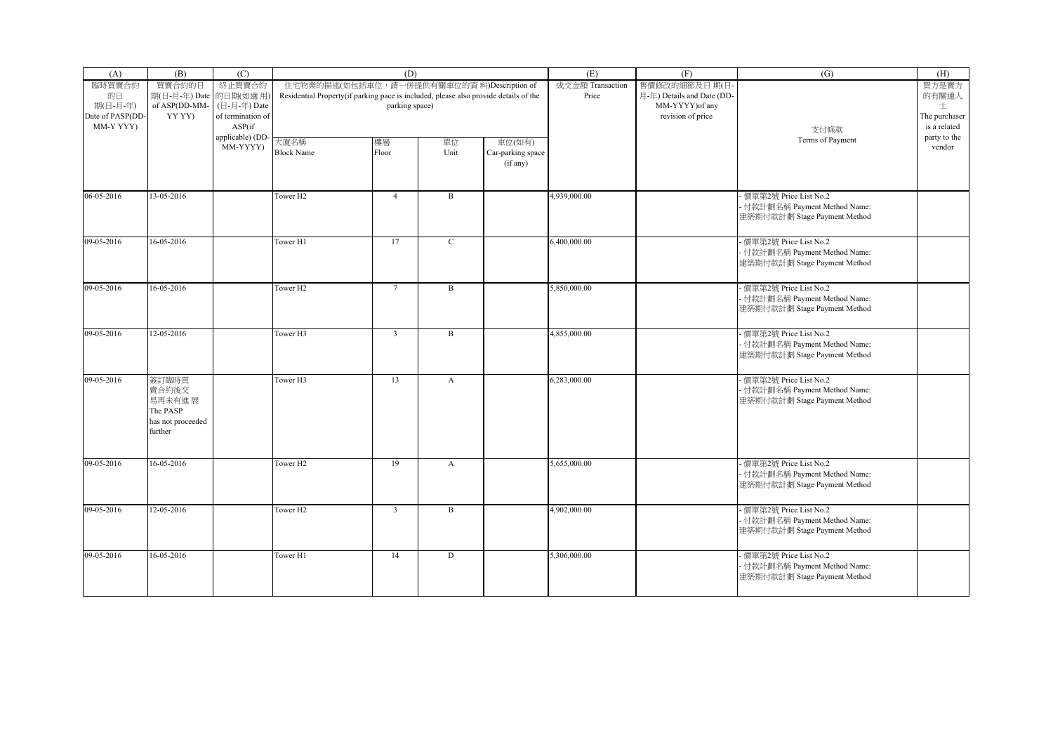| (A)              | (B)                    | (C)               |                                                                                      | (D)             |              |                   | (E)              | (F)                        | (G)                           | (H)           |
|------------------|------------------------|-------------------|--------------------------------------------------------------------------------------|-----------------|--------------|-------------------|------------------|----------------------------|-------------------------------|---------------|
| 臨時買賣合約           | 買賣合約的日                 | 終止買賣合約            | 住宅物業的描述(如包括車位, 請一併提供有關車位的資料)Description of                                           |                 |              |                   | 成交金額 Transaction | 售價修改的細節及日期(日               |                               | 買方是賣方         |
| 的日               | 期(日-月-年) Date 的日期(如適用) |                   | Residential Property(if parking pace is included, please also provide details of the |                 |              |                   | Price            | 月-年) Details and Date (DD- |                               | 的有關連人         |
| 期(日-月-年)         | of ASP(DD-MM-          | (日-月-年) Date      |                                                                                      | parking space)  |              |                   |                  | MM-YYYY) of any            |                               | 士             |
| Date of PASP(DD- | YY YY)                 | of termination of |                                                                                      |                 |              |                   |                  | revision of price          |                               | The purchaser |
| MM-Y YYY)        |                        | ASP(if            |                                                                                      |                 |              |                   |                  |                            | 支付條款                          | is a related  |
|                  |                        | applicable) (DD-  | 大廈名稱                                                                                 | 樓層              | 單位           | 車位(如有)            |                  |                            | Terms of Payment              | party to the  |
|                  |                        | MM-YYYY)          | <b>Block Name</b>                                                                    | Floor           | Unit         | Car-parking space |                  |                            |                               | vendor        |
|                  |                        |                   |                                                                                      |                 |              | (if any)          |                  |                            |                               |               |
|                  |                        |                   |                                                                                      |                 |              |                   |                  |                            |                               |               |
|                  |                        |                   |                                                                                      |                 |              |                   |                  |                            |                               |               |
| 06-05-2016       | $13 - 05 - 2016$       |                   | Tower <sub>H2</sub>                                                                  | $\overline{4}$  | $\mathbf{B}$ |                   | 4,939,000.00     |                            | 便單第2號 Price List No.2         |               |
|                  |                        |                   |                                                                                      |                 |              |                   |                  |                            | · 付款計劃名稱 Payment Method Name: |               |
|                  |                        |                   |                                                                                      |                 |              |                   |                  |                            | 建築期付款計劃 Stage Payment Method  |               |
|                  |                        |                   |                                                                                      |                 |              |                   |                  |                            |                               |               |
| 09-05-2016       | $16 - 05 - 2016$       |                   | Tower H1                                                                             | 17              | $\mathbf{C}$ |                   | 6,400,000.00     |                            | 便單第2號 Price List No.2         |               |
|                  |                        |                   |                                                                                      |                 |              |                   |                  |                            | - 付款計劃名稱 Payment Method Name: |               |
|                  |                        |                   |                                                                                      |                 |              |                   |                  |                            | 建築期付款計劃 Stage Payment Method  |               |
|                  |                        |                   |                                                                                      |                 |              |                   |                  |                            |                               |               |
| 09-05-2016       | 16-05-2016             |                   | Tower <sub>H2</sub>                                                                  | $7\phantom{.0}$ | $\mathbf{B}$ |                   | 5,850,000.00     |                            | 便單第2號 Price List No.2         |               |
|                  |                        |                   |                                                                                      |                 |              |                   |                  |                            | · 付款計劃名稱 Payment Method Name: |               |
|                  |                        |                   |                                                                                      |                 |              |                   |                  |                            | 建築期付款計劃 Stage Payment Method  |               |
|                  |                        |                   |                                                                                      |                 |              |                   |                  |                            |                               |               |
| 09-05-2016       | 12-05-2016             |                   | Tower <sub>H3</sub>                                                                  | $\overline{3}$  | $_{\rm B}$   |                   | 4,855,000.00     |                            | 便單第2號 Price List No.2         |               |
|                  |                        |                   |                                                                                      |                 |              |                   |                  |                            | - 付款計劃名稱 Payment Method Name: |               |
|                  |                        |                   |                                                                                      |                 |              |                   |                  |                            | 建築期付款計劃 Stage Payment Method  |               |
|                  |                        |                   |                                                                                      |                 |              |                   |                  |                            |                               |               |
| 09-05-2016       | 簽訂臨時買                  |                   | Tower <sub>H3</sub>                                                                  | 13              | A            |                   | 6,283,000.00     |                            | 便單第2號 Price List No.2         |               |
|                  | 賣合約後交                  |                   |                                                                                      |                 |              |                   |                  |                            | · 付款計劃名稱 Payment Method Name: |               |
|                  | 易再未有進 展                |                   |                                                                                      |                 |              |                   |                  |                            | 建築期付款計劃 Stage Payment Method  |               |
|                  | The PASP               |                   |                                                                                      |                 |              |                   |                  |                            |                               |               |
|                  | has not proceeded      |                   |                                                                                      |                 |              |                   |                  |                            |                               |               |
|                  | further                |                   |                                                                                      |                 |              |                   |                  |                            |                               |               |
|                  |                        |                   |                                                                                      |                 |              |                   |                  |                            |                               |               |
|                  |                        |                   |                                                                                      |                 |              |                   |                  |                            |                               |               |
| 09-05-2016       | 16-05-2016             |                   | Tower <sub>H2</sub>                                                                  | 19              | A            |                   | 5,655,000.00     |                            | 便單第2號 Price List No.2         |               |
|                  |                        |                   |                                                                                      |                 |              |                   |                  |                            | · 付款計劃名稱 Payment Method Name: |               |
|                  |                        |                   |                                                                                      |                 |              |                   |                  |                            | 建築期付款計劃 Stage Payment Method  |               |
|                  |                        |                   |                                                                                      |                 |              |                   |                  |                            |                               |               |
| 09-05-2016       | 12-05-2016             |                   | Tower <sub>H2</sub>                                                                  | $\overline{3}$  | $\mathbf{B}$ |                   | 4,902,000.00     |                            | 便單第2號 Price List No.2         |               |
|                  |                        |                   |                                                                                      |                 |              |                   |                  |                            | · 付款計劃名稱 Payment Method Name: |               |
|                  |                        |                   |                                                                                      |                 |              |                   |                  |                            | 建築期付款計劃 Stage Payment Method  |               |
|                  |                        |                   |                                                                                      |                 |              |                   |                  |                            |                               |               |
| 09-05-2016       | $16 - 05 - 2016$       |                   | Tower H1                                                                             | 14              | D            |                   | 5,306,000.00     |                            | - 價單第2號 Price List No.2       |               |
|                  |                        |                   |                                                                                      |                 |              |                   |                  |                            | · 付款計劃名稱 Payment Method Name: |               |
|                  |                        |                   |                                                                                      |                 |              |                   |                  |                            | 建築期付款計劃 Stage Payment Method  |               |
|                  |                        |                   |                                                                                      |                 |              |                   |                  |                            |                               |               |
|                  |                        |                   |                                                                                      |                 |              |                   |                  |                            |                               |               |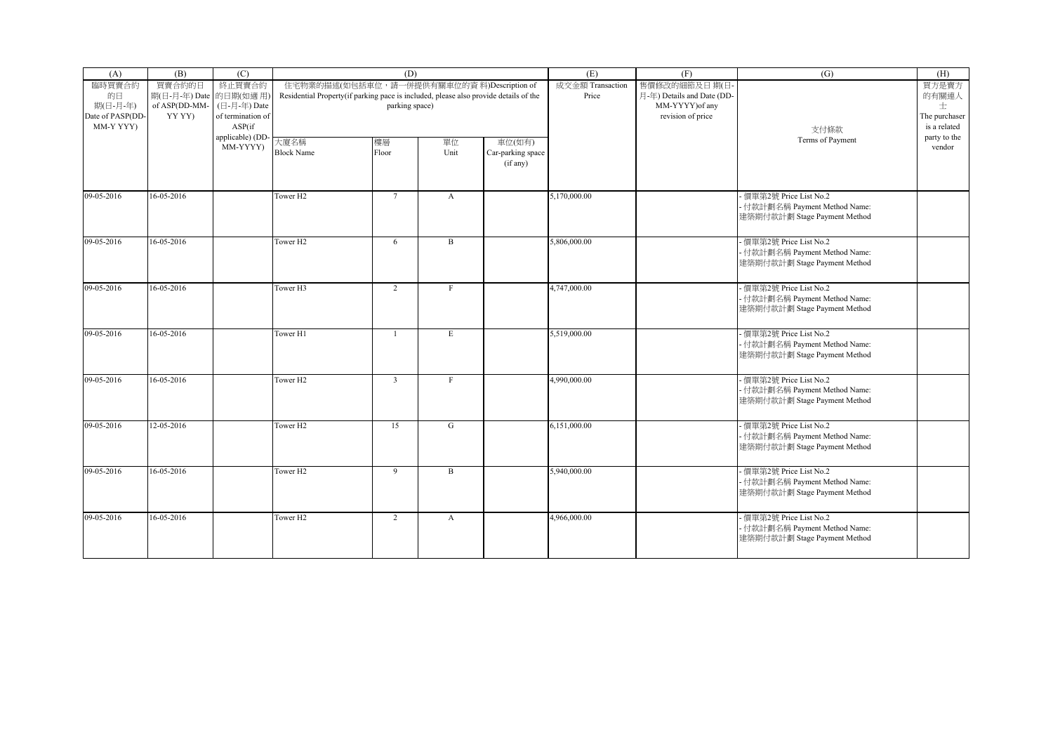| (A)                                                       | (B)                                                         | (C)                                                   |                                                                                      | (D)                                                          |                  |                                         | (E)                       | (F)                                                                                | (G)                                                                                      | (H)                                                  |
|-----------------------------------------------------------|-------------------------------------------------------------|-------------------------------------------------------|--------------------------------------------------------------------------------------|--------------------------------------------------------------|------------------|-----------------------------------------|---------------------------|------------------------------------------------------------------------------------|------------------------------------------------------------------------------------------|------------------------------------------------------|
| 臨時買賣合約<br>的日<br>期(日-月-年)<br>Date of PASP(DD-<br>MM-Y YYY) | 買賣合約的日<br>期(日-月-年) Date 的日期(如適用)<br>of ASP(DD-MM-<br>YY YY) | 終止買賣合約<br>(日-月-年) Date<br>of termination of<br>ASP(if | Residential Property(if parking pace is included, please also provide details of the | 住宅物業的描述(如包括車位, 請一併提供有關車位的資料)Description of<br>parking space) |                  |                                         | 成交金額 Transaction<br>Price | 售價修改的細節及日期(日<br>月-年) Details and Date (DD-<br>MM-YYYY) of any<br>revision of price | 支付條款                                                                                     | 買方是賣方<br>的有關連人<br>士<br>The purchaser<br>is a related |
|                                                           |                                                             | applicable) (DD-<br>MM-YYYY)                          | 大廈名稱<br><b>Block Name</b>                                                            | 樓層<br>Floor                                                  | 單位<br>Unit       | 車位(如有)<br>Car-parking space<br>(if any) |                           |                                                                                    | Terms of Payment                                                                         | party to the<br>vendor                               |
| 09-05-2016                                                | 16-05-2016                                                  |                                                       | Tower H <sub>2</sub>                                                                 | $\overline{7}$                                               | $\mathbf{A}$     |                                         | 5,170,000.00              |                                                                                    | 價單第2號 Price List No.2<br>- 付款計劃名稱 Payment Method Name:<br>建築期付款計劃 Stage Payment Method   |                                                      |
| 09-05-2016                                                | 16-05-2016                                                  |                                                       | Tower H <sub>2</sub>                                                                 | 6                                                            | $\, {\bf B}$     |                                         | 5,806,000.00              |                                                                                    | - 價單第2號 Price List No.2<br>- 付款計劃名稱 Payment Method Name:<br>建築期付款計劃 Stage Payment Method |                                                      |
| 09-05-2016                                                | 16-05-2016                                                  |                                                       | Tower H3                                                                             | $\overline{2}$                                               | F                |                                         | 4,747,000.00              |                                                                                    | - 價單第2號 Price List No.2<br>- 付款計劃名稱 Payment Method Name:<br>建築期付款計劃 Stage Payment Method |                                                      |
| 09-05-2016                                                | 16-05-2016                                                  |                                                       | Tower H1                                                                             | $\overline{1}$                                               | $\mathbf E$      |                                         | 5,519,000.00              |                                                                                    | 價單第2號 Price List No.2<br>- 付款計劃名稱 Payment Method Name:<br>建築期付款計劃 Stage Payment Method   |                                                      |
| 09-05-2016                                                | 16-05-2016                                                  |                                                       | Tower H <sub>2</sub>                                                                 | $\overline{3}$                                               | F                |                                         | 4,990,000.00              |                                                                                    | - 價單第2號 Price List No.2<br>- 付款計劃名稱 Payment Method Name:<br>建築期付款計劃 Stage Payment Method |                                                      |
| 09-05-2016                                                | 12-05-2016                                                  |                                                       | Tower <sub>H2</sub>                                                                  | 15                                                           | G                |                                         | 6,151,000.00              |                                                                                    | - 價單第2號 Price List No.2<br>- 付款計劃名稱 Payment Method Name:<br>建築期付款計劃 Stage Payment Method |                                                      |
| 09-05-2016                                                | 16-05-2016                                                  |                                                       | Tower H <sub>2</sub>                                                                 | 9                                                            | B                |                                         | 5,940,000.00              |                                                                                    | - 價單第2號 Price List No.2<br>- 付款計劃名稱 Payment Method Name:<br>建築期付款計劃 Stage Payment Method |                                                      |
| 09-05-2016                                                | 16-05-2016                                                  |                                                       | Tower H <sub>2</sub>                                                                 | $\overline{2}$                                               | $\boldsymbol{A}$ |                                         | 4,966,000.00              |                                                                                    | - 價單第2號 Price List No.2<br>- 付款計劃名稱 Payment Method Name:<br>建築期付款計劃 Stage Payment Method |                                                      |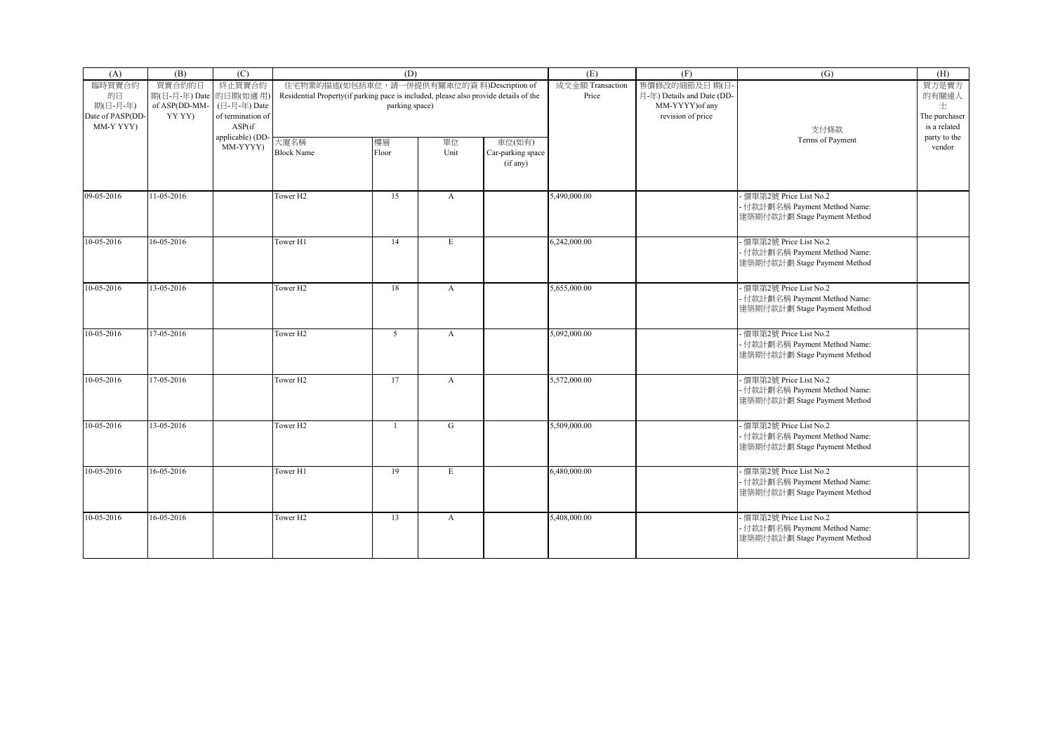| (A)                                          | (B)                                                         | (C)                                         |                                                                                      | (D)                                                          |                  |                                         | (E)                       | (F)                                                                                | (G)                                                                                      | (H)                                    |
|----------------------------------------------|-------------------------------------------------------------|---------------------------------------------|--------------------------------------------------------------------------------------|--------------------------------------------------------------|------------------|-----------------------------------------|---------------------------|------------------------------------------------------------------------------------|------------------------------------------------------------------------------------------|----------------------------------------|
| 臨時買賣合約<br>的日<br>期(日-月-年)<br>Date of PASP(DD- | 買賣合約的日<br>期(日-月-年) Date 的日期(如適用)<br>of ASP(DD-MM-<br>YY YY) | 終止買賣合約<br>(日-月-年) Date<br>of termination of | Residential Property(if parking pace is included, please also provide details of the | 住宅物業的描述(如包括車位, 請一併提供有關車位的資料)Description of<br>parking space) |                  |                                         | 成交金額 Transaction<br>Price | 售價修改的細節及日期(日<br>月-年) Details and Date (DD-<br>MM-YYYY) of any<br>revision of price |                                                                                          | 買方是賣方<br>的有關連人<br>士<br>The purchaser   |
| MM-Y YYY)                                    |                                                             | ASP(if<br>applicable) (DD-<br>MM-YYYY)      | 大廈名稱<br><b>Block Name</b>                                                            | 樓層<br>Floor                                                  | 單位<br>Unit       | 車位(如有)<br>Car-parking space<br>(if any) |                           |                                                                                    | 支付條款<br>Terms of Payment                                                                 | is a related<br>party to the<br>vendor |
| 09-05-2016                                   | 11-05-2016                                                  |                                             | Tower H <sub>2</sub>                                                                 | 15                                                           | $\mathbf{A}$     |                                         | 5,490,000.00              |                                                                                    | 價單第2號 Price List No.2<br>- 付款計劃名稱 Payment Method Name:<br>建築期付款計劃 Stage Payment Method   |                                        |
| 10-05-2016                                   | 16-05-2016                                                  |                                             | Tower H1                                                                             | 14                                                           | $\mathbf E$      |                                         | 6,242,000.00              |                                                                                    | - 價單第2號 Price List No.2<br>- 付款計劃名稱 Payment Method Name:<br>建築期付款計劃 Stage Payment Method |                                        |
| 10-05-2016                                   | 13-05-2016                                                  |                                             | Tower H <sub>2</sub>                                                                 | 18                                                           | $\mathbf{A}$     |                                         | 5,655,000.00              |                                                                                    | - 價單第2號 Price List No.2<br>- 付款計劃名稱 Payment Method Name:<br>建築期付款計劃 Stage Payment Method |                                        |
| 10-05-2016                                   | 17-05-2016                                                  |                                             | Tower H <sub>2</sub>                                                                 | $5\overline{)}$                                              | $\mathbf{A}$     |                                         | 5,092,000.00              |                                                                                    | 價單第2號 Price List No.2<br>- 付款計劃名稱 Payment Method Name:<br>建築期付款計劃 Stage Payment Method   |                                        |
| 10-05-2016                                   | 17-05-2016                                                  |                                             | Tower H <sub>2</sub>                                                                 | 17                                                           | $\mathbf{A}$     |                                         | 5,572,000.00              |                                                                                    | - 價單第2號 Price List No.2<br>- 付款計劃名稱 Payment Method Name:<br>建築期付款計劃 Stage Payment Method |                                        |
| 10-05-2016                                   | 13-05-2016                                                  |                                             | Tower H <sub>2</sub>                                                                 | $\mathbf{1}$                                                 | G                |                                         | 5,509,000.00              |                                                                                    | - 價單第2號 Price List No.2<br>- 付款計劃名稱 Payment Method Name:<br>建築期付款計劃 Stage Payment Method |                                        |
| 10-05-2016                                   | 16-05-2016                                                  |                                             | Tower H1                                                                             | 19                                                           | E                |                                         | 6,480,000.00              |                                                                                    | - 價單第2號 Price List No.2<br>- 付款計劃名稱 Payment Method Name:<br>建築期付款計劃 Stage Payment Method |                                        |
| 10-05-2016                                   | 16-05-2016                                                  |                                             | Tower H <sub>2</sub>                                                                 | 13                                                           | $\boldsymbol{A}$ |                                         | 5,408,000.00              |                                                                                    | - 價單第2號 Price List No.2<br>- 付款計劃名稱 Payment Method Name:<br>建築期付款計劃 Stage Payment Method |                                        |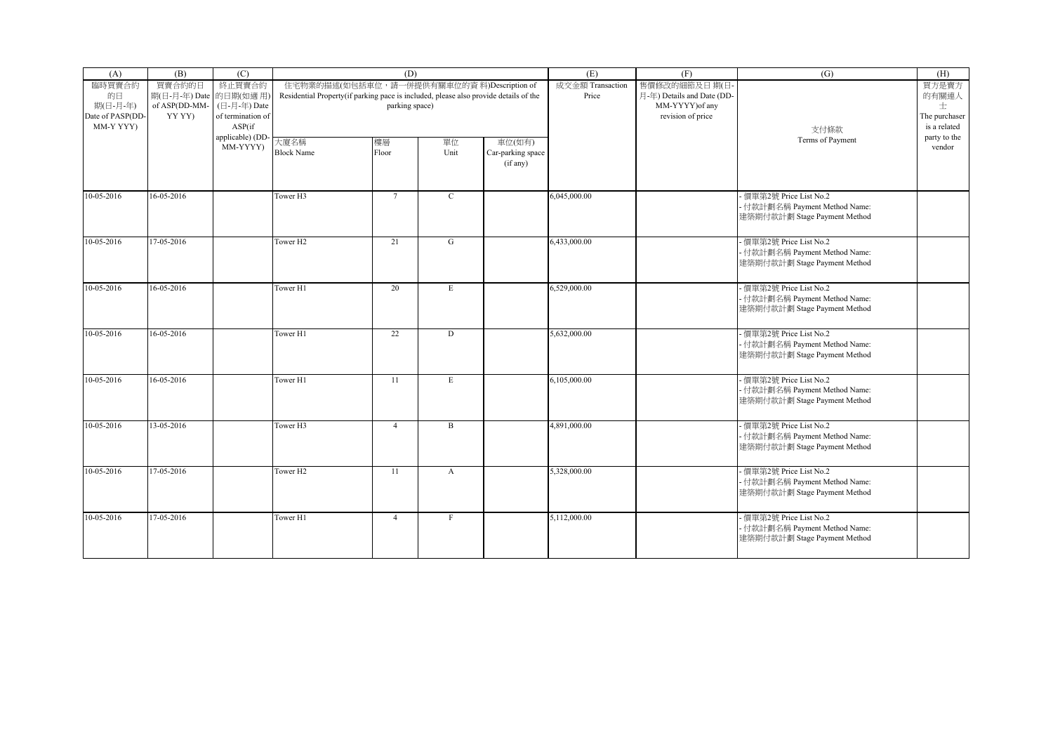| (A)                                       | (B)                              | (C)                                         |                                                                                      | (D)                                        |              |                                         | (E)                       | (F)                                        | (G)                                                                                      | (H)                                |
|-------------------------------------------|----------------------------------|---------------------------------------------|--------------------------------------------------------------------------------------|--------------------------------------------|--------------|-----------------------------------------|---------------------------|--------------------------------------------|------------------------------------------------------------------------------------------|------------------------------------|
| 臨時買賣合約<br>的日                              | 買賣合約的日<br>期(日-月-年) Date 的日期(如適用) | 終止買賣合約                                      | Residential Property(if parking pace is included, please also provide details of the | 住宅物業的描述(如包括車位, 請一併提供有關車位的資料)Description of |              |                                         | 成交金額 Transaction<br>Price | 售價修改的細節及日期(日<br>月-年) Details and Date (DD- |                                                                                          | 買方是賣方<br>的有關連人                     |
| 期(日-月-年)<br>Date of PASP(DD-<br>MM-Y YYY) | of ASP(DD-MM-<br>YY YY)          | (日-月-年) Date<br>of termination of<br>ASP(if |                                                                                      | parking space)                             |              |                                         |                           | MM-YYYY) of any<br>revision of price       | 支付條款                                                                                     | 士<br>The purchaser<br>is a related |
|                                           |                                  | applicable) (DD<br>MM-YYYY)                 | 大廈名稱<br><b>Block Name</b>                                                            | 樓層<br>Floor                                | 單位<br>Unit   | 車位(如有)<br>Car-parking space<br>(if any) |                           |                                            | Terms of Payment                                                                         | party to the<br>vendor             |
| 10-05-2016                                | 16-05-2016                       |                                             | Tower H3                                                                             | $7\overline{ }$                            | $\mathbf C$  |                                         | 6,045,000.00              |                                            | - 價單第2號 Price List No.2<br>- 付款計劃名稱 Payment Method Name:<br>建築期付款計劃 Stage Payment Method |                                    |
| $10-05-2016$                              | 17-05-2016                       |                                             | Tower H <sub>2</sub>                                                                 | 21                                         | G            |                                         | 6,433,000.00              |                                            | - 價單第2號 Price List No.2<br>- 付款計劃名稱 Payment Method Name:<br>建築期付款計劃 Stage Payment Method |                                    |
| 10-05-2016                                | 16-05-2016                       |                                             | Tower H1                                                                             | 20                                         | E            |                                         | 6,529,000.00              |                                            | 價單第2號 Price List No.2<br>- 付款計劃名稱 Payment Method Name:<br>建築期付款計劃 Stage Payment Method   |                                    |
| 10-05-2016                                | 16-05-2016                       |                                             | Tower H1                                                                             | 22                                         | D            |                                         | 5,632,000.00              |                                            | 價單第2號 Price List No.2<br>- 付款計劃名稱 Payment Method Name:<br>建築期付款計劃 Stage Payment Method   |                                    |
| 10-05-2016                                | 16-05-2016                       |                                             | Tower H1                                                                             | 11                                         | E            |                                         | 6,105,000.00              |                                            | - 價單第2號 Price List No.2<br>- 付款計劃名稱 Payment Method Name:<br>建築期付款計劃 Stage Payment Method |                                    |
| 10-05-2016                                | 13-05-2016                       |                                             | Tower <sub>H3</sub>                                                                  | $\overline{4}$                             | $\mathbf{B}$ |                                         | 4,891,000.00              |                                            | - 價單第2號 Price List No.2<br>- 付款計劃名稱 Payment Method Name:<br>建築期付款計劃 Stage Payment Method |                                    |
| $10-05-2016$                              | 17-05-2016                       |                                             | Tower H <sub>2</sub>                                                                 | 11                                         | $\mathbf{A}$ |                                         | 5,328,000.00              |                                            | 價單第2號 Price List No.2<br>- 付款計劃名稱 Payment Method Name:<br>建築期付款計劃 Stage Payment Method   |                                    |
| 10-05-2016                                | 17-05-2016                       |                                             | Tower H1                                                                             | $\overline{4}$                             | $\mathbf F$  |                                         | 5,112,000.00              |                                            | - 價單第2號 Price List No.2<br>- 付款計劃名稱 Payment Method Name:<br>建築期付款計劃 Stage Payment Method |                                    |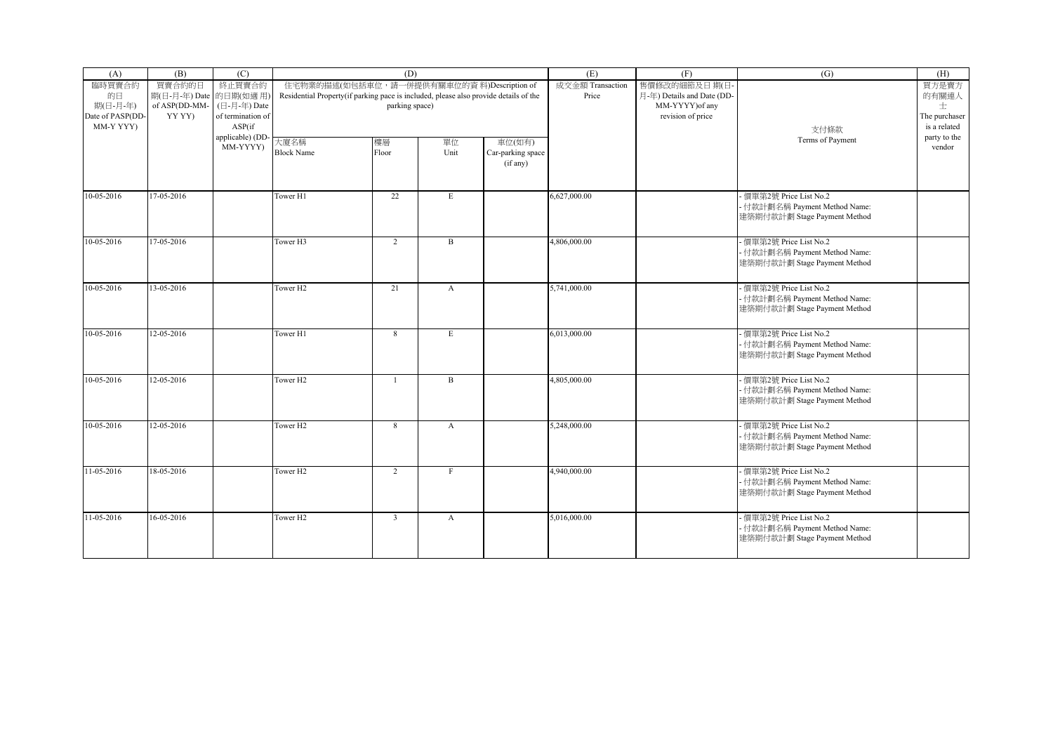| (A)                                                       | (B)                                                         | (C)                                                   |                                                                                      | (D)                                                          |                  |                                         | (E)                       | (F)                                                                                | (G)                                                                                      | (H)                                                  |
|-----------------------------------------------------------|-------------------------------------------------------------|-------------------------------------------------------|--------------------------------------------------------------------------------------|--------------------------------------------------------------|------------------|-----------------------------------------|---------------------------|------------------------------------------------------------------------------------|------------------------------------------------------------------------------------------|------------------------------------------------------|
| 臨時買賣合約<br>的日<br>期(日-月-年)<br>Date of PASP(DD-<br>MM-Y YYY) | 買賣合約的日<br>期(日-月-年) Date 的日期(如適用)<br>of ASP(DD-MM-<br>YY YY) | 終止買賣合約<br>(日-月-年) Date<br>of termination of<br>ASP(if | Residential Property(if parking pace is included, please also provide details of the | 住宅物業的描述(如包括車位, 請一併提供有關車位的資料)Description of<br>parking space) |                  |                                         | 成交金額 Transaction<br>Price | 售價修改的細節及日期(日<br>月-年) Details and Date (DD-<br>MM-YYYY) of any<br>revision of price | 支付條款                                                                                     | 買方是賣方<br>的有關連人<br>士<br>The purchaser<br>is a related |
|                                                           |                                                             | applicable) (DD-<br>MM-YYYY)                          | 大廈名稱<br><b>Block Name</b>                                                            | 樓層<br>Floor                                                  | 單位<br>Unit       | 車位(如有)<br>Car-parking space<br>(if any) |                           |                                                                                    | Terms of Payment                                                                         | party to the<br>vendor                               |
| 10-05-2016                                                | 17-05-2016                                                  |                                                       | Tower H1                                                                             | 22                                                           | $\mathbf E$      |                                         | 6,627,000.00              |                                                                                    | 價單第2號 Price List No.2<br>- 付款計劃名稱 Payment Method Name:<br>建築期付款計劃 Stage Payment Method   |                                                      |
| 10-05-2016                                                | 17-05-2016                                                  |                                                       | Tower H3                                                                             | $\overline{2}$                                               | $\, {\bf B}$     |                                         | 4,806,000.00              |                                                                                    | - 價單第2號 Price List No.2<br>- 付款計劃名稱 Payment Method Name:<br>建築期付款計劃 Stage Payment Method |                                                      |
| 10-05-2016                                                | 13-05-2016                                                  |                                                       | Tower H <sub>2</sub>                                                                 | 21                                                           | $\mathbf{A}$     |                                         | 5,741,000.00              |                                                                                    | - 價單第2號 Price List No.2<br>- 付款計劃名稱 Payment Method Name:<br>建築期付款計劃 Stage Payment Method |                                                      |
| 10-05-2016                                                | 12-05-2016                                                  |                                                       | Tower H1                                                                             | 8                                                            | $\mathbf E$      |                                         | 6,013,000.00              |                                                                                    | 價單第2號 Price List No.2<br>- 付款計劃名稱 Payment Method Name:<br>建築期付款計劃 Stage Payment Method   |                                                      |
| 10-05-2016                                                | 12-05-2016                                                  |                                                       | Tower H <sub>2</sub>                                                                 | 1                                                            | B                |                                         | 4,805,000.00              |                                                                                    | - 價單第2號 Price List No.2<br>- 付款計劃名稱 Payment Method Name:<br>建築期付款計劃 Stage Payment Method |                                                      |
| 10-05-2016                                                | 12-05-2016                                                  |                                                       | Tower H <sub>2</sub>                                                                 | 8                                                            | $\mathbf{A}$     |                                         | 5,248,000.00              |                                                                                    | - 價單第2號 Price List No.2<br>- 付款計劃名稱 Payment Method Name:<br>建築期付款計劃 Stage Payment Method |                                                      |
| 11-05-2016                                                | 18-05-2016                                                  |                                                       | Tower H <sub>2</sub>                                                                 | $\overline{2}$                                               | $_{\rm F}$       |                                         | 4,940,000.00              |                                                                                    | - 價單第2號 Price List No.2<br>- 付款計劃名稱 Payment Method Name:<br>建築期付款計劃 Stage Payment Method |                                                      |
| 11-05-2016                                                | 16-05-2016                                                  |                                                       | Tower H <sub>2</sub>                                                                 | $\overline{3}$                                               | $\boldsymbol{A}$ |                                         | 5,016,000.00              |                                                                                    | - 價單第2號 Price List No.2<br>- 付款計劃名稱 Payment Method Name:<br>建築期付款計劃 Stage Payment Method |                                                      |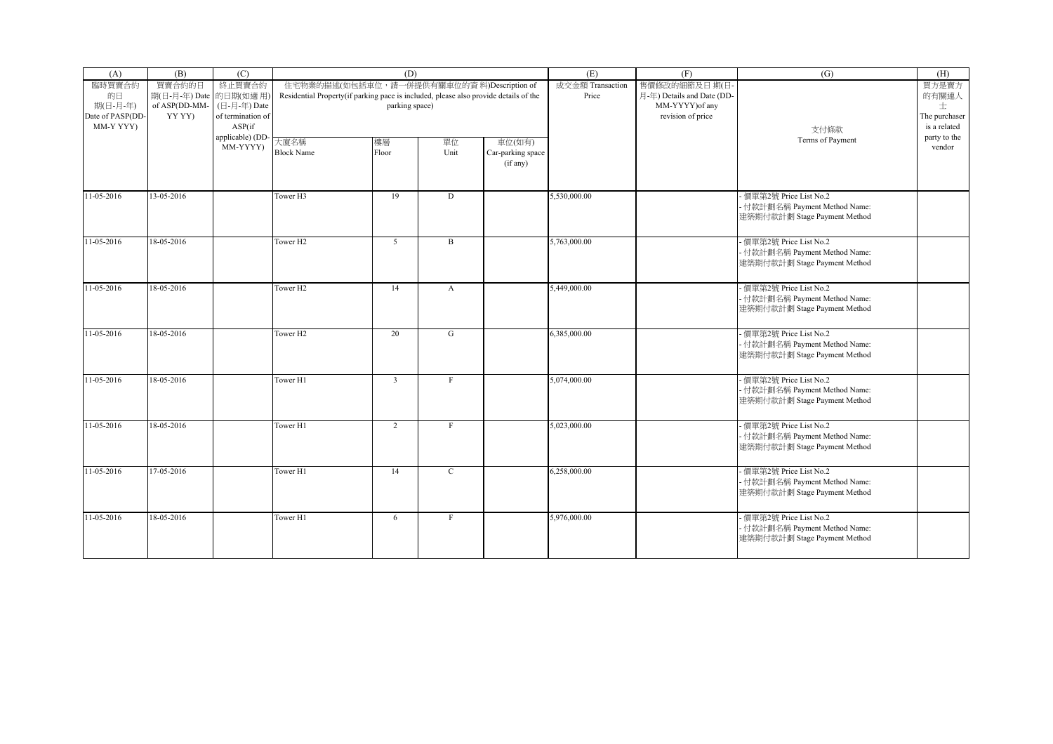| (A)                                       | (B)                              | (C)                                         |                                                                                      | (D)                                        |              |                                         | (E)                       | (F)                                        | (G)                                                                                      | (H)                                |
|-------------------------------------------|----------------------------------|---------------------------------------------|--------------------------------------------------------------------------------------|--------------------------------------------|--------------|-----------------------------------------|---------------------------|--------------------------------------------|------------------------------------------------------------------------------------------|------------------------------------|
| 臨時買賣合約<br>的日                              | 買賣合約的日<br>期(日-月-年) Date 的日期(如適用) | 終止買賣合約                                      | Residential Property(if parking pace is included, please also provide details of the | 住宅物業的描述(如包括車位, 請一併提供有關車位的資料)Description of |              |                                         | 成交金額 Transaction<br>Price | 售價修改的細節及日期(日<br>月-年) Details and Date (DD- |                                                                                          | 買方是賣方<br>的有關連人                     |
| 期(日-月-年)<br>Date of PASP(DD-<br>MM-Y YYY) | of ASP(DD-MM-<br>YY YY)          | (日-月-年) Date<br>of termination of<br>ASP(if |                                                                                      | parking space)                             |              |                                         |                           | MM-YYYY) of any<br>revision of price       | 支付條款                                                                                     | 士<br>The purchaser<br>is a related |
|                                           |                                  | applicable) (DD<br>MM-YYYY)                 | 大廈名稱<br><b>Block Name</b>                                                            | 樓層<br>Floor                                | 單位<br>Unit   | 車位(如有)<br>Car-parking space<br>(if any) |                           |                                            | Terms of Payment                                                                         | party to the<br>vendor             |
| 11-05-2016                                | 13-05-2016                       |                                             | Tower H3                                                                             | 19                                         | D            |                                         | 5,530,000.00              |                                            | - 價單第2號 Price List No.2<br>- 付款計劃名稱 Payment Method Name:<br>建築期付款計劃 Stage Payment Method |                                    |
| 11-05-2016                                | 18-05-2016                       |                                             | Tower H <sub>2</sub>                                                                 | 5 <sup>5</sup>                             | B            |                                         | 5,763,000.00              |                                            | - 價單第2號 Price List No.2<br>- 付款計劃名稱 Payment Method Name:<br>建築期付款計劃 Stage Payment Method |                                    |
| 11-05-2016                                | 18-05-2016                       |                                             | Tower H <sub>2</sub>                                                                 | 14                                         | $\mathbf{A}$ |                                         | 5,449,000.00              |                                            | 價單第2號 Price List No.2<br>- 付款計劃名稱 Payment Method Name:<br>建築期付款計劃 Stage Payment Method   |                                    |
| 11-05-2016                                | 18-05-2016                       |                                             | Tower H <sub>2</sub>                                                                 | 20                                         | G            |                                         | 6,385,000.00              |                                            | 價單第2號 Price List No.2<br>- 付款計劃名稱 Payment Method Name:<br>建築期付款計劃 Stage Payment Method   |                                    |
| 11-05-2016                                | 18-05-2016                       |                                             | Tower H1                                                                             | $\overline{3}$                             | $\mathbf{F}$ |                                         | 5,074,000.00              |                                            | - 價單第2號 Price List No.2<br>- 付款計劃名稱 Payment Method Name:<br>建築期付款計劃 Stage Payment Method |                                    |
| 11-05-2016                                | 18-05-2016                       |                                             | Tower H1                                                                             | 2                                          | $_{\rm F}$   |                                         | 5,023,000.00              |                                            | - 價單第2號 Price List No.2<br>- 付款計劃名稱 Payment Method Name:<br>建築期付款計劃 Stage Payment Method |                                    |
| $11-05-2016$                              | 17-05-2016                       |                                             | Tower H1                                                                             | 14                                         | $\mathbf C$  |                                         | 6,258,000.00              |                                            | 價單第2號 Price List No.2<br>- 付款計劃名稱 Payment Method Name:<br>建築期付款計劃 Stage Payment Method   |                                    |
| 11-05-2016                                | 18-05-2016                       |                                             | Tower H1                                                                             | 6                                          | $\mathbf F$  |                                         | 5,976,000.00              |                                            | - 價單第2號 Price List No.2<br>- 付款計劃名稱 Payment Method Name:<br>建築期付款計劃 Stage Payment Method |                                    |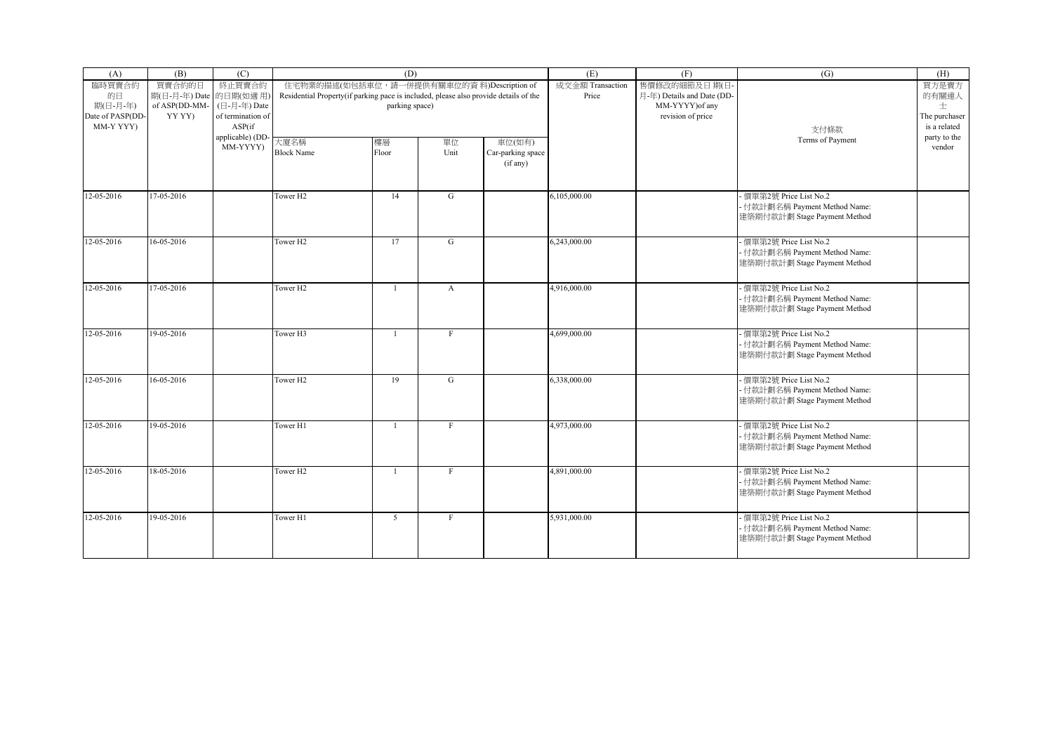| (A)                                       | (B)                              | (C)                                         |                                                                                      | (D)                                        |              |                                         | (E)                       | (F)                                        | (G)                                                                                      | (H)                                |
|-------------------------------------------|----------------------------------|---------------------------------------------|--------------------------------------------------------------------------------------|--------------------------------------------|--------------|-----------------------------------------|---------------------------|--------------------------------------------|------------------------------------------------------------------------------------------|------------------------------------|
| 臨時買賣合約<br>的日                              | 買賣合約的日<br>期(日-月-年) Date 的日期(如適用) | 終止買賣合約                                      | Residential Property(if parking pace is included, please also provide details of the | 住宅物業的描述(如包括車位, 請一併提供有關車位的資料)Description of |              |                                         | 成交金額 Transaction<br>Price | 售價修改的細節及日期(日<br>月-年) Details and Date (DD- |                                                                                          | 買方是賣方<br>的有關連人                     |
| 期(日-月-年)<br>Date of PASP(DD-<br>MM-Y YYY) | of ASP(DD-MM-<br>YY YY)          | (日-月-年) Date<br>of termination of<br>ASP(if |                                                                                      | parking space)                             |              |                                         |                           | MM-YYYY) of any<br>revision of price       | 支付條款                                                                                     | 士<br>The purchaser<br>is a related |
|                                           |                                  | applicable) (DD<br>MM-YYYY)                 | 大廈名稱<br><b>Block Name</b>                                                            | 樓層<br>Floor                                | 單位<br>Unit   | 車位(如有)<br>Car-parking space<br>(if any) |                           |                                            | Terms of Payment                                                                         | party to the<br>vendor             |
| 12-05-2016                                | 17-05-2016                       |                                             | Tower H <sub>2</sub>                                                                 | 14                                         | G            |                                         | 6,105,000.00              |                                            | - 價單第2號 Price List No.2<br>- 付款計劃名稱 Payment Method Name:<br>建築期付款計劃 Stage Payment Method |                                    |
| 12-05-2016                                | 16-05-2016                       |                                             | Tower H <sub>2</sub>                                                                 | 17                                         | G            |                                         | 6.243,000.00              |                                            | - 價單第2號 Price List No.2<br>- 付款計劃名稱 Payment Method Name:<br>建築期付款計劃 Stage Payment Method |                                    |
| 12-05-2016                                | 17-05-2016                       |                                             | Tower H <sub>2</sub>                                                                 |                                            | $\mathbf{A}$ |                                         | 4,916,000.00              |                                            | 價單第2號 Price List No.2<br>- 付款計劃名稱 Payment Method Name:<br>建築期付款計劃 Stage Payment Method   |                                    |
| 12-05-2016                                | 19-05-2016                       |                                             | Tower H <sub>3</sub>                                                                 | $\overline{1}$                             | $\mathbf{F}$ |                                         | 4,699,000.00              |                                            | 價單第2號 Price List No.2<br>- 付款計劃名稱 Payment Method Name:<br>建築期付款計劃 Stage Payment Method   |                                    |
| 12-05-2016                                | 16-05-2016                       |                                             | Tower H <sub>2</sub>                                                                 | 19                                         | G            |                                         | 6,338,000.00              |                                            | - 價單第2號 Price List No.2<br>- 付款計劃名稱 Payment Method Name:<br>建築期付款計劃 Stage Payment Method |                                    |
| 12-05-2016                                | 19-05-2016                       |                                             | Tower H1                                                                             | $\overline{1}$                             | F            |                                         | 4,973,000.00              |                                            | - 價單第2號 Price List No.2<br>- 付款計劃名稱 Payment Method Name:<br>建築期付款計劃 Stage Payment Method |                                    |
| $12 - 05 - 2016$                          | 18-05-2016                       |                                             | Tower H <sub>2</sub>                                                                 | $\overline{1}$                             | $\mathbf{F}$ |                                         | 4,891,000.00              |                                            | 價單第2號 Price List No.2<br>- 付款計劃名稱 Payment Method Name:<br>建築期付款計劃 Stage Payment Method   |                                    |
| 12-05-2016                                | 19-05-2016                       |                                             | Tower H1                                                                             | 5 <sup>5</sup>                             | $_{\rm F}$   |                                         | 5,931,000.00              |                                            | - 價單第2號 Price List No.2<br>- 付款計劃名稱 Payment Method Name:<br>建築期付款計劃 Stage Payment Method |                                    |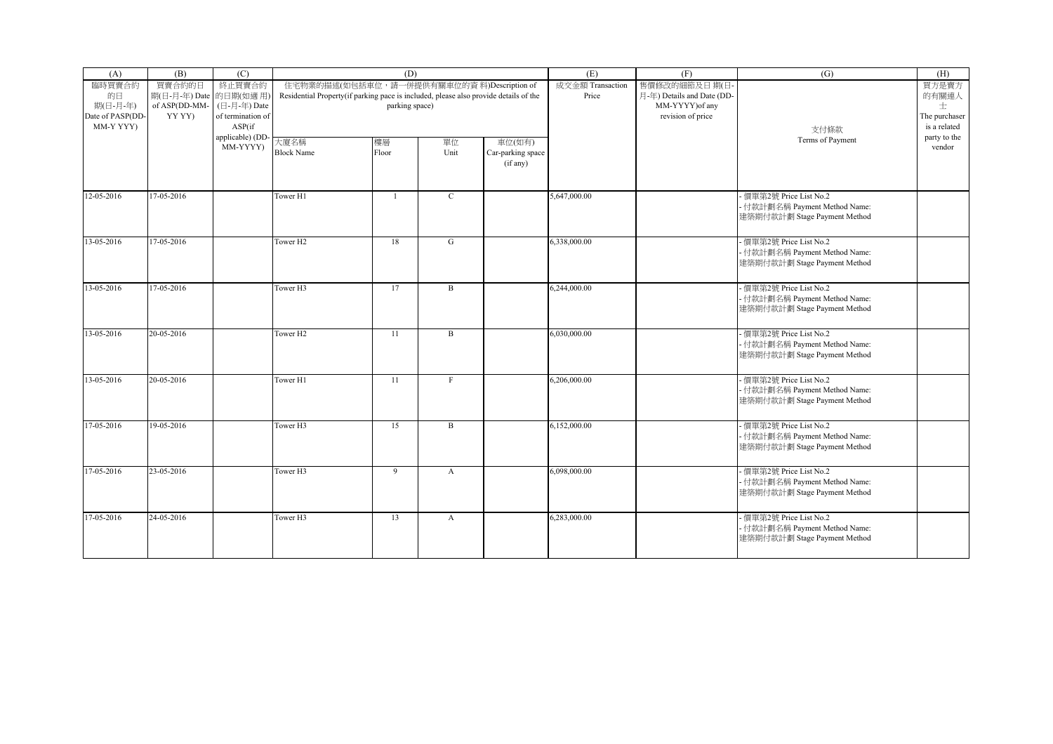| (A)                                       | (B)                              | (C)                                         |                                                                                      | (D)                                        |                  |                                         | (E)                       | (F)                                        | (G)                                                                                      | (H)                                |
|-------------------------------------------|----------------------------------|---------------------------------------------|--------------------------------------------------------------------------------------|--------------------------------------------|------------------|-----------------------------------------|---------------------------|--------------------------------------------|------------------------------------------------------------------------------------------|------------------------------------|
| 臨時買賣合約<br>的日                              | 買賣合約的日<br>期(日-月-年) Date 的日期(如適用) | 終止買賣合約                                      | Residential Property(if parking pace is included, please also provide details of the | 住宅物業的描述(如包括車位, 請一併提供有關車位的資料)Description of |                  |                                         | 成交金額 Transaction<br>Price | 售價修改的細節及日期(日<br>月-年) Details and Date (DD- |                                                                                          | 買方是賣方<br>的有關連人                     |
| 期(日-月-年)<br>Date of PASP(DD-<br>MM-Y YYY) | of ASP(DD-MM-<br>YY YY)          | (日-月-年) Date<br>of termination of<br>ASP(if |                                                                                      | parking space)                             |                  |                                         |                           | MM-YYYY) of any<br>revision of price       | 支付條款                                                                                     | 士<br>The purchaser<br>is a related |
|                                           |                                  | applicable) (DD<br>MM-YYYY)                 | 大廈名稱<br><b>Block Name</b>                                                            | 樓層<br>Floor                                | 單位<br>Unit       | 車位(如有)<br>Car-parking space<br>(if any) |                           |                                            | Terms of Payment                                                                         | party to the<br>vendor             |
| 12-05-2016                                | 17-05-2016                       |                                             | Tower H1                                                                             | $\overline{1}$                             | $\mathbf C$      |                                         | 5,647,000.00              |                                            | - 價單第2號 Price List No.2<br>- 付款計劃名稱 Payment Method Name:<br>建築期付款計劃 Stage Payment Method |                                    |
| 13-05-2016                                | 17-05-2016                       |                                             | Tower H <sub>2</sub>                                                                 | 18                                         | G                |                                         | 6,338,000.00              |                                            | - 價單第2號 Price List No.2<br>- 付款計劃名稱 Payment Method Name:<br>建築期付款計劃 Stage Payment Method |                                    |
| 13-05-2016                                | 17-05-2016                       |                                             | Tower H3                                                                             | 17                                         | $\mathbf B$      |                                         | 6,244,000.00              |                                            | 價單第2號 Price List No.2<br>- 付款計劃名稱 Payment Method Name:<br>建築期付款計劃 Stage Payment Method   |                                    |
| 13-05-2016                                | 20-05-2016                       |                                             | Tower H <sub>2</sub>                                                                 | 11                                         | $\mathbf{B}$     |                                         | 6,030,000.00              |                                            | 價單第2號 Price List No.2<br>- 付款計劃名稱 Payment Method Name:<br>建築期付款計劃 Stage Payment Method   |                                    |
| 13-05-2016                                | 20-05-2016                       |                                             | Tower H1                                                                             | 11                                         | $_{\rm F}$       |                                         | 6,206,000.00              |                                            | - 價單第2號 Price List No.2<br>- 付款計劃名稱 Payment Method Name:<br>建築期付款計劃 Stage Payment Method |                                    |
| 17-05-2016                                | 19-05-2016                       |                                             | Tower <sub>H3</sub>                                                                  | 15                                         | $\mathbf B$      |                                         | 6,152,000.00              |                                            | - 價單第2號 Price List No.2<br>- 付款計劃名稱 Payment Method Name:<br>建築期付款計劃 Stage Payment Method |                                    |
| 17-05-2016                                | 23-05-2016                       |                                             | Tower H3                                                                             | 9                                          | $\mathbf{A}$     |                                         | 6,098,000.00              |                                            | 價單第2號 Price List No.2<br>- 付款計劃名稱 Payment Method Name:<br>建築期付款計劃 Stage Payment Method   |                                    |
| 17-05-2016                                | 24-05-2016                       |                                             | Tower H3                                                                             | 13                                         | $\boldsymbol{A}$ |                                         | 6,283,000.00              |                                            | - 價單第2號 Price List No.2<br>- 付款計劃名稱 Payment Method Name:<br>建築期付款計劃 Stage Payment Method |                                    |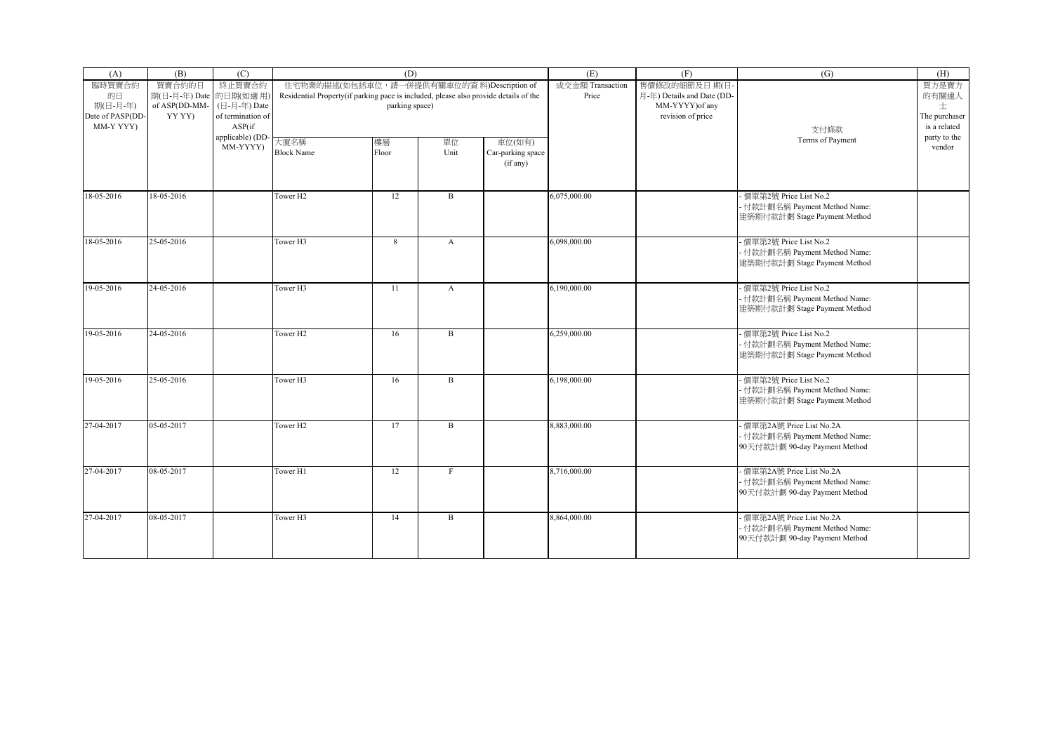| (A)                                                       | (B)                                                         | (C)                                                   |                                                                                      | (D)                                                          |                  |                                         | (E)                       | (F)                                                                                | (G)                                                                                         | (H)                                                  |
|-----------------------------------------------------------|-------------------------------------------------------------|-------------------------------------------------------|--------------------------------------------------------------------------------------|--------------------------------------------------------------|------------------|-----------------------------------------|---------------------------|------------------------------------------------------------------------------------|---------------------------------------------------------------------------------------------|------------------------------------------------------|
| 臨時買賣合約<br>的日<br>期(日-月-年)<br>Date of PASP(DD-<br>MM-Y YYY) | 買賣合約的日<br>期(日-月-年) Date 的日期(如適用)<br>of ASP(DD-MM-<br>YY YY) | 終止買賣合約<br>(日-月-年) Date<br>of termination of<br>ASP(if | Residential Property(if parking pace is included, please also provide details of the | 住宅物業的描述(如包括車位, 請一併提供有關車位的資料)Description of<br>parking space) |                  |                                         | 成交金額 Transaction<br>Price | 售價修改的細節及日期(日<br>月-年) Details and Date (DD-<br>MM-YYYY) of any<br>revision of price |                                                                                             | 買方是賣方<br>的有關連人<br>士<br>The purchaser<br>is a related |
|                                                           |                                                             | applicable) (DD-<br>MM-YYYY)                          | 大廈名稱<br><b>Block Name</b>                                                            | 樓層<br>Floor                                                  | 單位<br>Unit       | 車位(如有)<br>Car-parking space<br>(if any) |                           |                                                                                    | 支付條款<br>Terms of Payment                                                                    | party to the<br>vendor                               |
| 18-05-2016                                                | 18-05-2016                                                  |                                                       | Tower H <sub>2</sub>                                                                 | 12                                                           | $\mathbf B$      |                                         | 6,075,000.00              |                                                                                    | 價單第2號 Price List No.2<br>- 付款計劃名稱 Payment Method Name:<br>建築期付款計劃 Stage Payment Method      |                                                      |
| 18-05-2016                                                | 25-05-2016                                                  |                                                       | Tower H3                                                                             | 8                                                            | $\boldsymbol{A}$ |                                         | 6,098,000.00              |                                                                                    | - 價單第2號 Price List No.2<br>- 付款計劃名稱 Payment Method Name:<br>建築期付款計劃 Stage Payment Method    |                                                      |
| 19-05-2016                                                | 24-05-2016                                                  |                                                       | Tower H3                                                                             | 11                                                           | $\mathbf{A}$     |                                         | 6,190,000.00              |                                                                                    | - 價單第2號 Price List No.2<br>- 付款計劃名稱 Payment Method Name:<br>建築期付款計劃 Stage Payment Method    |                                                      |
| 19-05-2016                                                | 24-05-2016                                                  |                                                       | Tower <sub>H2</sub>                                                                  | 16                                                           | $\mathbf B$      |                                         | 6,259,000.00              |                                                                                    | 價單第2號 Price List No.2<br>- 付款計劃名稱 Payment Method Name:<br>建築期付款計劃 Stage Payment Method      |                                                      |
| 19-05-2016                                                | 25-05-2016                                                  |                                                       | Tower H3                                                                             | 16                                                           | B                |                                         | 6.198.000.00              |                                                                                    | - 價單第2號 Price List No.2<br>- 付款計劃名稱 Payment Method Name:<br>建築期付款計劃 Stage Payment Method    |                                                      |
| 27-04-2017                                                | 05-05-2017                                                  |                                                       | Tower H <sub>2</sub>                                                                 | 17                                                           | $\mathbf B$      |                                         | 8,883,000.00              |                                                                                    | - 價單第2A號 Price List No.2A<br>- 付款計劃名稱 Payment Method Name:<br>90天付款計劃 90-day Payment Method |                                                      |
| 27-04-2017                                                | 08-05-2017                                                  |                                                       | Tower H1                                                                             | 12                                                           | F                |                                         | 8,716,000.00              |                                                                                    | 便單第2A號 Price List No.2A<br>- 付款計劃名稱 Payment Method Name:<br>90天付款計劃 90-day Payment Method   |                                                      |
| 27-04-2017                                                | 08-05-2017                                                  |                                                       | Tower H3                                                                             | 14                                                           | $\, {\bf B}$     |                                         | 8,864,000.00              |                                                                                    | - 價單第2A號 Price List No.2A<br>- 付款計劃名稱 Payment Method Name:<br>90天付款計劃 90-day Payment Method |                                                      |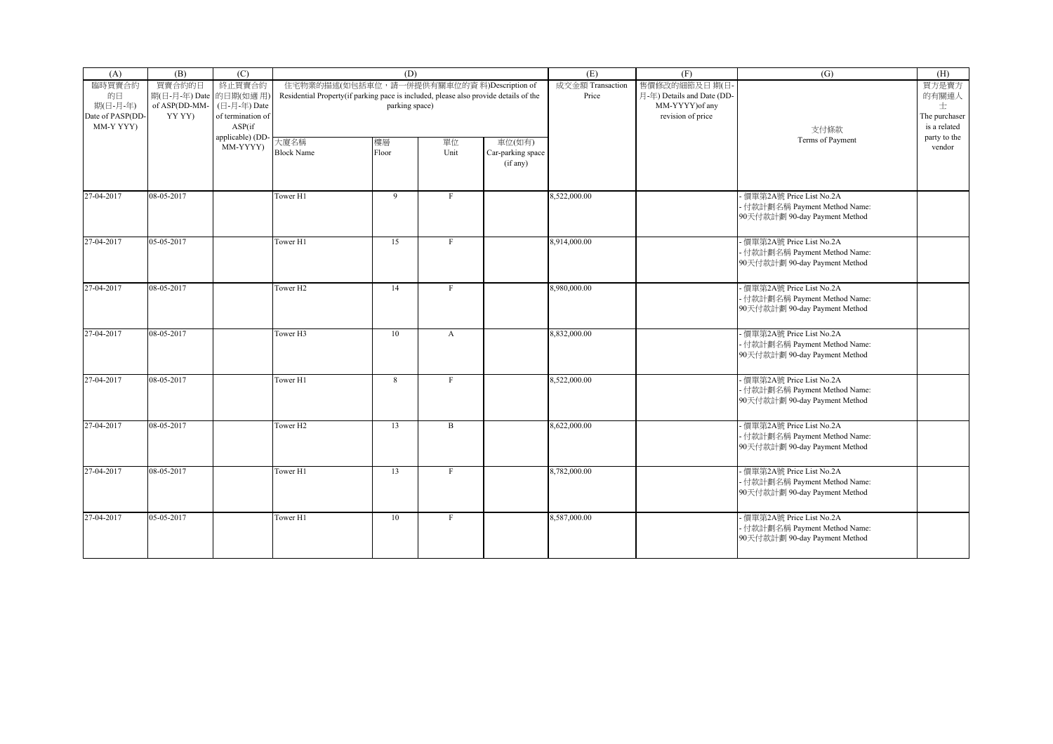| (A)                                       | (B)                              | (C)                                         |                                                                                      | (D)                                        |              |                                         | (E)                       | (F)                                        | (G)                                                                                         | (H)                                |
|-------------------------------------------|----------------------------------|---------------------------------------------|--------------------------------------------------------------------------------------|--------------------------------------------|--------------|-----------------------------------------|---------------------------|--------------------------------------------|---------------------------------------------------------------------------------------------|------------------------------------|
| 臨時買賣合約<br>的日                              | 買賣合約的日<br>期(日-月-年) Date 的日期(如適用) | 終止買賣合約                                      | Residential Property(if parking pace is included, please also provide details of the | 住宅物業的描述(如包括車位, 請一併提供有關車位的資料)Description of |              |                                         | 成交金額 Transaction<br>Price | 售價修改的細節及日期(日<br>月-年) Details and Date (DD- |                                                                                             | 買方是賣方<br>的有關連人                     |
| 期(日-月-年)<br>Date of PASP(DD-<br>MM-Y YYY) | of ASP(DD-MM-<br>YY YY)          | (日-月-年) Date<br>of termination of<br>ASP(if |                                                                                      | parking space)                             |              |                                         |                           | MM-YYYY) of any<br>revision of price       | 支付條款                                                                                        | 士<br>The purchaser<br>is a related |
|                                           |                                  | applicable) (DD<br>MM-YYYY)                 | 大廈名稱<br><b>Block Name</b>                                                            | 樓層<br>Floor                                | 單位<br>Unit   | 車位(如有)<br>Car-parking space<br>(if any) |                           |                                            | Terms of Payment                                                                            | party to the<br>vendor             |
| 27-04-2017                                | 08-05-2017                       |                                             | Tower H1                                                                             | 9                                          | $_{\rm F}$   |                                         | 8,522,000.00              |                                            | - 價單第2A號 Price List No.2A<br>- 付款計劃名稱 Payment Method Name:<br>90天付款計劃 90-day Payment Method |                                    |
| 27-04-2017                                | 05-05-2017                       |                                             | Tower H1                                                                             | 15                                         | $_{\rm F}$   |                                         | 8,914,000.00              |                                            | - 價單第2A號 Price List No.2A<br>- 付款計劃名稱 Payment Method Name:<br>90天付款計劃 90-day Payment Method |                                    |
| 27-04-2017                                | 08-05-2017                       |                                             | Tower H <sub>2</sub>                                                                 | 14                                         | F            |                                         | 8,980,000.00              |                                            | 價單第2A號 Price List No.2A<br>- 付款計劃名稱 Payment Method Name:<br>90天付款計劃 90-day Payment Method   |                                    |
| 27-04-2017                                | 08-05-2017                       |                                             | Tower H3                                                                             | 10                                         | $\mathbf{A}$ |                                         | 8,832,000.00              |                                            | 價單第2A號 Price List No.2A<br>- 付款計劃名稱 Payment Method Name:<br>90天付款計劃 90-day Payment Method   |                                    |
| 27-04-2017                                | 08-05-2017                       |                                             | Tower H1                                                                             | 8                                          | $\mathbf{F}$ |                                         | 8,522,000.00              |                                            | - 價單第2A號 Price List No.2A<br>- 付款計劃名稱 Payment Method Name:<br>90天付款計劃 90-day Payment Method |                                    |
| 27-04-2017                                | 08-05-2017                       |                                             | Tower H <sub>2</sub>                                                                 | 13                                         | $\mathbf{B}$ |                                         | 8,622,000.00              |                                            | - 價單第2A號 Price List No.2A<br>- 付款計劃名稱 Payment Method Name:<br>90天付款計劃 90-day Payment Method |                                    |
| 27-04-2017                                | 08-05-2017                       |                                             | Tower H1                                                                             | 13                                         | $\mathbf{F}$ |                                         | 8,782,000.00              |                                            | 便單第2A號 Price List No.2A<br>- 付款計劃名稱 Payment Method Name:<br>90天付款計劃 90-day Payment Method   |                                    |
| 27-04-2017                                | 05-05-2017                       |                                             | Tower H1                                                                             | 10                                         | $\mathbf F$  |                                         | 8,587,000.00              |                                            | - 價單第2A號 Price List No.2A<br>- 付款計劃名稱 Payment Method Name:<br>90天付款計劃 90-day Payment Method |                                    |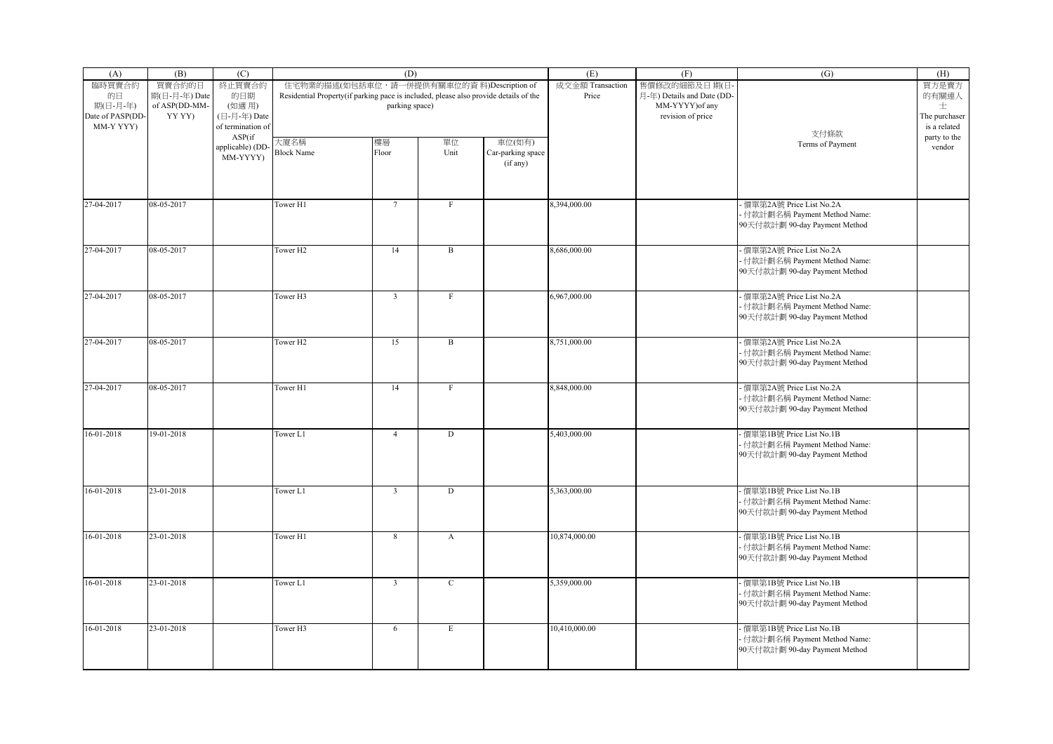| (A)              | (B)              | (C)                          |                                                                                      | (D)                     |                |                   | (E)              | (F)                        | (G)                           | (H)                    |
|------------------|------------------|------------------------------|--------------------------------------------------------------------------------------|-------------------------|----------------|-------------------|------------------|----------------------------|-------------------------------|------------------------|
| 臨時買賣合約           | 買賣合約的日           | 終止買賣合約                       | 住宅物業的描述(如包括車位,請一併提供有關車位的資料)Description of                                            |                         |                |                   | 成交金額 Transaction | 售價修改的細節及日期(日·              |                               | 買方是賣方                  |
| 的日               | 期(日-月-年) Date    | 的日期                          | Residential Property(if parking pace is included, please also provide details of the |                         |                |                   | Price            | 月-年) Details and Date (DD- |                               | 的有關連人                  |
| 期(日-月-年)         | of ASP(DD-MM-    | (如適用)                        |                                                                                      | parking space)          |                |                   |                  | MM-YYYY) of any            |                               | 士                      |
| Date of PASP(DD- | YY YY)           | (日-月-年) Date                 |                                                                                      |                         |                |                   |                  | revision of price          |                               | The purchaser          |
| MM-Y YYY)        |                  | of termination of            |                                                                                      |                         |                |                   |                  |                            | 支付條款                          | is a related           |
|                  |                  | ASP(if                       | 大廈名稱                                                                                 | 樓層                      | 單位             | 車位(如有)            |                  |                            | Terms of Payment              | party to the<br>vendor |
|                  |                  | applicable) (DD-<br>MM-YYYY) | <b>Block Name</b>                                                                    | Floor                   | Unit           | Car-parking space |                  |                            |                               |                        |
|                  |                  |                              |                                                                                      |                         |                | (if any)          |                  |                            |                               |                        |
|                  |                  |                              |                                                                                      |                         |                |                   |                  |                            |                               |                        |
|                  |                  |                              |                                                                                      |                         |                |                   |                  |                            |                               |                        |
|                  |                  |                              |                                                                                      |                         |                |                   |                  |                            |                               |                        |
| 27-04-2017       | 08-05-2017       |                              | Tower H1                                                                             | $7\phantom{.0}$         | $\rm F$        |                   | 8,394,000.00     |                            | 價單第2A號 Price List No.2A       |                        |
|                  |                  |                              |                                                                                      |                         |                |                   |                  |                            | 付款計劃名稱 Payment Method Name:   |                        |
|                  |                  |                              |                                                                                      |                         |                |                   |                  |                            | 90天付款計劃 90-day Payment Method |                        |
|                  |                  |                              |                                                                                      |                         |                |                   |                  |                            |                               |                        |
| 27-04-2017       | 08-05-2017       |                              | Tower <sub>H2</sub>                                                                  | 14                      | $\mathbf{B}$   |                   | 8,686,000.00     |                            | 價單第2A號 Price List No.2A       |                        |
|                  |                  |                              |                                                                                      |                         |                |                   |                  |                            | 付款計劃名稱 Payment Method Name:   |                        |
|                  |                  |                              |                                                                                      |                         |                |                   |                  |                            | 90天付款計劃 90-day Payment Method |                        |
|                  |                  |                              |                                                                                      |                         |                |                   |                  |                            |                               |                        |
| 27-04-2017       | 08-05-2017       |                              | Tower <sub>H3</sub>                                                                  | $\overline{3}$          | $\mathbf F$    |                   | 6,967,000.00     |                            | 價單第2A號 Price List No.2A       |                        |
|                  |                  |                              |                                                                                      |                         |                |                   |                  |                            | 付款計劃名稱 Payment Method Name:   |                        |
|                  |                  |                              |                                                                                      |                         |                |                   |                  |                            | 90天付款計劃 90-day Payment Method |                        |
|                  |                  |                              |                                                                                      |                         |                |                   |                  |                            |                               |                        |
| 27-04-2017       | 08-05-2017       |                              | Tower <sub>H2</sub>                                                                  | 15                      | $\, {\bf B}$   |                   | 8,751,000.00     |                            | 價單第2A號 Price List No.2A       |                        |
|                  |                  |                              |                                                                                      |                         |                |                   |                  |                            | · 付款計劃名稱 Payment Method Name: |                        |
|                  |                  |                              |                                                                                      |                         |                |                   |                  |                            | 90天付款計劃 90-day Payment Method |                        |
|                  |                  |                              |                                                                                      |                         |                |                   |                  |                            |                               |                        |
| 27-04-2017       | 08-05-2017       |                              | Tower H1                                                                             | 14                      | $\rm F$        |                   | 8,848,000.00     |                            | 價單第2A號 Price List No.2A       |                        |
|                  |                  |                              |                                                                                      |                         |                |                   |                  |                            | · 付款計劃名稱 Payment Method Name: |                        |
|                  |                  |                              |                                                                                      |                         |                |                   |                  |                            | 90天付款計劃 90-day Payment Method |                        |
|                  |                  |                              |                                                                                      |                         |                |                   |                  |                            |                               |                        |
| 16-01-2018       | 19-01-2018       |                              | Tower L1                                                                             | $\overline{4}$          | ${\rm D}$      |                   | 5,403,000.00     |                            | 價單第1B號 Price List No.1B       |                        |
|                  |                  |                              |                                                                                      |                         |                |                   |                  |                            | 付款計劃名稱 Payment Method Name:   |                        |
|                  |                  |                              |                                                                                      |                         |                |                   |                  |                            | 90天付款計劃 90-day Payment Method |                        |
|                  |                  |                              |                                                                                      |                         |                |                   |                  |                            |                               |                        |
|                  |                  |                              |                                                                                      |                         |                |                   |                  |                            |                               |                        |
| 16-01-2018       | $23 - 01 - 2018$ |                              | Tower L1                                                                             | $\overline{3}$          | $\overline{D}$ |                   | 5,363,000.00     |                            | 價單第1B號 Price List No.1B       |                        |
|                  |                  |                              |                                                                                      |                         |                |                   |                  |                            | · 付款計劃名稱 Payment Method Name: |                        |
|                  |                  |                              |                                                                                      |                         |                |                   |                  |                            | 90天付款計劃 90-day Payment Method |                        |
|                  |                  |                              |                                                                                      |                         |                |                   |                  |                            |                               |                        |
| 16-01-2018       | 23-01-2018       |                              | Tower H1                                                                             | $\overline{8}$          | $\mathbf{A}$   |                   | 10,874,000.00    |                            | 價單第1B號 Price List No.1B       |                        |
|                  |                  |                              |                                                                                      |                         |                |                   |                  |                            | · 付款計劃名稱 Payment Method Name: |                        |
|                  |                  |                              |                                                                                      |                         |                |                   |                  |                            | 90天付款計劃 90-day Payment Method |                        |
|                  |                  |                              |                                                                                      |                         |                |                   |                  |                            |                               |                        |
| 16-01-2018       | 23-01-2018       |                              | Tower L1                                                                             | $\overline{\mathbf{3}}$ | $\mathsf{C}$   |                   | 5,359,000.00     |                            | 價單第1B號 Price List No.1B       |                        |
|                  |                  |                              |                                                                                      |                         |                |                   |                  |                            | 付款計劃名稱 Payment Method Name:   |                        |
|                  |                  |                              |                                                                                      |                         |                |                   |                  |                            | 90天付款計劃 90-day Payment Method |                        |
|                  |                  |                              |                                                                                      |                         |                |                   |                  |                            |                               |                        |
| 16-01-2018       | 23-01-2018       |                              | Tower <sub>H3</sub>                                                                  | 6                       | $\mathbf E$    |                   | 10,410,000.00    |                            | 價單第1B號 Price List No.1B       |                        |
|                  |                  |                              |                                                                                      |                         |                |                   |                  |                            | · 付款計劃名稱 Payment Method Name: |                        |
|                  |                  |                              |                                                                                      |                         |                |                   |                  |                            | 90天付款計劃 90-day Payment Method |                        |
|                  |                  |                              |                                                                                      |                         |                |                   |                  |                            |                               |                        |
|                  |                  |                              |                                                                                      |                         |                |                   |                  |                            |                               |                        |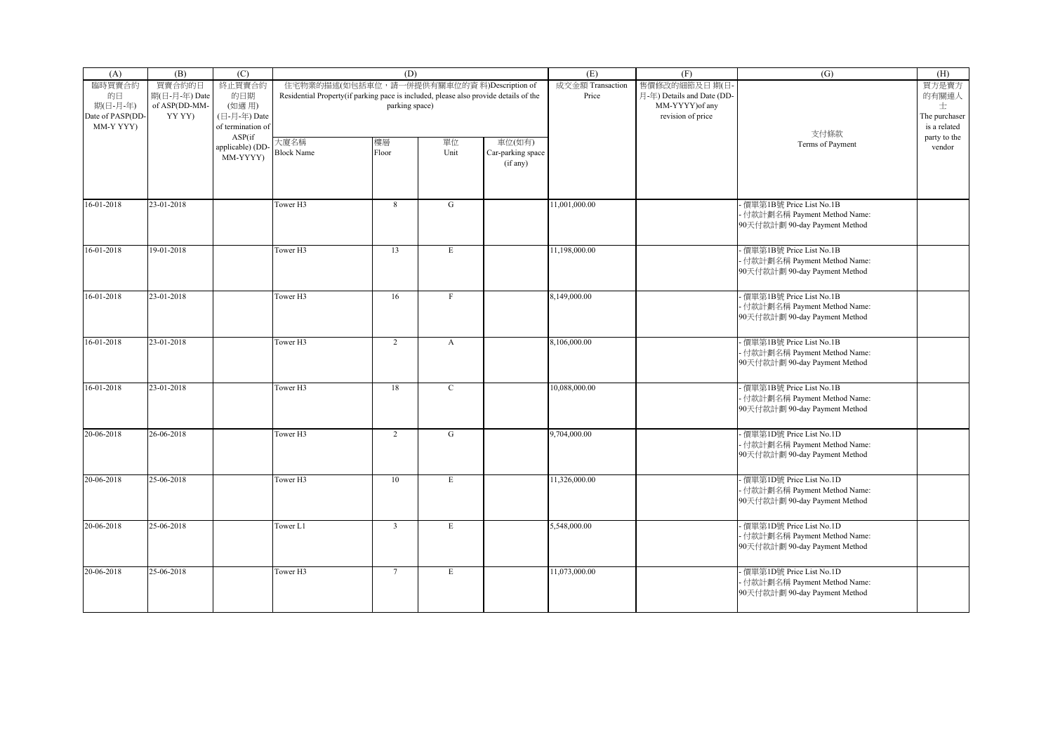| (A)                                                       | (B)                                                | (C)                                                         | (D)                                                                                                                                                 |                         |                         |                                         | (E)                       | (F)                                                                                 | (G)                                                                                         | (H)                                                  |
|-----------------------------------------------------------|----------------------------------------------------|-------------------------------------------------------------|-----------------------------------------------------------------------------------------------------------------------------------------------------|-------------------------|-------------------------|-----------------------------------------|---------------------------|-------------------------------------------------------------------------------------|---------------------------------------------------------------------------------------------|------------------------------------------------------|
| 臨時買賣合約<br>的日<br>期(日-月-年)<br>Date of PASP(DD-<br>MM-Y YYY) | 買賣合約的日<br>期(日-月-年) Date<br>of ASP(DD-MM-<br>YY YY) | 終止買賣合約<br>的日期<br>(如適用)<br>(日-月-年) Date<br>of termination of | 住宅物業的描述(如包括車位,請一併提供有關車位的資料)Description of<br>Residential Property(if parking pace is included, please also provide details of the<br>parking space) |                         |                         |                                         | 成交金額 Transaction<br>Price | 售價修改的細節及日期(日-<br>月-年) Details and Date (DD-<br>MM-YYYY) of any<br>revision of price | 支付條款                                                                                        | 買方是賣方<br>的有關連人<br>士<br>The purchaser<br>is a related |
|                                                           |                                                    | ASP(if<br>applicable) (DD-<br>MM-YYYY)                      | 大廈名稱<br><b>Block Name</b>                                                                                                                           | 樓層<br>Floor             | 單位<br>Unit              | 車位(如有)<br>Car-parking space<br>(if any) |                           |                                                                                     | Terms of Payment                                                                            | party to the<br>vendor                               |
| 16-01-2018                                                | 23-01-2018                                         |                                                             | Tower H3                                                                                                                                            | 8                       | G                       |                                         | 11.001.000.00             |                                                                                     | 便單第1B號 Price List No.1B<br>- 付款計劃名稱 Payment Method Name:<br>90天付款計劃 90-day Payment Method   |                                                      |
| 16-01-2018                                                | 19-01-2018                                         |                                                             | Tower H3                                                                                                                                            | 13                      | E                       |                                         | 11,198,000.00             |                                                                                     | - 價單第1B號 Price List No.1B<br>付款計劃名稱 Payment Method Name:<br>90天付款計劃 90-day Payment Method   |                                                      |
| 16-01-2018                                                | 23-01-2018                                         |                                                             | Tower <sub>H3</sub>                                                                                                                                 | 16                      | $\mathbf{F}$            |                                         | 8,149,000.00              |                                                                                     | - 價單第1B號 Price List No.1B<br>· 付款計劃名稱 Payment Method Name:<br>90天付款計劃 90-day Payment Method |                                                      |
| 16-01-2018                                                | 23-01-2018                                         |                                                             | Tower <sub>H3</sub>                                                                                                                                 | $\overline{2}$          | $\mathbf{A}$            |                                         | 8,106,000.00              |                                                                                     | · 價單第1B號 Price List No.1B<br>- 付款計劃名稱 Payment Method Name:<br>90天付款計劃 90-day Payment Method |                                                      |
| 16-01-2018                                                | 23-01-2018                                         |                                                             | Tower H3                                                                                                                                            | 18                      | $\mathbf C$             |                                         | 10,088,000.00             |                                                                                     | - 價單第1B號 Price List No.1B<br>· 付款計劃名稱 Payment Method Name:<br>90天付款計劃 90-day Payment Method |                                                      |
| 20-06-2018                                                | 26-06-2018                                         |                                                             | Tower <sub>H3</sub>                                                                                                                                 | 2                       | G                       |                                         | 9,704,000.00              |                                                                                     | - 價單第1D號 Price List No.1D<br>- 付款計劃名稱 Payment Method Name:<br>90天付款計劃 90-day Payment Method |                                                      |
| 20-06-2018                                                | 25-06-2018                                         |                                                             | Tower H3                                                                                                                                            | 10                      | $\overline{\mathrm{E}}$ |                                         | 11,326,000.00             |                                                                                     | 便單第1D號 Price List No.1D<br>- 付款計劃名稱 Payment Method Name:<br>90天付款計劃 90-day Payment Method   |                                                      |
| 20-06-2018                                                | 25-06-2018                                         |                                                             | Tower L1                                                                                                                                            | $\overline{\mathbf{3}}$ | E                       |                                         | 5,548,000.00              |                                                                                     | - 價單第1D號 Price List No.1D<br>· 付款計劃名稱 Payment Method Name:<br>90天付款計劃 90-day Payment Method |                                                      |
| 20-06-2018                                                | 25-06-2018                                         |                                                             | Tower <sub>H3</sub>                                                                                                                                 | $7\phantom{.0}$         | E                       |                                         | 11,073,000.00             |                                                                                     | - 價單第1D號 Price List No.1D<br>- 付款計劃名稱 Payment Method Name:<br>90天付款計劃 90-day Payment Method |                                                      |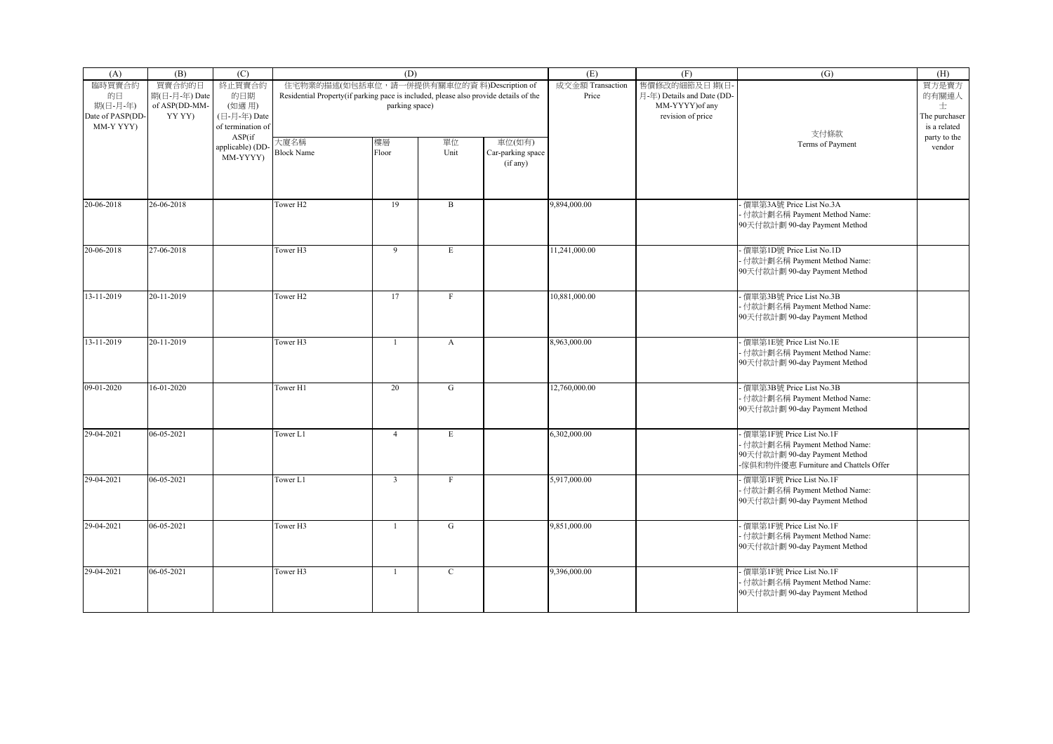| (A)                                                       | (B)                                                | (C)                                                                   | (D)                                                                                                                                                 |                         |              |                                         | (E)                       | (F)                                                                                 | (G)                                                                                                                                  | (H)                                                  |
|-----------------------------------------------------------|----------------------------------------------------|-----------------------------------------------------------------------|-----------------------------------------------------------------------------------------------------------------------------------------------------|-------------------------|--------------|-----------------------------------------|---------------------------|-------------------------------------------------------------------------------------|--------------------------------------------------------------------------------------------------------------------------------------|------------------------------------------------------|
| 臨時買賣合約<br>的日<br>期(日-月-年)<br>Date of PASP(DD-<br>MM-Y YYY) | 買賣合約的日<br>期(日-月-年) Date<br>of ASP(DD-MM-<br>YY YY) | 終止買賣合約<br>的日期<br>(如適用)<br>(日-月-年) Date<br>of termination of<br>ASP(if | 住宅物業的描述(如包括車位,請一併提供有關車位的資料)Description of<br>Residential Property(if parking pace is included, please also provide details of the<br>parking space) |                         |              |                                         | 成交金額 Transaction<br>Price | 售價修改的細節及日期(日·<br>月-年) Details and Date (DD-<br>MM-YYYY) of any<br>revision of price | 支付條款                                                                                                                                 | 買方是賣方<br>的有關連人<br>士<br>The purchaser<br>is a related |
|                                                           |                                                    | applicable) (DD-<br>MM-YYYY)                                          | 大廈名稱<br><b>Block Name</b>                                                                                                                           | 樓層<br>Floor             | 單位<br>Unit   | 車位(如有)<br>Car-parking space<br>(if any) |                           |                                                                                     | Terms of Payment                                                                                                                     | party to the<br>vendor                               |
| 20-06-2018                                                | 26-06-2018                                         |                                                                       | Tower <sub>H2</sub>                                                                                                                                 | 19                      | $\mathbf{B}$ |                                         | 9,894,000.00              |                                                                                     | · 價單第3A號 Price List No.3A<br>- 付款計劃名稱 Payment Method Name:<br>90天付款計劃 90-day Payment Method                                          |                                                      |
| 20-06-2018                                                | 27-06-2018                                         |                                                                       | Tower H3                                                                                                                                            | 9                       | E            |                                         | 11,241,000.00             |                                                                                     | - 價單第1D號 Price List No.1D<br>付款計劃名稱 Payment Method Name:<br>90天付款計劃 90-day Payment Method                                            |                                                      |
| 13-11-2019                                                | 20-11-2019                                         |                                                                       | Tower H <sub>2</sub>                                                                                                                                | 17                      | $\mathbf{F}$ |                                         | 10,881,000.00             |                                                                                     | - 價單第3B號 Price List No.3B<br>· 付款計劃名稱 Payment Method Name:<br>90天付款計劃 90-day Payment Method                                          |                                                      |
| 13-11-2019                                                | 20-11-2019                                         |                                                                       | Tower <sub>H3</sub>                                                                                                                                 | $\overline{1}$          | $\mathbf{A}$ |                                         | 8,963,000.00              |                                                                                     | · 價單第1E號 Price List No.1E<br>- 付款計劃名稱 Payment Method Name:<br>90天付款計劃 90-day Payment Method                                          |                                                      |
| 09-01-2020                                                | 16-01-2020                                         |                                                                       | Tower H1                                                                                                                                            | 20                      | G            |                                         | 12,760,000.00             |                                                                                     | - 價單第3B號 Price List No.3B<br>付款計劃名稱 Payment Method Name:<br>90天付款計劃 90-day Payment Method                                            |                                                      |
| 29-04-2021                                                | $06 - 05 - 2021$                                   |                                                                       | Tower L1                                                                                                                                            | $\overline{4}$          | $\mathbf E$  |                                         | 6,302,000.00              |                                                                                     | - 價單第1F號 Price List No.1F<br>- 付款計劃名稱 Payment Method Name:<br>90天付款計劃 90-day Payment Method<br>-傢俱和物件優惠 Furniture and Chattels Offer |                                                      |
| 29-04-2021                                                | $06 - 05 - 2021$                                   |                                                                       | Tower L1                                                                                                                                            | $\overline{\mathbf{3}}$ | $\rm F$      |                                         | 5,917,000.00              |                                                                                     | - 價單第1F號 Price List No.1F<br>- 付款計劃名稱 Payment Method Name:<br>90天付款計劃 90-day Payment Method                                          |                                                      |
| 29-04-2021                                                | 06-05-2021                                         |                                                                       | Tower H3                                                                                                                                            | $\overline{1}$          | G            |                                         | 9,851,000.00              |                                                                                     | · 價單第1F號 Price List No.1F<br>· 付款計劃名稱 Payment Method Name:<br>90天付款計劃 90-day Payment Method                                          |                                                      |
| 29-04-2021                                                | 06-05-2021                                         |                                                                       | Tower <sub>H3</sub>                                                                                                                                 | $\overline{1}$          | $\mathbf{C}$ |                                         | 9,396,000.00              |                                                                                     | - 價單第1F號 Price List No.1F<br>- 付款計劃名稱 Payment Method Name:<br>90天付款計劃 90-day Payment Method                                          |                                                      |